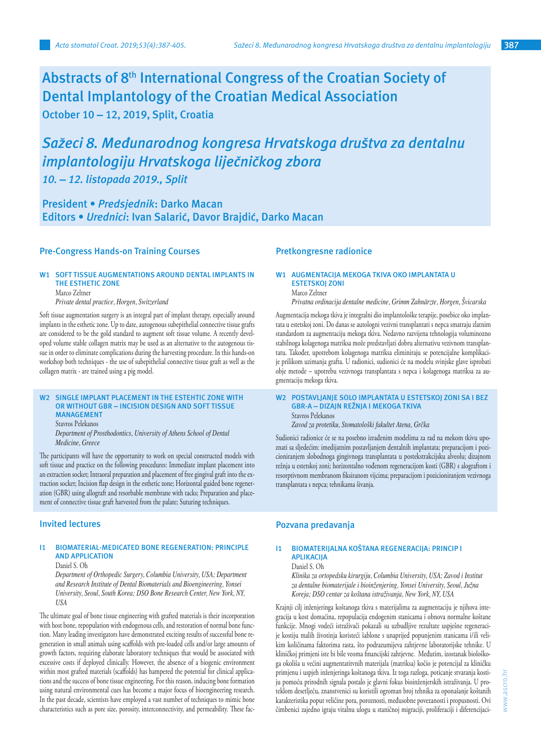**Abstracts of 8th International Congress of the Croatian Society of Dental Implantology of the Croatian Medical Association October 10 – 12, 2019, Split, Croatia** 

# *Sažeci 8. Međunarodnog kongresa Hrvatskoga društva za dentalnu implantologiju Hrvatskoga liječničkog zbora*

*10. – 12. listopada 2019., Split* 

**President •** *Predsjednik***: Darko Macan Editors •** *Urednici***: Ivan Salarić, Davor Brajdić, Darko Macan**

# **Pre-Congress Hands-on Training Courses**

# **W1 SOFT TISSUE AUGMENTATIONS AROUND DENTAL IMPLANTS IN THE ESTHETIC ZONE**

Marco Zeltner

*Private dental practice, Horgen, Switzerland*

Soft tissue augmentation surgery is an integral part of implant therapy, especially around implants in the esthetic zone. Up to date, autogenous subepithelial connective tissue grafts are considered to be the gold standard to augment soft tissue volume. A recently developed volume stable collagen matrix may be used as an alternative to the autogenous tissue in order to eliminate complications during the harvesting procedure. In this hands-on workshop both techniques - the use of subepithelial connective tissue graft as well as the collagen matrix - are trained using a pig model.

#### **W2 SINGLE IMPLANT PLACEMENT IN THE ESTEHTIC ZONE WITH OR WITHOUT GBR – INCISION DESIGN AND SOFT TISSUE MANAGEMENT**

Stavros Pelekanos

*Department of Prosthodontics, University of Athens School of Dental Medicine, Greece*

The participants will have the opportunity to work on special constructed models with soft tissue and practice on the following procedures: Immediate implant placement into an extraction socket; Intraoral preparation and placement of free gingival graft into the extraction socket; Incision flap design in the esthetic zone; Horizontal guided bone regeneration (GBR) using allograft and resorbable membrane with tacks; Preparation and placement of connective tissue graft harvested from the palate; Suturing techniques.

# **Invited lectures**

## **I1 BIOMATERIAL-MEDICATED BONE REGENERATION: PRINCIPLE AND APPLICATION**

Daniel S. Oh

*Department of Orthopedic Surgery, Columbia University, USA; Department and Research Institute of Dental Biomaterials and Bioengineering, Yonsei University, Seoul, South Korea; DSO Bone Research Center, New York, NY, USA*

The ultimate goal of bone tissue engineering with grafted materials is their incorporation with host bone, repopulation with endogenous cells, and restoration of normal bone function. Many leading investigators have demonstrated exciting results of successful bone regeneration in small animals using scaffolds with pre-loaded cells and/or large amounts of growth factors, requiring elaborate laboratory techniques that would be associated with excessive costs if deployed clinically. However, the absence of a biogenic environment within most grafted materials (scaffolds) has hampered the potential for clinical applications and the success of bone tissue engineering. For this reason, inducing bone formation using natural environmental cues has become a major focus of bioengineering research. In the past decade, scientists have employed a vast number of techniques to mimic bone characteristics such as pore size, porosity, interconnectivity, and permeability. These fac-

# **Pretkongresne radionice**

#### **W1 AUGMENTACIJA MEKOGA TKIVA OKO IMPLANTATA U ESTETSKOJ ZONI** Marco Zeltner

*Privatna ordinacija dentalne medicine, Grimm Zahnärzte, Horgen, Švicarska*

Augmentacija mekoga tkiva je integralni dio implantološke terapije, posebice oko implantata u estetskoj zoni. Do danas se autologni vezivni transplantati s nepca smatraju zlatnim standardom za augmentaciju mekoga tkiva. Nedavno razvijena tehnologija voluminozno stabilnoga kolagenoga matriksa može predstavljati dobru alternativu vezivnom transplantatu. Također, upotrebom kolagenoga matriksa eliminiraju se potencijalne komplikacije prilikom uzimanja grafta. U radionici, sudionici će na modelu svinjske glave isprobati obje metode – upotrebu vezivnoga transplantata s nepca i kolagenoga matriksa za augmentaciju mekoga tkiva.

**W2 POSTAVLJANJE SOLO IMPLANTATA U ESTETSKOJ ZONI SA I BEZ GBR-A – DIZAJN REŽNJA I MEKOGA TKIVA** Stavros Pelekanos

*Zavod za protetiku, Stomatološki fakultet Atena, Grčka*

Sudionici radionice će se na posebno izrađenim modelima za rad na mekom tkivu upoznati sa sljedećim: imedijatnim postavljanjem dentalnih implantata; preparacijom i pozicioniranjem slobodnoga gingivnoga transplantata u postekstrakcijsku alveolu; dizajnom režnja u estetskoj zoni; horizontalno vođenom regeneracijom kosti (GBR) s alograftom i resorptivnom membranom fiksiranom vijcima; preparacijom i pozicioniranjem vezivnoga transplantata s nepca; tehnikama šivanja.

# **Pozvana predavanja**

#### **I1 BIOMATERIJALNA KOŠTANA REGENERACIJA: PRINCIP I APLIKACIJA**

Daniel S. Oh

*Klinika za ortopedsku kirurgiju, Columbia University, USA; Zavod i Institut za dentalne biomaterijale i bioinženjering, Yonsei University, Seoul, Južna Koreja; DSO centar za koštana istraživanja, New York, NY, USA*

Krajnji cilj inženjeringa koštanoga tkiva s materijalima za augmentaciju je njihova integracija u kost domaćina, repopulacija endogenim stanicama i obnova normalne koštane funkcije. Mnogi vodeći istraživači pokazali su uzbudljive rezultate uspješne regeneracije kostiju malih životinja koristeći šablone s unaprijed popunjenim stanicama i/ili velikim količinama faktorima rasta, što podrazumijeva zahtjevne laboratorijske tehnike. U kliničkoj primjeni iste bi bile veoma financijski zahtjevne. Međutim, izostanak biološkoga okoliša u većini augmentatitvnih materijala (matriksa) kočio je potencijal za kliničku primjenu i uspjeh inženjeringa koštanoga tkiva. Iz toga razloga, poticanje stvaranja kostiju pomoću prirodnih signala postalo je glavni fokus bioinženjerskih istraživanja. U proteklom desetljeću, znanstvenici su koristili ogroman broj tehnika za oponašanje koštanih karakteristika poput veličine pora, poroznosti, međusobne povezanosti i propusnosti. Ovi čimbenici zajedno igraju vitalnu ulogu u staničnoj migraciji, proliferaciji i diferencijaci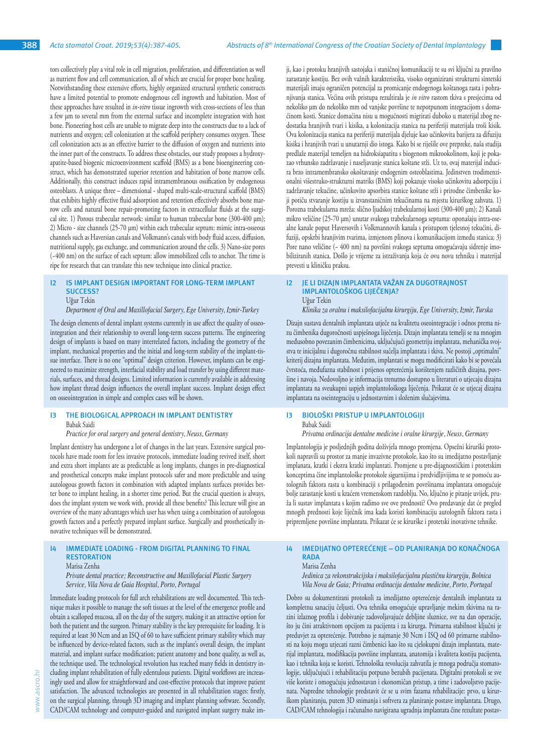tors collectively play a vital role in cell migration, proliferation, and differentiation as well as nutrient flow and cell communication, all of which are crucial for proper bone healing. Notwithstanding these extensive efforts, highly organized structural synthetic constructs have a limited potential to promote endogenous cell ingrowth and habitation. Most of these approaches have resulted in *in-vitro* tissue ingrowth with cross-sections of less than a few µm to several mm from the external surface and incomplete integration with host bone. Pioneering host cells are unable to migrate deep into the constructs due to a lack of nutrients and oxygen; cell colonization at the scaffold periphery consumes oxygen. These cell colonization acts as an effective barrier to the diffusion of oxygen and nutrients into the inner part of the constructs. To address these obstacles, our study proposes a hydroxyapatite-based biogenic microenvironment scaffold (BMS) as a bone bioengineering construct, which has demonstrated superior retention and habitation of bone marrow cells. Additionally, this construct induces rapid intramembranous ossification by endogenous osteoblasts. A unique three – dimensional - shaped multi-scale-structural scaffold (BMS) that exhibits highly effective fluid adsorption and retention effectively absorbs bone marrow cells and natural bone repair-promoting factors in extracellular fluids at the surgical site. 1) Porous trabecular network: similar to human trabecular bone (300-400 µm); 2) Micro - size channels (25-70 µm) within each trabecular septum: mimic intra-osseous channels such as Haversian canals and Volkmann's canals with body fluid access, diffusion, nutritional supply, gas exchange, and communication around the cells. 3) Nano-size pores (~400 nm) on the surface of each septum: allow immobilized cells to anchor. The time is ripe for research that can translate this new technique into clinical practice.

#### **I2 IS IMPLANT DESIGN IMPORTANT FOR LONG-TERM IMPLANT SUCCESS?** Uğur Tekin

*Department of Oral and Maxillofacial Surgery, Ege University, Izmir-Turkey*

The design elements of dental implant systems currently in use affect the quality of osseointegration and their relationship to overall long-term success patterns. The engineering design of implants is based on many interrelated factors, including the geometry of the implant, mechanical properties and the initial and long-term stability of the implant-tissue interface. There is no one "optimal" design criterion. However, implants can be engineered to maximize strength, interfacial stability and load transfer by using different materials, surfaces, and thread designs. Limited information is currently available in addressing how implant thread design influences the overall implant success. Implant design effect on osseointegration in simple and complex cases will be shown.

#### **I3 THE BIOLOGICAL APPROACH IN IMPLANT DENTISTRY** Babak Saidi

#### *Practice for oral surgery and general dentistry, Neuss, Germany*

Implant dentistry has undergone a lot of changes in the last years. Extensive surgical protocols have made room for less invasive protocols, immediate loading revived itself, short and extra short implants are as predictable as long implants, changes in pre-diagnostical and prosthetical concepts make implant protocols safer and more predictable and using autologous growth factors in combination with adapted implants surfaces provides better bone to implant healing, in a shorter time period. But the crucial question is always, does the implant system we work with, provide all these benefits? This lecture will give an overview of the many advantages which user has when using a combination of autologous growth factors and a perfectly prepared implant surface. Surgically and prosthetically innovative techniques will be demonstrated.

#### **IMMEDIATE LOADING - FROM DIGITAL PLANNING TO FINAL RESTORATION**

Marisa Zenha

*Private dental practice; Reconstructive and Maxillofacial Plastic Surgery Service, Vila Nova de Gaia Hospital, Porto, Portugal*

Immediate loading protocols for full arch rehabilitations are well documented. This technique makes it possible to manage the soft tissues at the level of the emergence profile and obtain a scalloped mucosa, all on the day of the surgery, making it an attractive option for both the patient and the surgeon. Primary stability is the key prerequisite for loading. It is required at least 30 Ncm and an ISQ of 60 to have sufficient primary stability which may be influenced by device-related factors, such as the implant's overall design, the implant material, and implant surface modification; patient anatomy and bone quality, as well as, the technique used. The technological revolution has reached many fields in dentistry including implant rehabilitation of fully edentulous patients. Digital workflows are increasingly used and allow for straightforward and cost-effective protocols that improve patient satisfaction. The advanced technologies are presented in all rehabilitation stages: firstly, on the surgical planning, through 3D imaging and implant planning software. Secondly, CAD/CAM technology and computer-guided and navigated implant surgery make im-

ji, kao i protoku hranjivih sastojaka i staničnoj komunikaciji te su svi ključni za pravilno zarastanje kostiju. Bez ovih važnih karakteristika, visoko organizirani strukturni sintetski materijali imaju ograničen potencijal za promicanje endogenoga koštanoga rasta i pohranjivanja stanica. Većina ovih pristupa rezultirala je *in vitro* rastom tkiva s presjecima od nekoliko µm do nekoliko mm od vanjske površine te nepotpunom integracijom s domaćinom kosti. Stanice domaćina nisu u mogućnosti migrirati duboko u materijal zbog nedostatka hranjivih tvari i kisika, a kolonizacija stanica na periferiji materijala troši kisik. Ova kolonizacija stanica na periferiji materijala djeluje kao učinkovita barijera za difuziju kisika i hranjivih tvari u unutarnji dio istoga. Kako bi se riješile ove prepreke, naša studija predlaže materijal temeljen na hidroksiapatitu s biogenom mikrookolinom, koji je pokazao vrhunsko zadržavanje i naseljavanje stanica koštane srži. Uz to, ovaj materijal inducira brzo intramembransko okoštavanje endogenim osteoblastima. Jedinstven trodimenzionalni višestruko-strukturni matriks (BMS) koji pokazuje visoko učinkovitu adsorpciju i zadržavanje tekućine, učinkovito apsorbira stanice koštane srži i prirodne čimbenike koji potiču stvaranje kostiju u izvanstaničnim tekućinama na mjestu kirurškog zahvata. 1) Porozna trabekularna mreža: slično ljudskoj trabekularnoj kosti (300-400 µm); 2) Kanali mikro veličine (25-70 µm) unutar svakoga trabekularnoga septuma: oponašaju intra-osealne kanale poput Haversovih i Volkmannovih kanala s pristupom tjelesnoj tekućini, difuziji, opskrbi hranjivim tvarima, izmjenom plinova i komunikacijom između stanica; 3) Pore nano veličine (~ 400 nm) na površini svakoga septuma omogućavaju sidrenje imobiliziranih stanica. Došlo je vrijeme za istraživanja koja će ovu novu tehniku i materijal prevesti u kliničku praksu.

#### **I2 JE LI DIZAJN IMPLANTATA VAŽAN ZA DUGOTRAJNOST IMPLANTOLOŠKOG LIJEČENJA?** Uğur Tekin

*Klinika za oralnu i maksilofacijalnu kirurgiju, Ege University, Izmir, Turska*

Dizajn sustava dentalnih implantata utječe na kvalitetu oseointegracije i odnos prema nizu čimbenika dugoročnosti uspješnoga liječenja. Dizajn implantata temelji se na mnogim međusobno povezanim čimbenicima, uključujući geometriju implantata, mehanička svojstva te inicijalnu i dugoročnu stabilnost sučelja implantata i tkiva. Ne postoji "optimalni" kriterij dizajna implantata. Međutim, implantati se mogu modificirati kako bi se povećala čvrstoća, međufazna stabilnost i prijenos opterećenja korištenjem različitih dizajna, površine i navoja. Nedovoljno je informacija trenutno dostupno u literaturi o utjecaju dizajna implantata na sveukupni uspjeh implantološkoga liječenja. Prikazat će se utjecaj dizajna implantata na oseintegraciju u jednostavnim i složenim slučajevima.

#### **I3 BIOLOŠKI PRISTUP U IMPLANTOLOGIJI**

Babak Saidi

*Privatna ordinacija dentalne medicine i oralne kirurgije, Neuss, Germany*

Implantologija je posljednjih godina doživjela mnogo promjena. Opsežni kirurški protokoli napravili su prostor za manje invazivne protokole, kao što su imedijatno postavljanje implanata, kratki i ekstra kratki implantati. Promjene u pre-dijagnostičkim i protetskim konceptima čine implantološke protokole sigurnijima i predvidljivijima te se pomoću autolognih faktora rasta u kombinaciji s prilagođenim površinama implantata omogućuje bolje zarastanje kosti u kraćem vremenskom razdoblju. No, ključno je pitanje uvijek, pruža li sustav implantata s kojim radimo sve ove prednosti? Ovo predavanje dat će pregled mnogih prednosti koje liječnik ima kada koristi kombinaciju autolognih faktora rasta i pripremljene površine implantata. Prikazat će se kirurške i protetski inovativne tehnike.

#### **I4 IMEDIJATNO OPTEREĆENJE – OD PLANIRANJA DO KONAČNOGA RADA**

Marisa Zenha

*Jedinica za rekonstrukcijsku i maksilofacijalnu plastičnu kirurgiju, Bolnica Vila Nova de Gaia; Privatna ordinacija dentalne medicine, Porto, Portugal*

Dobro su dokumentirani protokoli za imedijatno opterećenje dentalnih implantata za kompletnu sanaciju čeljusti. Ova tehnika omogućuje upravljanje mekim tkivima na razini izlaznog profila i dobivanje zadovoljavajuće debljine sluznice, sve na dan operacije, što ju čini atraktivnom opcijom za pacijenta i za kirurga. Primarna stabilnost ključni je preduvjet za opterećenje. Potrebno je najmanje 30 Ncm i ISQ od 60 primarne stabilnosti na koju mogu utjecati razni čimbenici kao što su cjelokupni dizajn implantata, materijal implantata, modifikacija površine implantata, anatomija i kvaliteta kostiju pacijenta, kao i tehnika koja se koristi. Tehnološka revolucija zahvatila je mnoga područja stomatologije, uključujući i rehabilitaciju potpuno bezubih pacijenata. Digitalni protokoli se sve više koriste i omogućuju jednostavan i ekonomičan pristup, a time i zadovoljstvo pacijenata. Napredne tehnologije predstavit će se u svim fazama rehabilitacije: prvo, u kirurškom planiranju, putem 3D snimanja i softvera za planiranje postave implantata. Drugo, CAD/CAM tehnologija i računalno navigirana ugradnja implantata čine rezultate postav-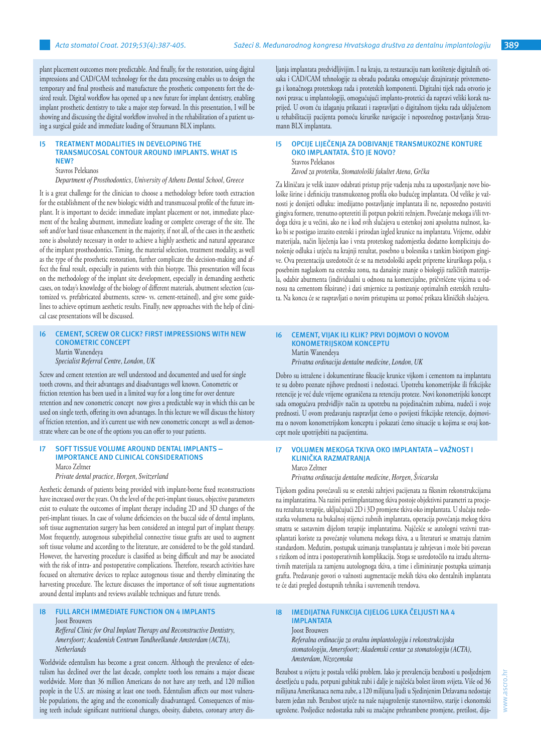plant placement outcomes more predictable. And finally, for the restoration, using digital impressions and CAD/CAM technology for the data processing enables us to design the temporary and final prosthesis and manufacture the prosthetic components fort the desired result. Digital workflow has opened up a new future for implant dentistry, enabling implant prosthetic dentistry to take a major step forward. In this presentation, I will be showing and discussing the digital workflow involved in the rehabilitation of a patient using a surgical guide and immediate loading of Straumann BLX implants.

### **I5 TREATMENT MODALITIES IN DEVELOPING THE TRANSMUCOSAL CONTOUR AROUND IMPLANTS. WHAT IS NEW?**

#### Stavros Pelekanos

*Department of Prosthodontics, University of Athens Dental School, Greece*

It is a great challenge for the clinician to choose a methodology before tooth extraction for the establishment of the new biologic width and transmucosal profile of the future implant. It is important to decide: immediate implant placement or not, immediate placement of the healing abutment, immediate loading or complete coverage of the site. The soft and/or hard tissue enhancement in the majority, if not all, of the cases in the aesthetic zone is absolutely necessary in order to achieve a highly aesthetic and natural appearance of the implant prosthodontics. Timing, the material selection, treatment modality, as well as the type of the prosthetic restoration, further complicate the decision-making and affect the final result, especially in patients with thin biotype. This presentation will focus on the methodology of the implant site development, especially in demanding aesthetic cases, on today's knowledge of the biology of different materials, abutment selection (customized vs. prefabricated abutments, screw- vs. cement-retained), and give some guidelines to achieve optimum aesthetic results. Finally, new approaches with the help of clinical case presentations will be discussed.

#### **I6 CEMENT, SCREW OR CLICK? FIRST IMPRESSIONS WITH NEW CONOMETRIC CONCEPT** Martin Wanendeya

*Specialist Referral Centre, London, UK*

Screw and cement retention are well understood and documented and used for single tooth crowns, and their advantages and disadvantages well known. Conometric or friction retention has been used in a limited way for a long time for over denture retention and new conometric concept now gives a predictable way in which this can be used on single teeth, offering its own advantages. In this lecture we will discuss the history of friction retention, and it's current use with new conometric concept as well as demonstrate where can be one of the options you can offer to your patients.

#### **I7 SOFT TISSUE VOLUME AROUND DENTAL IMPLANTS – IMPORTANCE AND CLINICAL CONSIDERATIONS** Marco Zeltner

*Private dental practice, Horgen, Switzerland*

Aesthetic demands of patients being provided with implant-borne fixed reconstructions have increased over the years. On the level of the peri-implant tissues, objective parameters exist to evaluate the outcomes of implant therapy including 2D and 3D changes of the peri-implant tissues. In case of volume deficiencies on the buccal side of dental implants, soft tissue augmentation surgery has been considered an integral part of implant therapy. Most frequently, autogenous subepithelial connective tissue grafts are used to augment soft tissue volume and according to the literature, are considered to be the gold standard. However, the harvesting procedure is classified as being difficult and may be associated with the risk of intra- and postoperative complications. Therefore, research activities have focused on alternative devices to replace autogenous tissue and thereby eliminating the harvesting procedure. The lecture discusses the importance of soft tissue augmentations around dental implants and reviews available techniques and future trends.

#### **FULL ARCH IMMEDIATE FUNCTION ON 4 IMPLANTS** Joost Brouwers

*Refferal Clinic for Oral Implant Therapy and Reconstructive Dentistry, Amersfoort; Academish Centrum Tandheelkunde Amsterdam (ACTA), Netherlands*

Worldwide edentulism has become a great concern. Although the prevalence of edentulism has declined over the last decade, complete tooth loss remains a major disease worldwide. More than 36 million Americans do not have any teeth, and 120 million people in the U.S. are missing at least one tooth. Edentulism affects our most vulnerable populations, the aging and the economically disadvantaged. Consequences of missing teeth include significant nutritional changes, obesity, diabetes, coronary artery disljanja implantata predvidljivijim. I na kraju, za restauraciju nam korištenje digitalnih otisaka i CAD/CAM tehnologije za obradu podataka omogućuje dizajniranje privremenoga i konačnoga protetskoga rada i protetskih komponenti. Digitalni tijek rada otvorio je novi pravac u implantologiji, omogućujući implanto-protetici da napravi veliki korak naprijed. U ovom ću izlaganju prikazati i raspravljati o digitalnom tijeku rada uključenom u rehabilitaciji pacijenta pomoću kirurške navigacije i neposrednog postavljanja Straumann BLX implantata.

#### **I5 OPCIJE LIJEČENJA ZA DOBIVANJE TRANSMUKOZNE KONTURE OKO IMPLANTATA. ŠTO JE NOVO?** Stavros Pelekanos

*Zavod za protetiku, Stomatološki fakultet Atena, Grčka*

Za kliničara je velik izazov odabrati pristup prije vađenja zuba za uspostavljanje nove biološke širine i definiciju transmukoznog profila oko budućeg implantata. Od velike je važnosti je donijeti odluku: imedijatno postavljanje implantata ili ne, neposredno postaviti gingiva formere, trenutno opteretiti ili potpun pokriti režnjem. Povećanje mekoga i/ili tvrdoga tkiva je u većini, ako ne i kod svih slučajeva u estetskoj zoni apsolutna nužnost, kako bi se postigao izrazito estetski i prirodan izgled krunice na implantatu. Vrijeme, odabir materijala, način liječenja kao i vrsta protetskog nadomjestka dodatno kompliciraju donošenje odluka i utječu na krajnji rezultat, posebno u bolesnika s tankim biotipom gingive. Ova prezentacija usredotočit će se na metodološki aspekt pripreme kirurškoga polja, s posebnim naglaskom na estetsku zonu, na današnje znanje o biologiji različitih materijala, odabir abutmenta (individualni u odnosu na komercijalne, pričvršćene vijcima u odnosu na cementom fiksirane) i dati smjernice za postizanje optimalnih estetskih rezultata. Na koncu će se raspravljati o novim pristupima uz pomoć prikaza kliničkih slučajeva.

## **I6 CEMENT, VIJAK ILI KLIK? PRVI DOJMOVI O NOVOM KONOMETRIJSKOM KONCEPTU** Martin Wanendeya

*Privatna ordinacija dentalne medicine, London, UK*

Dobro su istražene i dokumentirane fiksacije krunice vijkom i cementom na implantatu te su dobro poznate njihove prednosti i nedostaci. Upotreba konometrijske ili frikcijske retencije je već duže vrijeme ograničena za retenciju proteze. Novi konometrijski koncept sada omogućava predvidljiv način za upotrebu na pojedinačnim zubima, nudeći i svoje prednosti. U ovom predavanju raspravljat ćemo o povijesti frikcijske retencije, dojmovima o novom konometrijskom konceptu i pokazati ćemo situacije u kojima se ovaj koncept može upotrijebiti na pacijentima.

#### **I7 VOLUMEN MEKOGA TKIVA OKO IMPLANTATA – VAŽNOST I KLINIČKA RAZMATRANJA**  Marco Zeltner

*Privatna ordinacija dentalne medicine, Horgen, Švicarska*

Tijekom godina povećavali su se estetski zahtjevi pacijenata za fiksnim rekonstrukcijama na implantatima. Na razini periimplantatnog tkiva postoje objektivni parametri za procjenu rezultata terapije, uključujući 2D i 3D promjene tkiva oko implantata. U slučaju nedostatka volumena na bukalnoj stijenci zubnih implantata, operacija povećanja mekog tkiva smatra se sastavnim dijelom terapije implantatima. Najčešće se autologni vezivni transplantati koriste za povećanje volumena mekoga tkiva, a u literaturi se smatraju zlatnim standardom. Međutim, postupak uzimanja transplantata je zahtjevan i može biti povezan s rizikom od intra i postoperativnih komplikacija. Stoga se usredotočilo na izradu alternativnih materijala za zamjenu autolognoga tkiva, a time i eliminiranje postupka uzimanja grafta. Predavanje govori o važnosti augmentacije mekih tkiva oko dentalnih implantata te će dati pregled dostupnih tehnika i suvremenih trendova.

# **I8 IMEDIJATNA FUNKCIJA CIJELOG LUKA ČELJUSTI NA 4 IMPLANTATA**  Joost Brouwers *Referalna ordinacija za oralnu implantologiju i rekonstrukcijsku*

*stomatologiju, Amersfoort; Akademski centar za stomatologiju (ACTA), Amsterdam, Nizozemska* 

Bezubost u svijetu je postala veliki problem. Iako je prevalencija bezubosti u posljednjem desetljeću u padu, potpuni gubitak zubi i dalje je najčešća bolest širom svijeta. Više od 36 milijuna Amerikanaca nema zube, a 120 milijuna ljudi u Sjedinjenim Državama nedostaje barem jedan zub. Bezubost utječe na naše najugroženije stanovništvo, starije i ekonomski ugrožene. Posljedice nedostatka zubi su značajne prehrambene promjene, pretilost, dija-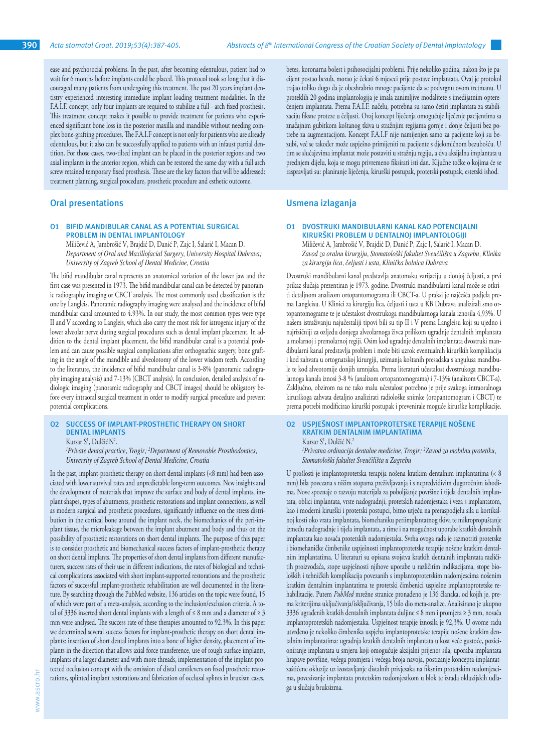ease and psychosocial problems. In the past, after becoming edentulous, patient had to wait for 6 months before implants could be placed. This protocol took so long that it discouraged many patients from undergoing this treatment. The past 20 years implant dentistry experienced interesting immediate implant loading treatment modalities. In the F.A.I.F. concept, only four implants are required to stabilize a full - arch fixed prosthesis. This treatment concept makes it possible to provide treatment for patients who experienced significant bone loss in the posterior maxilla and mandible without needing complex bone-grafting procedures. The F.A.I.F concept is not only for patients who are already edentulous, but it also can be successfully applied to patients with an infaust partial dentition. For those cases, two-tilted implant can be placed in the posterior regions and two axial implants in the anterior region, which can be restored the same day with a full arch screw retained temporary fixed prosthesis. These are the key factors that will be addressed: treatment planning, surgical procedure, prosthetic procedure and esthetic outcome.

# **Oral presentations**

#### **O1 BIFID MANDIBULAR CANAL AS A POTENTIAL SURGICAL PROBLEM IN DENTAL IMPLANTOLOGY**

Miličević A, Jambrošić V, Brajdić D, Đanić P, Zajc I, Salarić I, Macan D. *Department of Oral and Maxillofacial Surgery, University Hospital Dubrava; University of Zagreb School of Dental Medicine, Croatia*

The bifid mandibular canal represents an anatomical variation of the lower jaw and the first case was presented in 1973. The bifid mandibular canal can be detected by panoramic radiography imaging or CBCT analysis. The most commonly used classification is the one by Langleis. Panoramic radiography imaging were analysed and the incidence of bifid mandibular canal amounted to 4.93%. In our study, the most common types were type II and V according to Langleis, which also carry the most risk for iatrogenic injury of the lower alveolar nerve during surgical procedures such as dental implant placement. In addition to the dental implant placement, the bifid mandibular canal is a potential problem and can cause possible surgical complications after orthognathic surgery, bone grafting in the angle of the mandible and alveolotomy of the lower wisdom teeth. According to the literature, the incidence of bifid mandibular canal is 3-8% (panoramic radiography imaging analysis) and 7-13% (CBCT analysis). In conclusion, detailed analysis of radiologic imaging (panoramic radiography and CBCT images) should be obligatory before every intraoral surgical treatment in order to modify surgical procedure and prevent potential complications.

#### **O2 SUCCESS OF IMPLANT-PROSTHETIC THERAPY ON SHORT DENTAL IMPLANTS**

Kursar S<sup>1</sup>, Dulčić N<sup>2</sup>.

*1 Private dental practice, Trogir; <sup>2</sup> Department of Removable Prosthodontics, University of Zagreb School of Dental Medicine, Croatia*

In the past, implant-prosthetic therapy on short dental implants (<8 mm) had been associated with lower survival rates and unpredictable long-term outcomes. New insights and the development of materials that improve the surface and body of dental implants, implant shapes, types of abutments, prosthetic restorations and implant connections, as well as modern surgical and prosthetic procedures, significantly influence on the stress distribution in the cortical bone around the implant neck, the biomechanics of the peri-implant tissue, the microleakage between the implant abutment and body and thus on the possibility of prosthetic restorations on short dental implants. The purpose of this paper is to consider prosthetic and biomechanical success factors of implant-prosthetic therapy on short dental implants. The properties of short dental implants from different manufacturers, success rates of their use in different indications, the rates of biological and technical complications associated with short implant-supported restorations and the prosthetic factors of successful implant-prosthetic rehabilitation are well documented in the literature. By searching through the PubMed website, 136 articles on the topic were found, 15 of which were part of a meta-analysis, according to the inclusion/exclusion criteria. A total of 3336 inserted short dental implants with a length of  $\leq 8$  mm and a diameter of  $\geq 3$ mm were analysed. The success rate of these therapies amounted to 92.3%. In this paper we determined several success factors for implant-prosthetic therapy on short dental implants: insertion of short dental implants into a bone of higher density, placement of implants in the direction that allows axial force transference, use of rough surface implants, implants of a larger diameter and with more threads, implementation of the implant-protected occlusion concept with the omission of distal cantilevers on fixed prosthetic restorations, splinted implant restorations and fabrication of occlusal splints in bruxism cases.

betes, koronarna bolest i psihosocijalni problemi. Prije nekoliko godina, nakon što je pacijent postao bezub, morao je čekati 6 mjeseci prije postave implantata. Ovaj je protokol trajao toliko dugo da je obeshrabrio mnoge pacijente da se podvrgnu ovom tretmanu. U proteklih 20 godina implantologija je imala zanimljive modalitete s imedijatnim opterećenjem implantata. Prema F.A.I.F. načelu, potrebna su samo četiri implantata za stabilizaciju fiksne proteze u čeljusti. Ovaj koncept liječenja omogućuje liječenje pacijentima sa značajnim gubitkom koštanog tkiva u stražnjim regijama gornje i donje čeljusti bez potrebe za augmentacijom. Koncept F.A.I.F nije namijenjen samo za pacijente koji su bezubi, već se također može uspješno primijeniti na pacijente s djelomičnom bezubošću. U tim se slučajevima implantat može postaviti u stražnju regiju, a dva aksijalna implantata u prednjem dijelu, koja se mogu privremeno fiksirati isti dan. Ključne točke o kojima će se raspravljati su: planiranje liječenja, kirurški postupak, protetski postupak, estetski ishod.

# **Usmena izlaganja**

#### **O1 DVOSTRUKI MANDIBULARNI KANAL KAO POTENCIJALNI KIRURŠKI PROBLEM U DENTALNOJ IMPLANTOLOGIJI**

Miličević A, Jambrošić V, Brajdić D, Đanić P, Zajc I, Salarić I, Macan D. *Zavod za oralnu kirurgiju, Stomatološki fakultet Sveučilišta u Zagrebu, Klinika za kirurgiju lica, čeljusti i usta, Klinička bolnica Dubrava*

Dvostruki mandibularni kanal predstavlja anatomsku varijaciju u donjoj čeljusti, a prvi prikaz slučaja prezentiran je 1973. godine. Dvostruki mandibularni kanal može se otkriti detaljnom analizom ortopantomograma ili CBCT-a. U praksi je najčešća podjela prema Langleisu. U Klinici za kirurgiju lica, čeljusti i usta u KB Dubrava analizirali smo ortopantomograme te je učestalost dvostrukoga mandibularnoga kanala iznosila 4,93%. U našem istraživanju najučestaliji tipovi bili su tip II i V prema Langleisu koji su ujedno i najrizičniji za ozljedu donjega alveolarnoga živca prilikom ugradnje dentalnih implantata u molarnoj i premolarnoj regiji. Osim kod ugradnje dentalnih implantata dvostruki mandibularni kanal predstavlja problem i može biti uzrok eventualnih kirurških komplikacija i kod zahvata u ortognatskoj kirurgiji, uzimanja koštanih presadaka s angulusa mandibule te kod alveotomije donjih umnjaka. Prema literaturi učestalost dvostrukoga mandibularnoga kanala iznosi 3-8 % (analizom ortopantomograma) i 7-13% (analizom CBCT-a). Zaključno, obzirom na ne tako malu učestalost potrebno je prije svakoga intraoralnoga kirurškoga zahvata detaljno analizirati radiološke snimke (oropantomogram i CBCT) te prema potrebi modificirao kirurški postupak i prevenirale moguće kirurške komplikacije.

# **O2 USPJEŠNOST IMPLANTOPROTETSKE TERAPIJE NOŠENE KRATKIM DENTALNIM IMPLANTATIMA**

Kursar S<sup>1</sup>, Dulčić N.<sup>2</sup>

*1 Privatna ordinacija dentalne medicine, Trogir; <sup>2</sup> Zavod za mobilnu protetiku, Stomatološki fakultet Sveučilišta u Zagrebu*

U prošlosti je implantoprotetska terapija nošena kratkim dentalnim implantatima (< 8 mm) bila povezana s nižim stopama preživljavanja i s nepredvidivim dugoročnim ishodima. Nove spoznaje o razvoju materijala za poboljšanje površine i tijela dentalnih implantata, oblici implantata, vrste nadogradnji, protetskih nadomjestaka i veza s implantatom, kao i moderni kirurški i protetski postupci, bitno utječu na preraspodjelu sila u kortikalnoj kosti oko vrata implantata, biomehaniku periimplantatnog tkiva te mikropropuštanje između nadogradnje i tijela implantata, a time i na mogućnost uporabe kratkih dentalnih implantata kao nosača protetskih nadomjestaka. Svrha ovoga rada je razmotriti protetske i biomehaničke čimbenike uspješnosti implantoprotetske terapije nošene kratkim dentalnim implantatima. U literaturi su opisana svojstva kratkih dentalnih implantata različitih proizvođača, stope uspješnosti njihove uporabe u različitim indikacijama, stope bioloških i tehničkih komplikacija povezanih s implantoprotetskim nadomjescima nošenim kratkim dentalnim implantatima te protetski čimbenici uspješne implantoprotetske rehabilitacije. Putem *PubMed* mrežne stranice pronađeno je 136 članaka, od kojih je, prema kriterijima uključivanja/isključivanja, 15 bilo dio meta-analize. Analizirano je ukupno 3336 ugrađenih kratkih dentalnih implantata duljine ≤ 8 mm i promjera ≥ 3 mm, nosača implantoprotetskih nadomjestaka. Uspješnost terapije iznosila je 92,3%. U ovome radu utvrđeno je nekoliko čimbenika uspjeha implantoprotetske terapije nošene kratkim dentalnim implantatima: ugradnja kratkih dentalnih implantata u kost veće gustoće, pozicioniranje implantata u smjeru koji omogućuje aksijalni prijenos sila, uporaba implantata hrapave površine, većega promjera i većega broja navoja, postizanje koncepta implantatzaštićene okluzije uz izostavljanje distalnih privjesaka na fiksnim protetskim nadomjescima, povezivanje implantata protetskim nadomjestkom u blok te izrada okluzijskih udlaga u slučaju bruksizma.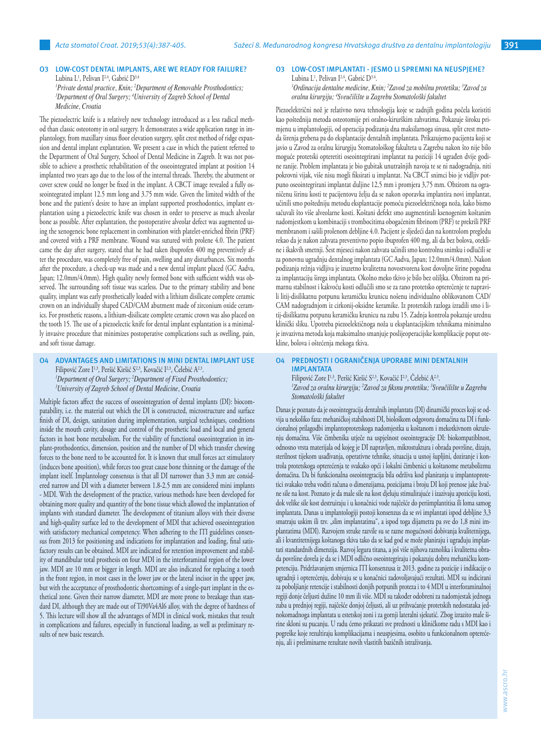# **O3 LOW-COST DENTAL IMPLANTS, ARE WE READY FOR FAILURE?** Lubina L<sup>1</sup>, Pelivan I<sup>2,4</sup>, Gabrić D<sup>3,4</sup>

*1 Private dental practice, Knin; <sup>2</sup> Department of Removable Prosthodontics; 3 Department of Oral Surgery; <sup>4</sup> University of Zagreb School of Dental Medicine, Croatia*

The piezoelectric knife is a relatively new technology introduced as a less radical method than classic osteotomy in oral surgery. It demonstrates a wide application range in implantology, from maxillary sinus floor elevation surgery, split crest method of ridge expansion and dental implant explantation. We present a case in which the patient referred to the Department of Oral Surgery, School of Dental Medicine in Zagreb. It was not possible to achieve a prosthetic rehabilitation of the osseointegrated implant at position 14 implanted two years ago due to the loss of the internal threads. Thereby, the abutment or cover screw could no longer be fixed in the implant. A CBCT image revealed a fully osseointegrated implant 12.5 mm long and 3.75 mm wide. Given the limited width of the bone and the patient's desire to have an implant supported prosthodontics, implant explantation using a piezoelectric knife was chosen in order to preserve as much alveolar bone as possible. After explantation, the postoperative alveolar defect was augmented using the xenogeneic bone replacement in combination with platelet-enriched fibrin (PRF) and covered with a PRF membrane. Wound was sutured with prolene 4.0. The patient came the day after surgery, stated that he had taken ibuprofen 400 mg preventively after the procedure, was completely free of pain, swelling and any disturbances. Six months after the procedure, a check-up was made and a new dental implant placed (GC Aadva, Japan; 12.0mm/4.0mm). High quality newly formed bone with sufficient width was observed. The surrounding soft tissue was scarless. Due to the primary stability and bone quality, implant was early prosthetically loaded with a lithium disilicate complete ceramic crown on an individually shaped CAD/CAM abutment made of zirconium oxide ceramics. For prosthetic reasons, a lithium-disilicate complete ceramic crown was also placed on the tooth 15. The use of a piezoelectic knife for dental implant explantation is a minimally invasive procedure that minimizes postoperative complications such as swelling, pain, and soft tissue damage.

# **O4 ADVANTAGES AND LIMITATIONS IN MINI DENTAL IMPLANT USE** Filipović Zore I<sup>1,3</sup>, Peršić Kiršić S<sup>2,3</sup>, Kovačić I<sup>2,3</sup>, Čelebić A<sup>2,3</sup>. *1 Department of Oral Surgery; <sup>2</sup> Department of Fixed Prosthodontics; 3 University of Zagreb School of Dental Medicine, Croatia*

Multiple factors affect the success of osseointegration of dental implants (DI): biocompatability, i.e. the material out which the DI is constructed, microstructure and surface finish of DI, design, sanitation during implementation, surgical techniques, conditions inside the mouth cavity, dosage and control of the prosthetic load and local and general factors in host bone metabolism. For the viability of functional osseointegration in implant-prothodontics, dimension, position and the number of DI which transfer chewing forces to the bone need to be accounted for. It is known that small forces act stimulatory (induces bone aposition), while forces too great cause bone thinning or the damage of the implant itself. Implantology consensus is that all DI narrower than 3.3 mm are considered narrow and DI with a diameter between 1.8-2.5 mm are considered mini implants - MDI. With the development of the practice, various methods have been developed for obtaining more quality and quantity of the bone tissue which allowed the implantation of implants with standard diameter. The development of titanium alloys with their diverse and high-quality surface led to the development of MDI that achieved osseointegration with satisfactory mechanical competency. When adhering to the ITI guidelines consensus from 2013 for positioning and indications for implantation and loading, final satisfactory results can be obtained. MDI are indicated for retention improvement and stability of mandibular total prosthesis on four MDI in the interforaminal region of the lower jaw. MDI are 10 mm or bigger in length. MDI are also indicated for replacing a tooth in the front region, in most cases in the lower jaw or the lateral incisor in the upper jaw, but with the acceptance of prosthodontic shortcomings of a single-part implant in the esthetical zone. Given their narrow diameter, MDI are more prone to breakage than standard DI, although they are made out of Ti90Va4Al6 alloy, with the degree of hardness of 5. This lecture will show all the advantages of MDI in clinical work, mistakes that result in complications and failures, especially in functional loading, as well as preliminary results of new basic research.

# **O3 LOW-COST IMPLANTATI - JESMO LI SPREMNI NA NEUSPJEHE?**

Lubina L<sup>1</sup>, Pelivan I<sup>2,4</sup>, Gabrić D<sup>3,4</sup>. *1 Ordinacija dentalne medicine, Knin; <sup>2</sup> Zavod za mobilnu protetiku; <sup>3</sup> Zavod za oralnu kirurgiju; <sup>4</sup> Sveučilište u Zagrebu Stomatološki fakultet* 

Piezoelektrični nož je relativno nova tehnologija koje se zadnjih godina počela koristiti kao poštednija metoda osteotomije pri oralno-kirurškim zahvatima. Pokazuje široku primjenu u implantologiji, od operacija podizanja dna maksilarnoga sinusa, split crest metoda širenja grebena pa do eksplantacije dentalnih implantata. Prikazujemo pacijenta koji se javio u Zavod za oralnu kirurgiju Stomatološkog fakulteta u Zagrebu nakon što nije bilo moguće protetski opteretiti oseointegrirani implantat na poziciji 14 ugrađen dvije godine ranije. Problem implantata je bio gubitak unutrašnjih navoja te se ni nadogradnja, niti pokrovni vijak, više nisu mogli fiksirati u implantat. Na CBCT snimci bio je vidljiv potpuno oseointegrirani implantat duljine 12,5 mm i promjera 3,75 mm. Obzirom na ograničenu širinu kosti te pacijentovu želju da se nakon oporavka implantira novi implantat, učinili smo poštedniju metodu eksplantacije pomoću piezoelektričnoga noža, kako bismo sačuvali što više alveolarne kosti. Koštani defekt smo augmentirali ksenogenim koštanim nadomjestkom u kombinaciji s trombocitima obogaćenim fibrinom (PRF) te prekrili PRF membranom i sašili prolenom debljine 4.0. Pacijent je sljedeći dan na kontrolom pregledu rekao da je nakon zahvata preventivno popio ibuprofen 400 mg, ali da bez bolova, otekline i ikakvih smetnji. Šest mjeseci nakon zahvata učinili smo kontrolnu snimku i odlučili se za ponovnu ugradnju dentalnog implantata (GC Aadva, Japan; 12.0mm/4.0mm). Nakon podizanja režnja vidljiva je izuzetno kvalitetna novostvorena kost dovoljne širine pogodna za implantaciju širega implantata. Okolno meko tkivo je bilo bez ožiljka. Obzirom na primarnu stabilnost i kakvoću kosti odlučili smo se za rano protetsko opterećenje te napravili litij-disilikatnu potpunu keramičku krunicu nošenu individualno oblikovanom CAD/ CAM nadogradnjom iz cirkonij-oksidne keramike. Iz protetskih razloga izradili smo i litij-disilikatnu potpunu keramičku krunicu na zubu 15. Zadnja kontrola pokazuje urednu klinički sliku. Upotreba piezoelektičnoga noža u eksplantacijskim tehnikama minimalno je invazivna metoda koja maksimalno smanjuje poslijeoperacijske komplikacije poput otekline, bolova i oštećenja mekoga tkiva.

**O4 PREDNOSTI I OGRANIČENJA UPORABE MINI DENTALNIH IMPLANTATA** Filipović Zore I<sup>1,3</sup>, Peršić Kiršić S<sup>2,3</sup>, Kovačić I<sup>2,3</sup>, Čelebić A<sup>2,3</sup>. *'Zavod za oralnu kirurgiju; <sup>2</sup>Zavod za fiksnu protetiku; <sup>3</sup>Sveučilište u Zagrebu Stomatološki fakultet*

Danas je poznato da je oseointegracija dentalnih implantata (DI) dinamički proces koji se odvija u nekoliko faza: mehaničkoj stabilnosti DI, biološkom odgovoru domaćina na DI i funkcionalnoj prilagodbi implantoprotetskoga nadomjestka u koštanom i mekotkivnom okruženju domaćina. Više čimbenika utječe na uspješnost oseointegracije DI: biokompatiblnost, odnosno vrsta materijala od kojeg je DI napravljen, mikrostuktura i obrada površine, dizajn, sterilnost tijekom usađivanja, operativne tehnike, situacija u usnoj šupljini, doziranje i kontrola protetskoga opterećenja te svakako opći i lokalni čimbenici u koštanome metabolizmu domaćina. Da bi funkcionalna oseointegracija bila održiva kod planiranja u implantoprotetici svakako treba voditi računa o dimenzijama, pozicijama i broju DI koji prenose jake žvačne sile na kost. Poznato je da male sile na kost djeluju stimulirajuće i izazivaju apoziciju kosti, dok velike sile kost destruiraju i u konačnici vode najčešće do periimplantitisa ili loma samog implantata. Danas u implantologiji postoji konsenzus da se svi implantati ispod debljine 3,3 smatraju uskim ili tzv. "slim implantatima", a ispod toga dijametra pa sve do 1,8 mini implantatima (MDI). Razvojem struke razvile su se razne mogućnosti dobivanja kvalitetnijega, ali i kvantitetnijega koštanoga tkiva tako da se kad god se može planiraju i ugrađuju implantati standardnih dimenzija. Razvoj legura titana, a još više njihova raznolika i kvalitetna obrada površine dovela je da se i MDI odlično oseointegriraju i pokazuju dobru mehaničku kompetenciju. Pridržavanjem smjernica ITI konsenzusa iz 2013. godine za pozicije i indikacije o ugradnji i opterećenju, dobivaju se u konačnici zadovoljavajući rezultati. MDI su indicirani za poboljšanje retencije i stabilnosti donjih potpunih proteza i to 4 MDI u interforaminalnoj regiji donje čeljusti dužine 10 mm ili više. MDI su također odobreni za nadomjestak jednoga zuba u prednjoj regiji, najčešće donjoj čeljusti, ali uz prihvaćanje protetskih nedostataka jednokomadnoga implantata u estetskoj zoni i za gornji lateralni sjekutić. Zbog izrazito male širine skloni su pucanju. U radu ćemo prikazati sve prednosti u kliničkome radu s MDI kao i pogreške koje rezultiraju komplikacijama i neuspjesima, osobito u funkcionalnom opterećenju, ali i preliminarne rezultate novih vlastitih bazičnih istraživanja.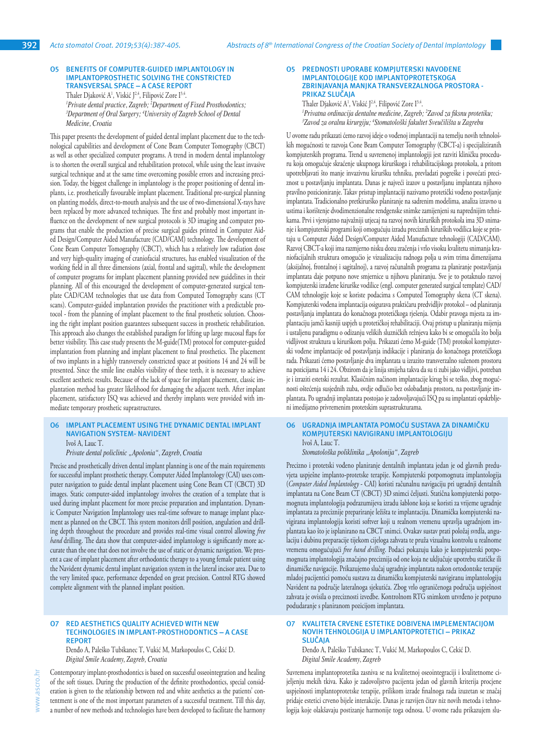#### **O5 BENEFITS OF COMPUTER-GUIDED IMPLANTOLOGY IN IMPLANTOPROSTHETIC SOLVING THE CONSTRICTED TRANSVERSAL SPACE – A CASE REPORT**

Thaler Djaković A<sup>1</sup>, Viskić J<sup>2,4</sup>, Filipović Zore I<sup>3,4</sup>. *1 Private dental practice, Zagreb; <sup>2</sup> Department of Fixed Prosthodontics; 3 Department of Oral Surgery; <sup>4</sup> University of Zagreb School of Dental Medicine, Croatia*

This paper presents the development of guided dental implant placement due to the technological capabilities and development of Cone Beam Computer Tomography (CBCT) as well as other specialized computer programs. A trend in modern dental implantology is to shorten the overall surgical and rehabilitation protocol, while using the least invasive surgical technique and at the same time overcoming possible errors and increasing precision. Today, the biggest challenge in implantology is the proper positioning of dental implants, i.e. prosthetically favourable implant placement. Traditional pre-surgical planning on planting models, direct-to-mouth analysis and the use of two-dimensional X-rays have been replaced by more advanced techniques. The first and probably most important influence on the development of new surgical protocols is 3D imaging and computer programs that enable the production of precise surgical guides printed in Computer Aided Design/Computer Aided Manufacture (CAD/CAM) technology. The development of Cone Beam Computer Tomography (CBCT), which has a relatively low radiation dose and very high-quality imaging of craniofacial structures, has enabled visualization of the working field in all three dimensions (axial, frontal and sagittal), while the development of computer programs for implant placement planning provided new guidelines in their planning. All of this encouraged the development of computer-generated surgical template CAD/CAM technologies that use data from Computed Tomography scans (CT scans). Computer-guided implantation provides the practitioner with a predictable protocol - from the planning of implant placement to the final prosthetic solution. Choosing the right implant position guarantees subsequent success in prosthetic rehabilitation. This approach also changes the established paradigm for lifting up large mucosal flaps for better visibility. This case study presents the M-guide(TM) protocol for computer-guided implantation from planning and implant placement to final prosthetics. The placement of two implants in a highly transversely constricted space at positions 14 and 24 will be presented. Since the smile line enables visibility of these teeth, it is necessary to achieve excellent aesthetic results. Because of the lack of space for implant placement, classic implantation method has greater likelihood for damaging the adjacent teeth. After implant placement, satisfactory ISQ was achieved and thereby implants were provided with immediate temporary prosthetic suprastructures.

# **O6 IMPLANT PLACEMENT USING THE DYNAMIC DENTAL IMPLANT NAVIGATION SYSTEM- NAVIDENT**

Ivoš A, Lauc T.

*Private dental policlinic "Apolonia", Zagreb, Croatia*

Precise and prosthetically driven dental implant planning is one of the main requirements for successful implant prosthetic therapy. Computer Aided Implantology (CAI) uses computer navigation to guide dental implant placement using Cone Beam CT (CBCT) 3D images. Static computer-aided implantology involves the creation of a template that is used during implant placement for more precise preparation and implantation. Dynamic Computer Navigation Implantology uses real-time software to manage implant placement as planned on the CBCT. This system monitors drill position, angulation and drilling depth throughout the procedure and provides real-time visual control allowing *free hand* drilling. The data show that computer-aided implantology is significantly more accurate than the one that does not involve the use of static or dynamic navigation. We present a case of implant placement after orthodontic therapy to a young female patient using the Navident dynamic dental implant navigation system in the lateral incisor area. Due to the very limited space, performance depended on great precision. Control RTG showed complete alignment with the planned implant position.

#### **O7 RED AESTHETICS QUALITY ACHIEVED WITH NEW TECHNOLOGIES IN IMPLANT-PROSTHODONTICS – A CASE REPORT**

Đenđo A, Paleško Tubikanec T, Vukić M, Markopoulos C, Cekić D. *Digital Smile Academy, Zagreb, Croatia*

Contemporary implant-prosthodontics is based on successful osseointegration and healing of the soft tissues. During the production of the definite prosthodontics, special consideration is given to the relationship between red and white aesthetics as the patients' contentment is one of the most important parameters of a successful treatment. Till this day, a number of new methods and technologies have been developed to facilitate the harmony

#### **O5 PREDNOSTI UPORABE KOMPJUTERSKI NAVOĐENE IMPLANTOLOGIJE KOD IMPLANTOPROTETSKOGA ZBRINJAVANJA MANJKA TRANSVERZALNOGA PROSTORA - PRIKAZ SLUČAJA**

Thaler Djaković A<sup>1</sup>, Viskić J<sup>2,4</sup>, Filipović Zore I<sup>3,4</sup>. *1 Privatna ordinacija dentalne medicine, Zagreb; <sup>2</sup> Zavod za fiksnu protetiku; 3 Zavod za oralnu kirurgiju; <sup>4</sup> Stomatološki fakultet Sveučilišta u Zagrebu*

U ovome radu prikazati ćemo razvoj ideje o vođenoj implantaciji na temelju novih tehnoloških mogućnosti te razvoja Cone Beam Computer Tomography (CBCT-a) i specijaliziranih kompjuterskih programa. Trend u suvremenoj implantologiji jest razviti kliničku proceduru koja omogućuje skraćenje ukupnoga kirurškoga i rehabilitacijskoga protokola, a pritom upotrebljavati što manje invazivnu kiruršku tehniku, prevladati pogreške i povećati preciznost u postavljanju implantata. Danas je najveći izazov u postavljanu implantata njihovo pravilno pozicioniranje. Takav pristup implantaciji nazivamo protetički vođeno postavljanje implantata. Tradicionalno pretkirurško planiranje na sadrenim modelima, analiza izravno u ustima i korištenje dvodimenzionalne rendgenske snimke zamijenjeni su naprednijim tehnikama. Prvi i vjerojatno najvažniji utjecaj na razvoj novih kirurških protokola ima 3D snimanje i kompjuterski programi koji omogućuju izradu preciznih kirurških vodilica koje se printaju u Computer Aided Design/Computer Aided Manufacture tehnologiji (CAD/CAM). Razvoj CBCT-a koji ima razmjerno nisku dozu zračenja i vrlo visoku kvalitetu snimanja kraniofacijalnih struktura omogućio je vizualizaciju radnoga polja u svim trima dimenzijama (aksijalnoj, frontalnoj i sagitalnoj), a razvoj računalnih programa za planiranje postavljanja implantata daje potpuno nove smjernice u njihovu planiranju. Sve je to potaknulo razvoj kompjuterski izrađene kirurške vodilice (engl. computer generated surgical template) CAD/ CAM tehnologije koje se koriste podacima s Computed Tomography skena (CT skena). Kompjuterski vođena implantacija osigurava praktičaru predvidljiv protokol – od planiranja postavljanja implantata do konačnoga protetičkoga rješenja. Odabir pravoga mjesta za implantaciju jamči kasniji uspjeh u protetičkoj rehabilitaciji. Ovaj pristup u planiranju mijenja i ustaljenu paradigmu o odizanju velikih sluzničkih režnjeva kako bi se omogućila što bolja vidljivost struktura u kirurškom polju. Prikazati ćemo M-guide (TM) protokol kompjuterski vođene implantacije od postavljanja indikacije i planiranja do konačnoga protetičkoga rada. Prikazati ćemo postavljanje dva implantata u izrazito transverzalno suženom prostoru na pozicijama 14 i 24. Obzirom da je linija smijeha takva da su ti zubi jako vidljivi, potreban je i izraziti estetski rezultat. Klasičnim načinom implantacije kirug bi se teško, zbog mogućnosti oštećenja susjednih zuba, ovdje odlučio bez oslobađanja prostora, na postavljanje implantata. Po ugradnji implantata postojao je zadovoljavajući ISQ pa su implantati opskrbljeni imedijatno privremenim protetskim suprastrukturama.

#### **O6 UGRADNJA IMPLANTATA POMOĆU SUSTAVA ZA DINAMIČKU KOMPJUTERSKI NAVIGIRANU IMPLANTOLOGIJU** Ivoš A, Lauc T.

*Stomatološka poliklinika "Apolonija", Zagreb*

Precizno i protetski vođeno planiranje dentalnih implantata jedan je od glavnih preduvjeta uspješne implanto-protetske terapije. Kompjuterski potpomognuta implantologija (*Computer Aided Implantology* - CAI) koristi računalnu navigaciju pri ugradnji dentalnih implantata na Cone Beam CT (CBCT) 3D snimci čeljusti. Statična kompjuterski potpomognuta implantologija podrazumijeva izradu šablone koja se koristi za vrijeme ugradnje implantata za preciznije prepariranje ležišta te implantaciju. Dinamička kompjuterski navigirana implantologija koristi softver koji u realnom vremenu upravlja ugradnjom implantata kao što je isplanirano na CBCT snimci. Ovakav sustav prati položaj svrdla, angulaciju i dubinu preparacije tijekom cijeloga zahvata te pruža vizualnu kontrolu u realnome vremenu omogućujući *free hand drilling*. Podaci pokazuju kako je kompjuterski potpomognuta implantologija značajno preciznija od one koja ne uključuje upotrebu statičke ili dinamičke navigacije. Prikazujemo slučaj ugradnje implantata nakon ortodontske terapije mladoj pacijentici pomoću sustava za dinamičku kompjuterski navigiranu implantologiju Navident na područje lateralnoga sjekutića. Zbog vrlo ograničenoga područja uspješnost zahvata je ovisila o preciznosti izvedbe. Kontrolnom RTG snimkom utvrđeno je potpuno podudaranje s planiranom pozicijom implantata.

#### **O7 KVALITETA CRVENE ESTETIKE DOBIVENA IMPLEMENTACIJOM NOVIH TEHNOLOGIJA U IMPLANTOPROTETICI – PRIKAZ SLUČAJA**

Đenđo A, Paleško Tubikanec T, Vukić M, Markopoulos C, Cekić D. *Digital Smile Academy, Zagreb*

Suvremena implantoprotetika zasniva se na kvalitetnoj oseointegraciji i kvalitetnome cijeljenju mekih tkiva. Kako je zadovoljstvo pacijenta jedan od glavnih kriterija procjene uspješnosti implantoprotetske terapije, prilikom izrade finalnoga rada izuzetan se značaj pridaje estetici crveno bijele interakcije. Danas je razvijen čitav niz novih metoda i tehnologija koje olakšavaju postizanje harmonije toga odnosa. U ovome radu prikazujem slu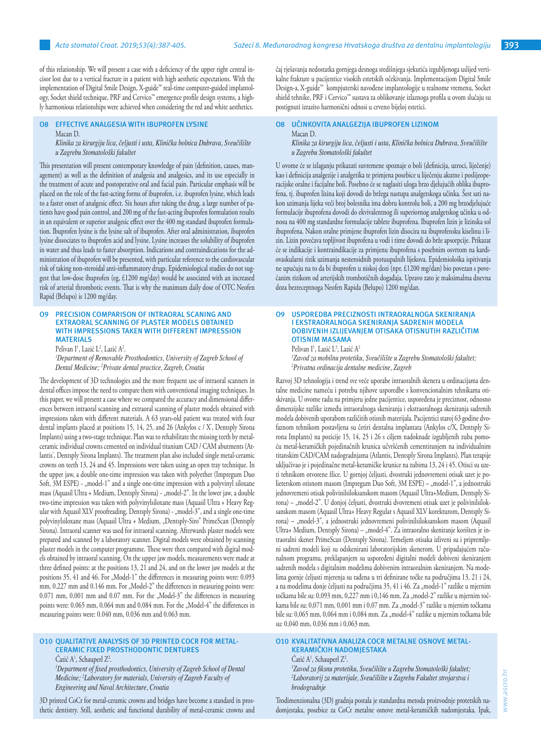of this relationship. We will present a case with a deficiency of the upper right central incisor lost due to a vertical fracture in a patient with high aesthetic expectations. With the implementation of Digital Smile Design, X-guide™ real-time computer-guided implantology, Socket shield technique, PRF and Cervico™ emergence profile design systems, a highly harmonious relationships were achieved when considering the red and white aesthetics.

#### **O8 EFFECTIVE ANALGESIA WITH IBUPROFEN LYSINE** Macan D.

*Klinika za kirurgiju lica, čeljusti i usta, Klinička bolnica Dubrava, Sveučilište u Zagrebu Stomatološki fakultet*

This presentation will present contemporary knowledge of pain (definition, causes, management) as well as the definition of analgesia and analgesics, and its use especially in the treatment of acute and postoperative oral and facial pain. Particular emphasis will be placed on the role of the fast-acting forms of ibuprofen, i.e. ibuprofen lysine, which leads to a faster onset of analgesic effect. Six hours after taking the drug, a large number of patients have good pain control, and 200 mg of the fast-acting ibuprofen formulation results in an equivalent or superior analgesic effect over the 400 mg standard ibuprofen formulation. Ibuprofen lysine is the lysine salt of ibuprofen. After oral administration, ibuprofen lysine dissociates to ibuprofen acid and lysine. Lysine increases the solubility of ibuprofen in water and thus leads to faster absorption. Indications and contraindications for the administration of ibuprofen will be presented, with particular reference to the cardiovascular risk of taking non-steroidal anti-inflammatory drugs. Epidemiological studies do not suggest that low-dose ibuprofen (eg, £1200 mg/day) would be associated with an increased risk of arterial thrombotic events. That is why the maximum daily dose of OTC Neofen Rapid (Belupo) is 1200 mg/day.

#### **O9 PRECISION COMPARISON OF INTRAORAL SCANING AND EXTRAORAL SCANNING OF PLASTER MODELS OBTAINED WITH IMPRESSIONS TAKEN WITH DIFFERENT IMPRESSION MATERIALS**

Pelivan I<sup>1</sup>, Lazić L<sup>2</sup>, Lazić A<sup>2</sup>.

*1 Department of Removable Prosthodontics, University of Zagreb School of Dental Medicine; <sup>2</sup> Private dental practice, Zagreb, Croatia*

The development of 3D technologies and the more frequent use of intraoral scanners in dental offices impose the need to compare them with conventional imaging techniques. In this paper, we will present a case where we compared the accuracy and dimensional differences between intraoral scanning and extraoral scanning of plaster models obtained with impressions taken with different materials. A 63 years-old patient was treated with four dental implants placed at positions 15, 14, 25, and 26 (Ankylos c / X, Dentsply Sirona Implants) using a two-stage technique. Plan was to rehabilitate the missing teeth by metalceramic individual crowns cemented on individual titanium CAD / CAM abutments (Atlantis , Dentsply Sirona Implants). The treatment plan also included single metal-ceramic crowns on teeth 13, 24 and 45. Impressions were taken using an open tray technique. In the upper jaw, a double one-time impression was taken with polyether (Impregum Duo Soft, 3M ESPE) - "model-1" and a single one-time impression with a polyvinyl siloxane mass (Aquasil Ultra + Medium, Dentsply Sirona) - "model-2". In the lower jaw, a double two-time impression was taken with polyvinylsiloxane mass (Aquasil Ultra + Heavy Regular with Aquasil XLV proofreading, Dentsply Sirona) - "model-3", and a single one-time polyvinylsiloxane mass (Aquasil Ultra + Medium, "Dentsply-Siro" PrimeScan (Dentsply Sirona). Intraoral scanner was used for intraoral scanning. Afterwards plaster models were prepared and scanned by a laboratory scanner. Digital models were obtained by scanning plaster models in the computer programme. These were then compared with digital models obtained by intraoral scanning. On the upper jaw models, measurements were made at three defined points: at the positions 13, 21 and 24, and on the lower jaw models at the positions 35, 41 and 46. For "Model-1" the differences in measuring points were: 0.093 mm, 0.227 mm and 0.146 mm. For "Model-2" the differences in measuring points were:  $0.071$  mm,  $0.001$  mm and  $0.07$  mm. For the "Model-3" the differences in measuring points were: 0.065 mm, 0.064 mm and 0.084 mm. For the "Model-4" the differences in measuring points were: 0.040 mm, 0.036 mm and 0.063 mm.

# **O10 QUALITATIVE ANALYSIS OF 3D PRINTED COCR FOR METAL-CERAMIC FIXED PROSTHODONTIC DENTURES**

Catić A<sup>1</sup>, Schauperl Z<sup>2</sup>.

*1 Department of fixed prosthodontics, University of Zagreb School of Dental Medicine; <sup>2</sup> Laboratory for materials, University of Zagreb Faculty of Engineering and Naval Architecture, Croatia*

3D printed CoCr for metal-ceramic crowns and bridges have become a standard in prosthetic dentistry. Still, aesthetic and functional durability of metal-ceramic crowns and čaj rješavanja nedostatka gornjega desnoga središnjega sjekutića izgubljenoga uslijed vertikalne frakture u pacijentice visokih estetskih očekivanja. Implementacijom Digital Smile Design-a, X-guide™ kompjuterski navođene implantologije u realnome vremenu, Socket shield tehnike, PRF i Cervico™ sustava za oblikovanje izlaznoga profila u ovom slučaju su postignuti izrazito harmonični odnosi u crveno bijeloj estetici.

# **O8 UČINKOVITA ANALGEZIJA IBUPROFEN LIZINOM** Macan D.

*Klinika za kirurgiju lica, čeljusti i usta, Klinička bolnica Dubrava, Sveučilište u Zagrebu Stomatološki fakultet*

U ovome će se izlaganju prikazati suvremene spoznaje o boli (definicija, uzroci, liječenje) kao i definicija analgezije i analgetika te primjena posebice u liječenju akutne i poslijeoperacijske oralne i facijalne boli. Posebno će se naglasiti uloga brzo djelujućih oblika ibuprofena, tj. ibuprofen lizina koji dovodi do bržega nastupa analgetskoga učinka. Šest sati nakon uzimanja lijeka veći broj bolesnika ima dobru kontrolu boli, a 200 mg brzodjelujuće formulacije ibuprofena dovodi do ekvivalentnog ili superiornog analgetskog učinka u odnosu na 400 mg standardne formulacije tablete ibuprofena. Ibuprofen lizin je lizinska sol ibuprofena. Nakon oralne primjene ibuprofen lizin disocira na ibuprofensku kiselinu i lizin. Lizin povećava topljivost ibuprofena u vodi i time dovodi do brže apsorpcije. Prikazat će se indikacije i kontraindikacije za primjenu ibuprofena s posebnim osvrtom na kardiovaskularni rizik uzimanja nesteroidnih protuupalnih lijekova. Epidemiološka ispitivanja ne upućuju na to da bi ibuprofen u niskoj dozi (npr. £1200 mg/dan) bio povezan s povećanim rizikom od arterijskih trombotičnih događaja. Upravo zato je maksimalma dnevna doza bezreceptnoga Neofen Rapida (Belupo) 1200 mg/dan.

# **O9 USPOREDBA PRECIZNOSTI INTRAORALNOGA SKENIRANJA I EKSTRAORALNOGA SKENIRANJA SADRENIH MODELA DOBIVENIH IZLIJEVANJEM OTISAKA OTISNUTIH RAZLIČITIM OTISNIM MASAMA**

Pelivan I<sup>1</sup>, Lazić L<sup>2</sup>, Lazić A<sup>2</sup>

*1 Zavod za mobilnu protetiku, Sveučilište u Zagrebu Stomatološki fakultet; 2 Privatna ordinacija dentalne medicine, Zagreb*

Razvoj 3D tehnologija i trend sve veće uporabe intraoralnih skenera u ordinacijama dentalne medicine nameću i potrebu njihove usporedbe s konvencionalnim tehnikama otiskivanja. U ovome radu na primjeru jedne pacijentice, uspoređena je preciznost, odnosno dimenzijske razlike između intraoralnoga skeniranja i ekstraoralnoga skeniranja sadrenih modela dobivenih uporabom različitih otisnih materijala. Pacijentici staroj 63 godine dvofaznom tehnikom postavljena su četiri dentalna implantata (Ankylos c/X, Dentsply Sirona Implants) na pozicije 15, 14, 25 i 26 s ciljem nadoknade izgubljenih zuba pomoću metal-keramičkih pojedinačnih krunica učvršćenih cementiranjem na individualnim titanskim CAD/CAM nadogradnjama (Atlantis, Dentsply Sirona Implants). Plan terapije uključivao je i pojedinačne metal-keramičke krunice na zubima 13, 24 i 45. Otisci su uzeti tehnikom otvorene žlice. U gornjoj čeljusti, dvostruki jednovremeni otisak uzet je polieterskom otisnom masom (Impregum Duo Soft, 3M ESPE) – "model-1", a jednostruki jednovremeni otisak polivinilsiloksanskom masom (Aquasil Ultra+Medium, Dentsply Sirona) – "model-2". U donjoj čeljusti, dvostruki dvovremeni otisak uzet je polivinilsiloksanskom masom (Aquasil Ultra+ Heavy Regular s Aquasil XLV korekturom, Dentsply Sirona) – "model-3", a jednostruki jednovremeni polivinilsiloksanskom masom (Aquasil Ultra+ Medium, Dentsply Sirona) – "model-4". Za intraoralno skeniranje korišten je intraoralni skener PrimeScan (Dentsply Sirona). Temeljem otisaka izliveni su i pripremljeni sadreni modeli koji su odskenirani laboratorijskim skenerom. U pripadajućem računalnom programu, preklapanjem su uspoređeni digitalni modeli dobiveni skeniranjem sadrenih modela s digitalnim modelima dobivenim intraoralnim skeniranjem. Na modelima gornje čeljusti mjerenja su rađena u tri definirane točke na područjima 13, 21 i 24, a na modelima donje čeljusti na područjima 35, 41 i 46. Za "model-1" razlike u mjernim točkama bile su: 0,093 mm, 0,227 mm i 0,146 mm. Za "model-2" razlike u mjernim točkama bile su: 0,071 mm, 0,001 mm i 0,07 mm. Za "model-3" razlike u mjernim točkama bile su: 0,065 mm, 0,064 mm i 0,084 mm. Za "model-4" razlike u mjernim točkama bile su: 0,040 mm, 0,036 mm i 0,063 mm.

# **O10 KVALITATIVNA ANALIZA COCR METALNE OSNOVE METAL-KERAMIČKIH NADOMJESTAKA**

Catić A<sup>1</sup>, Schauperl Z<sup>2</sup>. *1 Zavod za fiksnu protetiku, Sveučilište u Zagrebu Stomatološki fakultet;* 

*2 Laboratorij za materijale, Sveučilište u Zagrebu Fakultet strojarstva i brodogradnje*

Trodimenzionalna (3D) gradnja postala je standardna metoda proizvodnje protetskih nadomjestaka, posebice za CoCr metalne osnove metal-keramičkih nadomjestaka. Ipak,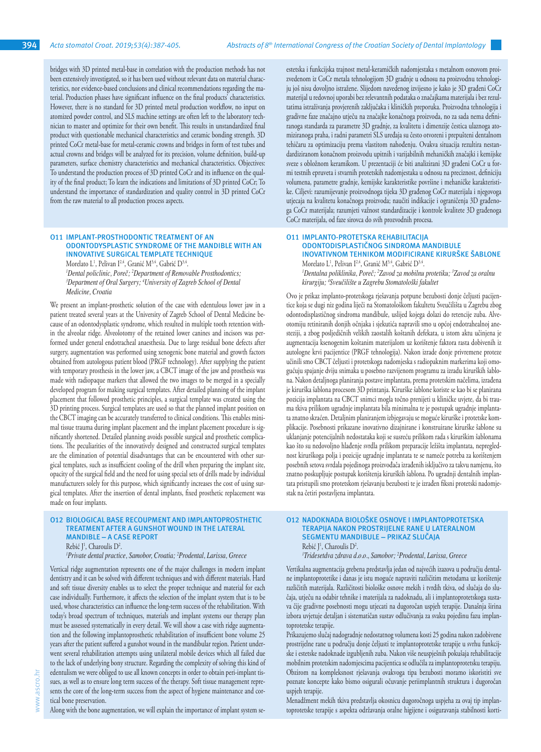bridges with 3D printed metal-base in correlation with the production methods has not been extensively investigated, so it has been used without relevant data on material characteristics, nor evidence-based conclusions and clinical recommendations regarding the material. Production phases have significant influence on the final products' characteristics. However, there is no standard for 3D printed metal production workflow, no input on atomized powder control, and SLS machine settings are often left to the laboratory technician to master and optimize for their own benefit. This results in unstandardized final product with questionable mechanical characteristics and ceramic bonding strength. 3D printed CoCr metal-base for metal-ceramic crowns and bridges in form of test tubes and actual crowns and bridges will be analyzed for its precision, volume definition, build-up parameters, surface chemistry characteristics and mechanical characteristics. Objectives: To understand the production process of 3D printed CoCr and its influence on the quality of the final product; To learn the indications and limitations of 3D printed CoCr; To understand the importance of standardization and quality control in 3D printed CoCr from the raw material to all production process aspects.

# **O11 IMPLANT-PROSTHODONTIC TREATMENT OF AN ODONTODYSPLASTIC SYNDROME OF THE MANDIBLE WITH AN INNOVATIVE SURGICAL TEMPLATE TECHNIQUE**

Morelato  $L^1$ , Pelivan  $L^{2,4}$ , Granić M<sup>3,4</sup>, Gabrić D<sup>3,4</sup>. *1 Dental policlinic, Poreč; <sup>2</sup> Department of Removable Prosthodontics; 3 Department of Oral Surgery; <sup>4</sup> University of Zagreb School of Dental Medicine, Croatia*

We present an implant-prosthetic solution of the case with edentulous lower jaw in a patient treated several years at the University of Zagreb School of Dental Medicine because of an odontodysplastic syndrome, which resulted in multiple tooth retention within the alveolar ridge. Alveolotomy of the retained lower canines and incisors was performed under general endotracheal anaesthesia. Due to large residual bone defects after surgery, augmentation was performed using xenogenic bone material and growth factors obtained from autologous patient blood (PRGF technology). After supplying the patient with temporary prosthesis in the lower jaw, a CBCT image of the jaw and prosthesis was made with radiopaque markers that allowed the two images to be merged in a specially developed program for making surgical templates. After detailed planning of the implant placement that followed prosthetic principles, a surgical template was created using the 3D printing process. Surgical templates are used so that the planned implant position on the CBCT imaging can be accurately transferred to clinical conditions. This enables minimal tissue trauma during implant placement and the implant placement procedure is significantly shortened. Detailed planning avoids possible surgical and prosthetic complications. The peculiarities of the innovatively designed and constructed surgical templates are the elimination of potential disadvantages that can be encountered with other surgical templates, such as insufficient cooling of the drill when preparing the implant site, opacity of the surgical field and the need for using special sets of drills made by individual manufacturers solely for this purpose, which significantly increases the cost of using surgical templates. After the insertion of dental implants, fixed prosthetic replacement was made on four implants.

# **O12 BIOLOGICAL BASE RECOUPMENT AND IMPLANTOPROSTHETIC TREATMENT AFTER A GUNSHOT WOUND IN THE LATERAL MANDIBLE – A CASE REPORT**

Rebić J<sup>1</sup>, Charoulis D<sup>2</sup>. *1 Private dental practice, Samobor, Croatia; <sup>2</sup> Prodental, Larissa, Greece*

Vertical ridge augmentation represents one of the major challenges in modern implant dentistry and it can be solved with different techniques and with different materials. Hard and soft tissue diversity enables us to select the proper technique and material for each case individually. Furthermore, it affects the selection of the implant system that is to be used, whose characteristics can influence the long-term success of the rehabilitation. With today's broad spectrum of techniques, materials and implant systems our therapy plan must be assessed systematically in every detail. We will show a case with ridge augmentation and the following implantoprosthetic rehabilitation of insufficient bone volume 25 years after the patient suffered a gunshot wound in the mandibular region. Patient underwent several rehabilitation attempts using unilateral mobile devices which all failed due to the lack of underlying bony structure. Regarding the complexity of solving this kind of edentulism we were obliged to use all known concepts in order to obtain peri-implant tissues, as well as to ensure long term success of the therapy. Soft tissue management represents the core of the long-term success from the aspect of hygiene maintenance and cortical bone preservation.

Along with the bone augmentation, we will explain the importance of implant system se-

estetska i funkcijska trajnost metal-keramičkih nadomjestaka s metalnom osnovom proizvedenom iz CoCr metala tehnologijom 3D gradnje u odnosu na proizvodnu tehnologiju još nisu dovoljno istražene. Slijedom navedenog izvijesno je kako je 3D građeni CoCr materijal u redovnoj uporabi bez relevantnih podataka o značajkama materijala i bez rezultatima istraživanja provjerenih zaključaka i kliničkih preporuka. Proizvodna tehnologija i gradivne faze značajno utječu na značajke konačnoga proizvoda, no za sada nema definiranoga standarda za parametre 3D gradnje, za kvalitetu i dimenzije čestica ulaznoga atomiziranoga praha, i radni parametri SLS uređaja su često otvoreni i prepušteni dentalnom tehičaru za optimizaciju prema vlastitom nahođenju. Ovakva situacija rezultira nestandardiziranom konačnom proizvodu upitnih i varijabilnih mehaničkih značajki i kemijske sveze s obložnom keramikom. U prezentaciji će biti analizirani 3D građeni CoCr u formi testnih epruveta i stvarnih protetskih nadomjestaka u odnosu na preciznost, definiciju volumena, parametre gradnje, kemijske karakteristike površine i mehaničke karakteristike. Ciljevi: razumijevanje proizvodnoga tijeka 3D građenog CoCr materijala i njegovoga utjecaja na kvalitetu konačnoga proizvoda; naučiti indikacije i ograničenja 3D građenoga CoCr materijala; razumjeti važnost standardizacije i kontrole kvalitete 3D građenoga CoCr materijala, od faze sirovca do svih prozvodnih procesa.

#### **O11 IMPLANTO-PROTETSKA REHABILITACIJA ODONTODISPLASTIČNOG SINDROMA MANDIBULE INOVATIVNOM TEHNIKOM MODIFICIRANE KIRURŠKE ŠABLONE**

Morelato  $L^1$ , Pelivan  $L^{2,4}$ , Granić M<sup>3,4</sup>, Gabrić D<sup>3,4</sup>. *1 Dentalna poliklinika, Poreč; <sup>2</sup> Zavod za mobilnu protetiku; <sup>3</sup> Zavod za oralnu kirurgiju; <sup>4</sup> Sveučilište u Zagrebu Stomatološki fakultet* 

Ovo je prikaz implanto-protetskoga rješavanja potpune bezubosti donje čeljusti pacijentice koja se dugi niz godina liječi na Stomatološkom fakultetu Sveučilišta u Zagrebu zbog odontodisplastičnog sindroma mandibule, uslijed kojega dolazi do retencije zuba. Alveotomiju retiniranih donjih očnjaka i sjekutića napravili smo u općoj endotrahealnoj anesteziji, a zbog posljedičnih velikih zaostalih koštanih defekata, u istom aktu učinjena je augmentacija ksenogenim koštanim materijalom uz korištenje faktora rasta dobivenih iz autologne krvi pacijentice (PRGF tehnologija). Nakon izrade donje privremene proteze učinili smo CBCT čeljusti i protetskoga nadomjeska s radiopaknim markerima koji omogućuju spajanje dviju snimaka u posebno razvijenom programu za izradu kirurških šablona. Nakon detaljnoga planiranja postave implantata, prema protetskim načelima, izrađena je kirurška šablona procesom 3D printanja. Kirurške šablone koriste se kao bi se planirana pozicija implantata na CBCT snimci mogla točno prenijeti u kliničke uvjete, da bi trauma tkiva prilikom ugradnje implantata bila minimalna te je postupak ugradnje implantata znatno skraćen. Detaljnim planiranjem izbjegavaju se moguće kirurške i protetske komplikacije. Posebnosti prikazane inovativno dizajnirane i konstruirane kirurške šablone su uklanjanje potencijalnih nedostataka koji se susreću prilikom rada s kirurškim šablonama kao što su nedovoljno hlađenje svrdla prilikom preparacije ležišta implantata, nepreglednost kirurškoga polja i pozicije ugradnje implantata te se nameće potreba za korištenjem posebnih setova svrdala pojedinoga proizvođača izrađenih isključivo za takvu namjenu, što znatno poskupljuje postupak korištenja kirurških šablona. Po ugradnji dentalnih implantata pristupili smo protetskom rješavanju bezubosti te je izrađen fiksni protetski nadomjestak na četiri postavljena implantata.

#### **O12 NADOKNADA BIOLOŠKE OSNOVE I IMPLANTOPROTETSKA TERAPIJA NAKON PROSTRIJELNE RANE U LATERALNOM SEGMENTU MANDIBULE – PRIKAZ SLUČAJA** Rebić J<sup>1</sup>, Charoulis D<sup>2</sup>.

*1 Tridesetdva zdrava d.o.o., Samobor; <sup>2</sup> Prodental, Larissa, Greece*

Vertikalna augmentacija grebena predstavlja jedan od najvećih izazova u području dentalne implantoprotetike i danas je istu moguće napraviti različitim metodama uz korištenje različitih materijala. Različitosti biološke osnove mekih i tvrdih tkiva, od slučaja do slučaja, utječu na odabir tehnike i materijala za nadoknadu, ali i implantoprotetskoga sustava čije gradivne posebnosti mogu utjecati na dugoročan uspjeh terapije. Današnja širina izbora uvjetuje detaljan i sistematičan sustav odlučivanja za svaku pojedinu fazu implantoprotetske terapije.

Prikazujemo slučaj nadogradnje nedostatnog volumena kosti 25 godina nakon zadobivene prostrijelne rane u području donje čeljusti te implantoprotetske terapije u svrhu funkcijske i estetske nadoknade izgubljenih zuba. Nakon više neuspješnih pokušaja rehabilitacije mobilnim protetskim nadomjescima pacijentica se odlučila za implantoprotetsku terapiju. Obzirom na kompleksnost rješavanja ovakvoga tipa bezubosti moramo iskoristiti sve poznate koncepte kako bismo osigurali očuvanje periimplantnih struktura i dugoročan uspjeh terapije.

Menadžment mekih tkiva predstavlja okosnicu dugoročnoga uspjeha za ovaj tip implantoprotetske terapije s aspekta održavanja oralne higijene i osiguravanja stabilnosti korti-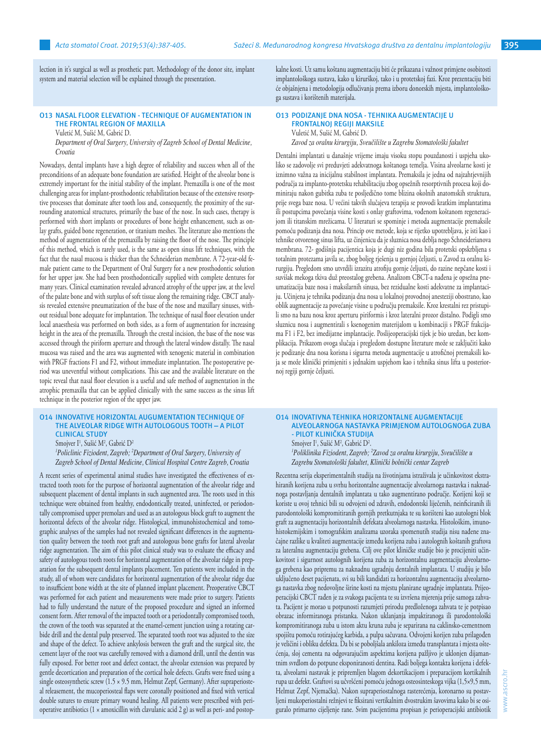lection in it's surgical as well as prosthetic part. Methodology of the donor site, implant system and material selection will be explained through the presentation.

#### **O13 NASAL FLOOR ELEVATION - TECHNIQUE OF AUGMENTATION IN THE FRONTAL REGION OF MAXILLA**

Vuletić M, Sušić M, Gabrić D.

*Department of Oral Surgery, University of Zagreb School of Dental Medicine, Croatia*

Nowadays, dental implants have a high degree of reliability and success when all of the preconditions of an adequate bone foundation are satisfied. Height of the alveolar bone is extremely important for the initial stability of the implant. Premaxilla is one of the most challenging areas for implant-prosthodontic rehabilitation because of the extensive resorptive processes that dominate after tooth loss and, consequently, the proximity of the surrounding anatomical structures, primarily the base of the nose. In such cases, therapy is performed with short implants or procedures of bone height enhancement, such as onlay grafts, guided bone regeneration, or titanium meshes. The literature also mentions the method of augmentation of the premaxilla by raising the floor of the nose. The principle of this method, which is rarely used, is the same as open sinus lift techniques, with the fact that the nasal mucosa is thicker than the Schneiderian membrane. A 72-year-old female patient came to the Department of Oral Surgery for a new prosthodontic solution for her upper jaw. She had been prosthodontically supplied with complete dentures for many years. Clinical examination revealed advanced atrophy of the upper jaw, at the level of the palate bone and with surplus of soft tissue along the remaining ridge. CBCT analysis revealed extensive pneumatization of the base of the nose and maxillary sinuses, without residual bone adequate for implantation. The technique of nasal floor elevation under local anaesthesia was performed on both sides, as a form of augmentation for increasing height in the area of the premaxilla. Through the crestal incision, the base of the nose was accessed through the piriform aperture and through the lateral window distally. The nasal mucosa was raised and the area was augmented with xenogenic material in combination with PRGF fractions F1 and F2, without immediate implantation. The postoperative period was uneventful without complications. This case and the available literature on the topic reveal that nasal floor elevation is a useful and safe method of augmentation in the atrophic premaxilla that can be applied clinically with the same success as the sinus lift technique in the posterior region of the upper jaw.

#### **O14 INNOVATIVE HORIZONTAL AUGUMENTATION TECHNIQUE OF THE ALVEOLAR RIDGE WITH AUTOLOGOUS TOOTH – A PILOT CLINICAL STUDY**

Smojver I<sup>1</sup>, Sušić M<sup>2</sup>, Gabrić D<sup>2</sup>

*1 Policlinic Fiziodent, Zagreb; <sup>2</sup> Department of Oral Surgery, University of Zagreb School of Dental Medicine, Clinical Hospital Centre Zagreb, Croatia*

A recent series of experimental animal studies have investigated the effectiveness of extracted tooth roots for the purpose of horizontal augmentation of the alveolar ridge and subsequent placement of dental implants in such augmented area. The roots used in this technique were obtained from healthy, endodontically treated, uninfected, or periodontally compromised upper premolars and used as an autologous block graft to augment the horizontal defects of the alveolar ridge. Histological, immunohistochemical and tomographic analyses of the samples had not revealed significant differences in the augmentation quality between the tooth root graft and autologous bone grafts for lateral alveolar ridge augmentation. The aim of this pilot clinical study was to evaluate the efficacy and safety of autologous tooth roots for horizontal augmentation of the alveolar ridge in preparation for the subsequent dental implants placement. Ten patients were included in the study, all of whom were candidates for horizontal augmentation of the alveolar ridge due to insufficient bone width at the site of planned implant placement. Preoperative CBCT was performed for each patient and measurements were made prior to surgery. Patients had to fully understand the nature of the proposed procedure and signed an informed consent form. After removal of the impacted tooth or a periodontally compromised tooth, the crown of the tooth was separated at the enamel-cement junction using a rotating carbide drill and the dental pulp preserved. The separated tooth root was adjusted to the size and shape of the defect. To achieve ankylosis between the graft and the surgical site, the cement layer of the root was carefully removed with a diamond drill, until the dentin was fully exposed. For better root and defect contact, the alveolar extension was prepared by gentle decortication and preparation of the cortical hole defects. Grafts were fixed using a single osteosynthetic screw (1.5 × 9.5 mm, Helmut Zepf, Germany). After supraperiosteal releasement, the mucoperiosteal flaps were coronally positioned and fixed with vertical double sutures to ensure primary wound healing. All patients were prescribed with perioperative antibiotics (1  $\times$  amoxicillin with clavulanic acid 2 g) as well as peri- and postopkalne kosti. Uz samu koštanu augmentaciju biti će prikazana i važnost primjene osobitosti implantološkoga sustava, kako u kirurškoj, tako i u protetskoj fazi. Kroz prezentaciju biti će objašnjena i metodologija odlučivanja prema izboru donorskih mjesta, implantološkoga sustava i korištenih materijala.

#### **O13 PODIZANJE DNA NOSA - TEHNIKA AUGMENTACIJE U FRONTALNOJ REGIJI MAKSILE** Vuletić M, Sušić M, Gabrić D.

*Zavod za oralnu kirurgiju, Sveučilište u Zagrebu Stomatološki fakultet* 

Dentalni implantati u današnje vrijeme imaju visoku stopu pouzdanosti i uspjeha ukoliko se zadovolje svi preduvjeti adekvatnoga koštanoga temelja. Visina alveolarne kosti je iznimno važna za inicijalnu stabilnost implantata. Premaksila je jedna od najzahtjevnijih područja za implanto-protetsku rehabilitaciju zbog opsežnih resorptivnih procesa koji dominiraju nakon gubitka zuba te posljedično tome blizina okolnih anatomskih struktura, prije svega baze nosa. U većini takvih slučajeva terapija se provodi kratkim implantatima ili postupcima povećanja visine kosti s onlay graftovima, vođenom koštanom regeneracijom ili titanskim mrežicama. U literaturi se spominje i metoda augmentacije premaksile pomoću podizanja dna nosa. Princip ove metode, koja se rijetko upotrebljava, je isti kao i tehnike otvorenog sinus lifta, uz činjenicu da je sluznica nosa deblja nego Schneiderianova membrana. 72- godišnja pacijentica koja je dugi niz godina bila protetski opskrbljena s totalnim protezama javila se, zbog boljeg rješenja u gornjoj čeljusti, u Zavod za oralnu kirurgiju. Pregledom smo utvrdili izrazitu atrofiju gornje čeljusti, do razine nepčane kosti i suvišak mekoga tkiva duž preostalog grebena. Analizom CBCT-a nađena je opsežna pneumatizacija baze nosa i maksilarnih sinusa, bez rezidualne kosti adekvatne za implantaciju. Učinjena je tehnika podizanja dna nosa u lokalnoj provodnoj anesteziji obostrano, kao oblik augmentacije za povećanje visine u području premaksile. Kroz krestalni rez pristupili smo na bazu nosa kroz aperturu piriformis i kroz lateralni prozor distalno. Podigli smo sluznicu nosa i augmentirali s ksenogenim materijalom u kombinaciji s PRGF frakcijama F1 i F2, bez imedijatne implantacije. Poslijeoperacijski tijek je bio uredan, bez komplikacija. Prikazom ovoga slučaja i pregledom dostupne literature može se zaključiti kako je podizanje dna nosa korisna i sigurna metoda augmentacije u atrofičnoj premaksili koja se može klinički primjeniti s jednakim uspjehom kao i tehnika sinus lifta u posteriornoj regiji gornje čeljusti.

#### **O14 INOVATIVNA TEHNIKA HORIZONTALNE AUGMENTACIJE ALVEOLARNOGA NASTAVKA PRIMJENOM AUTOLOGNOGA ZUBA - PILOT KLINIČKA STUDIJA** Smojver I<sup>1</sup>, Sušić M<sup>2</sup>, Gabrić D<sup>2</sup>.

*1 Poliklinika Fiziodent, Zagreb; <sup>2</sup> Zavod za oralnu kirurgiju, Sveučilište u Zagrebu Stomatološki fakultet, Klinički bolnički centar Zagreb* 

Recentna serija eksperimentalnih studija na životinjama istraživala je učinkovitost ekstrahiranih korijena zuba u svrhu horizontalne augmentacije alveolarnoga nastavka i naknadnoga postavljanja dentalnih implantata u tako augmentirano područje. Korijeni koji se koriste u ovoj tehnici bili su odvojeni od zdravih, endodontski liječenih, neinficiranih ili parodontološki kompromitiranih gornjih pretkutnjaka te su korišteni kao autologni blok graft za augmentaciju horizontalnih defekata alveolarnoga nastavka. Histološkim, imunohistokemijskim i tomografskim analizama uzoraka spomenutih studija nisu nađene značajne razlike u kvaliteti augmentacije između korijena zuba i autolognih koštanih graftova za lateralnu augmentaciju grebena. Cilj ove pilot kliničke studije bio je procijeniti učinkovitost i sigurnost autolognih korijena zuba za horizontalnu augmentaciju alveolarnoga grebena kao pripremu za naknadnu ugradnju dentalnih implantata. U studiju je bilo uključeno deset pacijenata, svi su bili kandidati za horizontalnu augmentaciju alveolarnoga nastavka zbog nedovoljne širine kosti na mjestu planirane ugradnje implantata. Prijeoperacijski CBCT rađen je za svakoga pacijenta te su izvršena mjerenja prije samoga zahvata. Pacijent je morao u potpunosti razumjeti prirodu predloženoga zahvata te je potpisao obrazac informiranoga pristanka. Nakon uklanjanja impaktiranoga ili parodontološki kompromitiranoga zuba u istom aktu kruna zuba je separirana na caklinsko-cementnom spojištu pomoću rotirajućeg karbida, a pulpa sačuvana. Odvojeni korijen zuba prilagođen je veličini i obliku defekta. Da bi se poboljšala ankiloza između transplantata i mjesta oštećenja, sloj cementa na odgovarajućim aspektima korijena pažljivo je uklonjen dijamantnim svrdlom do potpune eksponiranosti dentina. Radi boljega kontakta korijena i defekta, alveolarni nastavak je pripremljen blagom dekortikacijom i preparacijom kortikalnih rupa uz defekt. Graftovi su učvršćeni pomoću jednoga osteosinteskoga vijka (1,5×9,5 mm, Helmut Zepf, Njemačka). Nakon supraperiostalnoga rasterećenja, koronarno su postavljeni mukoperiostalni režnjevi te fiksirani vertikalnim dvostrukim šavovima kako bi se osiguralo primarno cijeljenje rane. Svim pacijentima propisan je perioperacijski antibiotik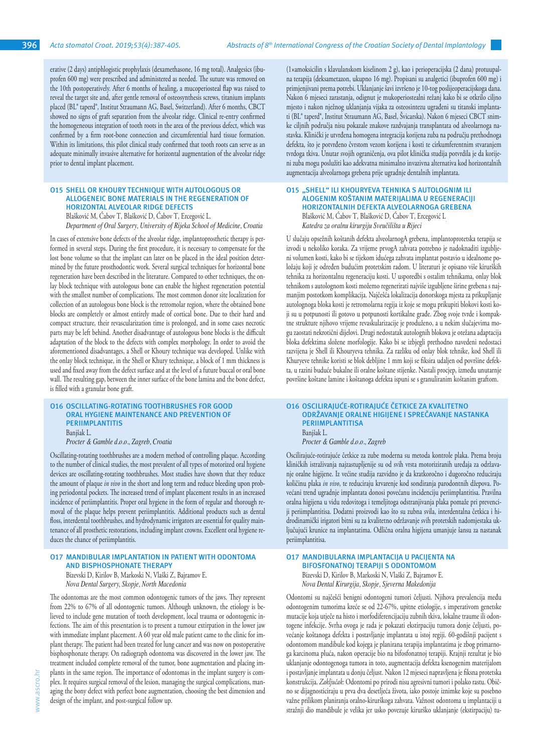erative (2 days) antiphlogistic prophylaxis (dexamethasone, 16 mg total). Analgesics (ibuprofen 600 mg) were prescribed and administered as needed. The suture was removed on the 10th postoperatively. After 6 months of healing, a mucoperiosteal flap was raised to reveal the target site and, after gentle removal of osteosynthesis screws, titanium implants placed (BL® taperd®, Institut Straumann AG, Basel, Switzerland). After 6 months, CBCT showed no signs of graft separation from the alveolar ridge. Clinical re-entry confirmed the homogeneous integration of tooth roots in the area of the previous defect, which was confirmed by a firm root-bone connection and circumferential hard tissue formation. Within its limitations, this pilot clinical study confirmed that tooth roots can serve as an adequate minimally invasive alternative for horizontal augmentation of the alveolar ridge prior to dental implant placement.

# **O15 SHELL OR KHOURY TECHNIQUE WITH AUTOLOGOUS OR ALLOGENEIC BONE MATERIALS IN THE REGENERATION OF HORIZONTAL ALVEOLAR RIDGE DEFECTS**

Blašković M, Ćabov T, Blašković D, Ćabov T, Ercegović L. *Department of Oral Surgery, University of Rijeka School of Medicine, Croatia* 

In cases of extensive bone defects of the alveolar ridge, implantoprosthetic therapy is performed in several steps. During the first procedure, it is necessary to compensate for the lost bone volume so that the implant can later on be placed in the ideal position determined by the future prosthodontic work. Several surgical techniques for horizontal bone regeneration have been described in the literature. Compared to other techniques, the onlay block technique with autologous bone can enable the highest regeneration potential with the smallest number of complications. The most common donor site localization for collection of an autologous bone block is the retromolar region, where the obtained bone blocks are completely or almost entirely made of cortical bone. Due to their hard and compact structure, their revascularization time is prolonged, and in some cases necrotic parts may be left behind. Another disadvantage of autologous bone blocks is the difficult adaptation of the block to the defects with complex morphology. In order to avoid the aforementioned disadvantages, a Shell or Khoury technique was developed. Unlike with the onlay block technique, in the Shell or Khury technique, a block of 1 mm thickness is used and fixed away from the defect surface and at the level of a future buccal or oral bone wall. The resulting gap, between the inner surface of the bone lamina and the bone defect, is filled with a granular bone graft.

#### **O16 OSCILLATING-ROTATING TOOTHBRUSHES FOR GOOD ORAL HYGIENE MAINTENANCE AND PREVENTION OF PERIIMPLANTITIS** Banjšak L. *Procter & Gamble d.o.o., Zagreb, Croatia*

Oscillating-rotating toothbrushes are a modern method of controlling plaque. According to the number of clinical studies, the most prevalent of all types of motorized oral hygiene devices are oscillating-rotating toothbrushes. Most studies have shown that they reduce the amount of plaque *in vivo* in the short and long term and reduce bleeding upon probing periodontal pockets. The increased trend of implant placement results in an increased incidence of periimplantitis. Proper oral hygiene in the form of regular and thorough removal of the plaque helps prevent periimplantitis. Additional products such as dental floss, interdental toothbrushes, and hydrodynamic irrigators are essential for quality maintenance of all prosthetic restorations, including implant crowns. Excellent oral hygiene reduces the chance of periimplantitis.

#### **O17 MANDIBULAR IMPLANTATION IN PATIENT WITH ODONTOMA AND BISPHOSPHONATE THERAPY**

Bizevski D, Kirilov B, Markoski N, Vlaški Z, Bajramov E. *Nova Dental Surgery, Skopje, North Macedonia*

The odontomas are the most common odontogenic tumors of the jaws. They represent from 22% to 67% of all odontogenic tumors. Although unknown, the etiology is believed to include gene mutation of tooth development, local trauma or odontogenic infections. The aim of this presentation is to present a tumour extirpation in the lower jaw with immediate implant placement. A 60 year old male patient came to the clinic for implant therapy. The patient had been treated for lung cancer and was now on postoperative bisphosphonate therapy. On radiograph odontoma was discovered in the lower jaw. The treatment included complete removal of the tumor, bone augmentation and placing implants in the same region. The importance of odontomas in the implant surgery is complex. It requires surgical removal of the lesion, managing the surgical complications, managing the bony defect with perfect bone augmentation, choosing the best dimension and design of the implant, and post-surgical follow up.

(1×amoksicilin s klavulanskom kiselinom 2 g), kao i perioperacijska (2 dana) protuupalna terapija (deksametazon, ukupno 16 mg). Propisani su analgetici (ibuprofen 600 mg) i primjenjivani prema potrebi. Uklanjanje šavi izvršeno je 10-tog poslijeoperacijskoga dana. Nakon 6 mjeseci zarastanja, odignut je mukoperiostealni režanj kako bi se otkrilo ciljno mjesto i nakon nježnog uklanjanja vijaka za osteosintezu ugrađeni su titanski implantati (BL® taperd®, Institut Straumann AG, Basel, Švicarska). Nakon 6 mjeseci CBCT snimke ciljnih područja nisu pokazale znakove razdvajanja transplantata od alveolarnoga nastavka. Klinički je utvrđena homogena integracija korijena zuba na području prethodnoga defekta, što je potvrđeno čvrstom vezom korijena i kosti te cirkumferentnim stvaranjem tvrdoga tkiva. Unutar svojih ograničenja, ova pilot klinička studija potvrdila je da korijeni zuba mogu poslužiti kao adekvatna minimalno invazivna alternativa kod horizontalnih augmentacija alveolarnoga grebena prije ugradnje dentalnih implantata.

#### **O15 "SHELL" ILI KHOURYEVA TEHNIKA S AUTOLOGNIM ILI ALOGENIM KOŠTANIM MATERIJALIMA U REGENERACIJI HORIZONTALNIH DEFEKTA ALVEOLARNOGA GREBENA** Blašković M, Ćabov T, Blašković D, Ćabov T, Ercegović L.

*Katedra za oralnu kirurgiju Sveučilišta u Rijeci*

U slučaju opsežnih koštanih defekta alveolarnogA grebena, implantoprotetska terapija se izvodi u nekoliko koraka. Za vrijeme prvogA zahvata potrebno je nadoknaditi izgubljeni volumen kosti, kako bi se tijekom idućega zahvata implantat postavio u idealnome položaju koji je određen budućim protetskim radom. U literaturi je opisano više kirurških tehnika za horizontalnu regeneraciju kosti. U usporedbi s ostalim tehnikama, onlay blok tehnikom s autolognom kosti možemo regenerirati najviše izgubljene širine grebena s najmanjim postotkom komplikacija. Najčešća lokalizacija donorskoga mjesta za prikupljanje autolognoga bloka kosti je retromolarna regija iz koje se mogu prikupiti blokovi kosti koji su u potpunosti ili gotovo u potpunosti kortikalne građe. Zbog svoje tvrde i kompaktne strukture njihovo vrijeme revaskularizacije je produženo, a u nekim slučajevima mogu zaostati nekrotični dijelovi. Drugi nedostatak autolognih blokova je otežana adaptacija bloka defektima složene morfologije. Kako bi se izbjegli prethodno navedeni nedostaci razvijena je Shell ili Khouryeva tehnika. Za razliku od onlay blok tehnike, kod Shell ili Khuryeve tehnike koristi se blok debljine 1 mm koji se fiksira udaljen od površine defekta, u razini buduće bukalne ili oralne koštane stijenke. Nastali procjep, između unutarnje površine koštane lamine i koštanoga defekta ispuni se s granuliranim koštanim graftom.

#### **O16 OSCILIRAJUĆE-ROTIRAJUĆE ČETKICE ZA KVALITETNO ODRŽAVANJE ORALNE HIGIJENE I SPREČAVANJE NASTANKA PERIIMPLANTITISA** Banjšak L. *Procter & Gamble d.o.o., Zagreb*

Oscilirajuće-rotirajuće četkice za zube moderna su metoda kontrole plaka. Prema broju kliničkih istraživanja najzastupljenije su od svih vrsta motoriziranih uređaja za održavanje oralne higijene. Iz većine studija razvidno je da kratkoročno i dugoročno reduciraju količinu plaka *in vivo*, te reduciraju krvarenje kod sondiranja parodontnih džepova. Povećani trend ugradnje implantata donosi povećanu incidenciju periimplantitisa. Pravilna oralna higijena u vidu redovitoga i temeljitoga odstranjivanja plaka pomaže pri prevenciji periimplantitisa. Dodatni proizvodi kao što su zubna svila, interdentalna četkica i hidrodinamički irigatori bitni su za kvalitetno održavanje svih protetskih nadomjestaka uključujući krunice na implantatima. Odlična oralna higijena umanjuje šansu za nastanak

# **O17 MANDIBULARNA IMPLANTACIJA U PACIJENTA NA BIFOSFONATNOJ TERAPIJI S ODONTOMOM** Bizevski D, Kirilov B, Markoski N, Vlaški Z, Bajramov E.

periimplantitisa.

*Nova Dental Kirurgija, Skopje, Sjeverna Makedonija*

Odontomi su najčešći benigni odontogeni tumori čeljusti. Njihova prevalencija među odontogenim tumorima kreće se od 22-67%, upitne etiologije, s imperativom genetske mutacije koja utječe na histo i morfodiferencijaciju zubnih tkiva, lokalne traume ili odontogene infekcije. Svrha ovoga je rada je pokazati ekstirpaciju tumora donje čeljusti, povećanje koštanoga defekta i postavljanje implantata u istoj regiji. 60-godišnji pacijent s odontomom mandibule kod kojega je planirana terapija implantatima je zbog primarnoga karcinoma pluća, nakon operacije bio na bifosfonatnoj terapiji. Krajnji rezultat je bio uklanjanje odontogenoga tumora in toto, augmentacija defekta ksenogenim materijalom i postavljanje implantata u donju čeljust. Nakon 12 mjeseci napravljena je fiksna protetska konstrukcija. *Zaključak:* Odontomi po prirodi nisu agresivni tumori i polako rastu. Obično se dijagnosticiraju u prva dva desetljeća života, iako postoje iznimke koje su posebno važne prilikom planiranja oralno-kirurškoga zahvata. Važnost odontoma u implantaciji u stražnji dio mandibule je velika jer usko povezuje kirurško uklanjanje (ekstirpaciju) tu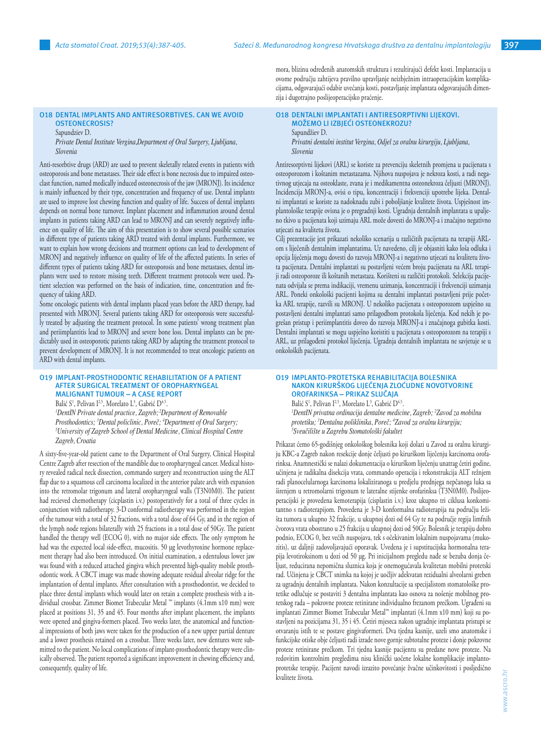**O18 DENTAL IMPLANTS AND ANTIRESORBTIVES. CAN WE AVOID** 

# **OSTEONECROSIS?**

Sapundziev D.

*Private Dental Institute Vergina,Department of Oral Surgery, Ljubljana, Slovenia*

Anti-resorbtive drugs (ARD) are used to prevent skeletally related events in patients with osteoporosis and bone metastases. Their side effect is bone necrosis due to impaired osteoclast function, named medically induced osteonecrosis of the jaw (MRONJ). Its incidence is mainly influenced by their type, concentration and frequency of use. Dental implants are used to improve lost chewing function and quality of life. Success of dental implants depends on normal bone turnover. Implant placement and inflammation around dental implants in patients taking ARD can lead to MRONJ and can severely negatively influence on quality of life. The aim of this presentation is to show several possible scenarios in different type of patients taking ARD treated with dental implants. Furthermore, we want to explain how wrong decisions and treatment options can lead to development of MRONJ and negatively influence on quality of life of the affected patients. In series of different types of patients taking ARD for osteoporosis and bone metastases, dental implants were used to restore missing teeth. Different treatment protocols were used. Patient selection was performed on the basis of indication, time, concentration and frequency of taking ARD.

Some oncologic patients with dental implants placed years before the ARD therapy, had presented with MRONJ. Several patients taking ARD for osteoporosis were successfully treated by adjusting the treatment protocol. In some patients' wrong treatment plan and periimplantitis lead to MRONJ and severe bone loss. Dental implants can be predictably used in osteoporotic patients taking ARD by adapting the treatment protocol to prevent development of MRONJ. It is not recommended to treat oncologic patients on ARD with dental implants.

#### **O19 IMPLANT-PROSTHODONTIC REHABILITATION OF A PATIENT AFTER SURGICAL TREATMENT OF OROPHARYNGEAL MALIGNANT TUMOUR – A CASE REPORT**

Balić S<sup>1</sup>, Pelivan I<sup>2,5</sup>, Morelato L<sup>3</sup>, Gabrić D<sup>4,5</sup>.

*1 DentIN Private dental practice, Zagreb; 2Department of Removable Prosthodontics; <sup>3</sup> Dental policlinic, Poreč; <sup>4</sup> Department of Oral Surgery; 5 University of Zagreb School of Dental Medicine, Clinical Hospital Centre Zagreb, Croatia*

A sixty-five-year-old patient came to the Department of Oral Surgery, Clinical Hospital Centre Zagreb after resection of the mandible due to oropharyngeal cancer. Medical history revealed radical neck dissection, commando surgery and reconstruction using the ALT flap due to a squamous cell carcinoma localized in the anterior palate arch with expansion into the retromolar trigonum and lateral oropharyngeal walls (T3N0M0). The patient had recieved chemotherapy (cicplastin i.v.) postoperatively for a total of three cycles in conjunction with radiotherapy. 3-D conformal radiotherapy was performed in the region of the tumour with a total of 32 fractions, with a total dose of 64 Gy, and in the region of the lymph node regions bilaterally with 25 fractions in a total dose of 50Gy. The patient handled the therapy well (ECOG 0), with no major side effects. The only symptom he had was the expected local side-effect, mucositis. 50 µg levothyroxine hormone replacement therapy had also been introduced. On initial examination, a edentulous lower jaw was found with a reduced attached gingiva which prevented high-quality mobile prosthodontic work. A CBCT image was made showing adequate residual alveolar ridge for the implantation of dental implants. After consultation with a prosthodontist, we decided to place three dental implants which would later on retain a complete prosthesis with a individual crossbar. Zimmer Biomet Trabecular Metal ™ implants (4.1mm x10 mm) were placed at positions 31, 35 and 45. Four months after implant placement, the implants were opened and gingiva-formers placed. Two weeks later, the anatomical and functional impressions of both jaws were taken for the production of a new upper partial denture and a lower prosthesis retained on a crossbar. Three weeks later, new dentures were submitted to the patient. No local complications of implant-prosthodontic therapy were clinically observed. The patient reported a significant improvement in chewing efficiency and, consequently, quality of life.

mora, blizinu određenih anatomskih struktura i rezultirajući defekt kosti. Implantacija u ovome području zahtijeva pravilno upravljanje neizbježnim intraoperacijskim komplikacijama, odgovarajući odabir uvećanja kosti, postavljanje implantata odgovarajućih dimenzija i dugotrajno poslijeoperacijsko praćenje.

# **O18 DENTALNI IMPLANTATI I ANTIRESORPTIVNI LIJEKOVI. MOŽEMO LI IZBJEĆI OSTEONEKROZU?** Sapundžiev D.

*Privatni dentalni institut Vergina, Odjel za oralnu kirurgiju, Ljubljana, Slovenia*

Antiresorptivni lijekovi (ARL) se koriste za prevenciju skeletnih promjena u pacijenata s osteoporozom i koštanim metastazama. Njihova nuspojava je nekroza kosti, a radi negativnog utjecaja na osteoklaste, zvana je i medikamentna osteonekroza čeljusti (MRONJ). Incidencija MRONJ-a, ovisi o tipu, koncentraciji i frekvenciji upotrebe lijeka. Dentalni implantati se koriste za nadoknadu zubi i poboljšanje kvalitete života. Uspješnost implantološke terapije ovisna je o pregradnji kosti. Ugradnja dentalnih implantata u upaljeno tkivo u pacijenata koji uzimaju ARL može dovesti do MRONJ-a i značajno negativno utjecati na kvalitetu života.

Cilj prezentacije jest prikazati nekoliko scenarija u različitih pacijenata na terapiji ARLom s liječenih dentalnim implantatima. Uz navedeno, cilj je objasniti kako loša odluka i opcija liječenja mogu dovesti do razvoja MRONJ-a i negativno utjecati na kvalitetu života pacijenata. Dentalni implantati su postavljeni većem broju pacijenata na ARL terapiji radi osteoporoze ili koštanih metastaza. Korišteni su različiti protokoli. Selekcija pacijenata odvijala se prema indikaciji, vremenu uzimanja, koncentraciji i frekvenciji uzimanja ARL. Poneki onkološki pacijenti kojima su dentalni implantati postavljeni prije početka ARL terapije, razvili su MRONJ. U nekoliko pacijenata s osteoporozom uspješno su postavljeni dentalni implantati samo prilagodbom protokola liječenja. Kod nekih je pogrešan pristup i periimplantitis doveo do razvoja MRONJ-a i značajnoga gubitka kosti. Dentalni implantati se mogu uspješno koristiti u pacijenata s osteoporozom na terapiji s ARL, uz prilagođeni protokol liječenja. Ugradnja dentalnih implantata ne savjetuje se u onkoloških pacijenata.

# **O19 IMPLANTO-PROTETSKA REHABILITACIJA BOLESNIKA NAKON KIRURŠKOG LIJEČENJA ZLOĆUDNE NOVOTVORINE OROFARINKSA – PRIKAZ SLUČAJA**

Balić S<sup>1</sup>, Pelivan I<sup>2,5</sup>, Morelato L<sup>3</sup>, Gabrić D<sup>4,5</sup>. *1 DentIN privatna ordinacija dentalne medicine, Zagreb; <sup>2</sup> Zavod za mobilnu protetiku; <sup>3</sup> Dentalna poliklinika, Poreč; <sup>4</sup> Zavod za oralnu kirurgiju; 5 Sveučilište u Zagrebu Stomatološki fakultet* 

Prikazat ćemo 65-godišnjeg onkološkog bolesnika koji dolazi u Zavod za oralnu kirurgiju KBC-a Zagreb nakon resekcije donje čeljusti po kirurškom liječenju karcinoma orofarinksa. Anamnestički se nalazi dokumentacija o kirurškom liječenju unatrag četiri godine, učinjena je radikalna disekcija vrata, commando operacija i rekonstrukcija ALT režnjem radi planocelularnoga karcinoma lokaliziranoga u predjelu prednjega nepčanoga luka sa širenjem u retromolarni trigonum te lateralne stijenke orofarinksa (T3N0M0). Poslijeoperacijski je provedena kemoterapija (cisplastin i.v.) kroz ukupno tri ciklusa konkomitantno s radioterapijom. Provedena je 3-D konformalna radioterapija na području ležišta tumora u ukupno 32 frakcije, u ukupnoj dozi od 64 Gy te na područje regija limfnih čvorova vrata obostrano u 25 frakcija u ukupnoj dozi od 50Gy. Bolesnik je terapiju dobro podnio, ECOG 0, bez većih nuspojava, tek s očekivanim lokalnim nuspojavama (mukozitis), uz daljnji zadovoljavajući oporavak. Uvedena je i supstitucijska hormonalna terapija levotiroksinom u dozi od 50 µg. Pri inicijalnom pregledu nađe se bezuba donja čeljust, reducirana nepomična sluznica koja je onemogućavala kvalitetan mobilni protetski rad. Učinjena je CBCT snimka na kojoj je uočljiv adekvatan rezidualni alveolarni greben za ugradnju dentalnih implantata. Nakon konzultacije sa specijalistom stomatološke protetike odlučuje se postaviti 3 dentalna implantata kao osnova za nošenje mobilnog protetskog rada – pokrovne proteze retinirane individualno frezanom prečkom. Ugrađeni su implantati Zimmer Biomet Trabecular Metal™ implantati (4.1mm x10 mm) koji su postavljeni na pozicijama 31, 35 i 45. Četiri mjeseca nakon ugradnje implantata pristupi se otvaranju istih te se postave gingivaformeri. Dva tjedna kasnije, uzeli smo anatomske i funkcijske otiske obje čeljusti radi izrade nove gornje subtotalne proteze i donje pokrovne proteze retinirane prečkom. Tri tjedna kasnije pacijentu su predane nove proteze. Na redovitim kontrolnim pregledima nisu klinički uočene lokalne komplikacije implantoprotetske terapije. Pacijent navodi izrazito povećanje žvačne učinkovitosti i posljedično kvalitete života.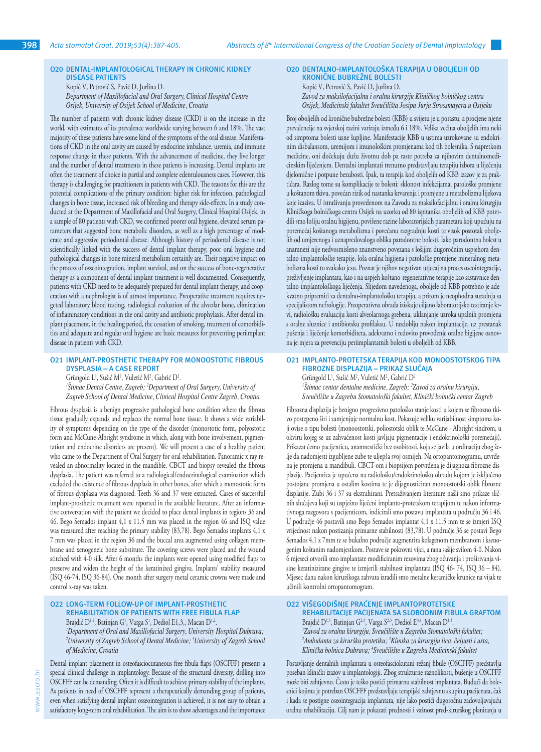# **O20 DENTAL-IMPLANTOLOGICAL THERAPY IN CHRONIC KIDNEY DISEASE PATIENTS**

Kopić V, Petrović S, Pavić D, Jurlina D. *Department of Maxillofacial and Oral Surgery, Clinical Hospital Centre Osijek, University of Osijek School of Medicine, Croatia*

The number of patients with chronic kidney disease (CKD) is on the increase in the world, with estimates of its prevalence worldwide varying between 6 and 18%. The vast majority of these patients have some kind of the symptoms of the oral disease. Manifestations of CKD in the oral cavity are caused by endocrine imbalance, uremia, and immune response change in these patients. With the advancement of medicine, they live longer and the number of dental treatments in these patients is increasing. Dental implants are often the treatment of choice in partial and complete edentulousness cases. However, this therapy is challenging for practitioners in patients with CKD. The reasons for this are the potential complications of the primary condition: higher risk for infection, pathological changes in bone tissue, increased risk of bleeding and therapy side-effects. In a study conducted at the Department of Maxillofacial and Oral Surgery, Clinical Hospital Osijek, in a sample of 80 patients with CKD, we confirmed poorer oral hygiene, elevated serum parameters that suggested bone metabolic disorders, as well as a high percentage of moderate and aggressive periodontal disease. Although history of periodontal disease is not scientifically linked with the success of dental implant therapy, poor oral hygiene and pathological changes in bone mineral metabolism certainly are. Their negative impact on the process of osseointegration, implant survival, and on the success of bone-regenerative therapy as a component of dental implant treatment is well documented. Consequently, patients with CKD need to be adequately prepared for dental implant therapy, and cooperation with a nephrologist is of utmost importance. Preoperative treatment requires targeted laboratory blood testing, radiological evaluation of the alveolar bone, elimination of inflammatory conditions in the oral cavity and antibiotic prophylaxis. After dental implant placement, in the healing period, the cessation of smoking, treatment of comorbidities and adequate and regular oral hygiene are basic measures for preventing periimplant disease in patients with CKD.

#### **O21 IMPLANT-PROSTHETIC THERAPY FOR MONOOSTOTIC FIBROUS DYSPLASIA – A CASE REPORT**

Grüngold L<sup>1</sup>, Sušić M<sup>2</sup>, Vuletić M<sup>2</sup>, Gabrić D<sup>2</sup>. *1 Štimac Dental Centre, Zagreb; <sup>2</sup> Department of Oral Surgery, University of Zagreb School of Dental Medicine, Clinical Hospital Centre Zagreb, Croatia*

Fibrous dysplasia is a benign progressive pathological bone condition where the fibrous tissue gradually expands and replaces the normal bone tissue. It shows a wide variability of symptoms depending on the type of the disorder (monostotic form, polyostotic form and McCune-Albright syndrome in which, along with bone involvement, pigmentation and endocrine disorders are present). We will present a case of a healthy patient who came to the Department of Oral Surgery for oral rehabilitation. Panoramic x ray revealed an abnormality located in the mandible. CBCT and biopsy revealed the fibrous dysplasia. The patient was referred to a radiological/endocrinological examination which excluded the existence of fibrous dysplasia in other bones, after which a monostotic form of fibrous dysplasia was diagnosed. Teeth 36 and 37 were extracted. Cases of successful implant-prosthetic treatment were reported in the available literature. After an informative conversation with the patient we decided to place dental implants in regions 36 and 46. Bego Semados implant 4,1 x 11.5 mm was placed in the region 46 and ISQ value was measured after reaching the primary stability (83,78). Bego Semados implants 4,1 x 7 mm was placed in the region 36 and the buccal area augmented using collagen membrane and xenogeneic bone substitute. The covering screws were placed and the wound stitched with 4-0 silk. After 6 months the implants were opened using modified flaps to preserve and widen the height of the keratinized gingiva. Implants' stability measured (ISQ 46-74, ISQ 36-84). One month after surgery metal ceramic crowns were made and control x-ray was taken.

**O22 LONG-TERM FOLLOW-UP OF IMPLANT-PROSTHETIC REHABILITATION OF PATIENTS WITH FREE FIBULA FLAP**

Brajdić D<sup>1,2</sup>, Batinjan G<sup>1</sup>, Varga S<sup>1</sup>, Dediol E1,3,, Macan D<sup>1,2</sup>. *1 Department of Oral and Maxillofacial Surgery, University Hospital Dubrava; 2 University of Zagreb School of Dental Medicine; <sup>3</sup> University of Zagreb School of Medicine, Croatia*

Dental implant placement in osteofasciocutaneous free fibula flaps (OSCFFF) presents a special clinical challenge in implantology. Because of the structural diversity, drilling into OSCFFF can be demanding. Often it is difficult to achieve primary stability of the implants. As patients in need of OSCFFF represent a therapeutically demanding group of patients, even when satisfying dental implant osseointegration is achieved, it is not easy to obtain a satisfactory long-term oral rehabilitation. The aim is to show advantages and the importance

#### **O20 DENTALNO-IMPLANTOLOŠKA TERAPIJA U OBOLJELIH OD KRONIČNE BUBREŽNE BOLESTI**

Kopić V, Petrović S, Pavić D, Jurlina D.

*Zavod za maksilofacijalnu i oralnu kirurgiju Kliničkog bolničkog centra Osijek, Medicinski fakultet Sveučilišta Josipa Jurja Strossmayera u Osijeku*

Broj oboljelih od kronične bubrežne bolesti (KBB) u svijetu je u porastu, a procjene njene prevalencije na svjetskoj razini variraju između 6 i 18%. Velika većina oboljelih ima neki od simptoma bolesti usne šupljine. Manifestacije KBB u ustima uzrokovane su endokrinim disbalansom, uremijom i imunološkim promjenama kod tih bolesnika. S napretkom medicine, oni dočekuju dužu životnu dob pa raste potreba za njihovim dentalnomedicinskim liječenjem. Dentalni implantati trenutno predstavljaju terapiju izbora u liječenju djelomične i potpune bezubosti. Ipak, ta terapija kod oboljelih od KBB izazov je za praktičara. Razlog tome su komplikacije te bolesti: sklonost infekcijama, patološke promjene u koštanom tkivu, povećan rizik od nastanka krvarenja i promjene u metabolizmu lijekova koje izaziva. U istraživanju provedenom na Zavodu za maksilofacijalnu i oralnu kirurgiju Kliničkoga bolničkoga centra Osijek na uzorku od 80 ispitanika oboljelih od KBB potvrdili smo lošiju oralnu higijenu, povišene razine laboratorijskih parametara koji upućuju na poremećaj koštanoga metabolizma i povećanu razgradnju kosti te visok postotak oboljelih od umjerenoga i uznapredovaloga oblika parodontne bolesti. Iako parodontna bolest u anamnezi nije nedvosmisleno znanstveno povezana s lošijim dugoročnim uspjehom dentalno-implantološke terapije, loša oralna higijena i patološke promjene mineralnog metabolizma kosti to svakako jesu. Poznat je njihov negativan utjecaj na proces oseointegracije, preživljenje implantata, kao i na uspjeh koštano-regenerativne terapije kao sastavnice dentalno-implantološkoga liječenja. Slijedom navedenoga, oboljele od KBB potrebno je adekvatno pripremiti za dentalno-implantološku terapiju, a pritom je neophodna suradnja sa specijalistom nefrologije. Preoperativna obrada iziskuje ciljano laboratorijsko testiranje krvi, radiološku evaluaciju kosti alveolarnoga grebena, uklanjanje uzroka upalnih promjena s oralne sluznice i antibiotsku profilaksu. U razdoblju nakon implantacije, uz prestanak pušenja i liječenje komorbiditeta, adekvatno i redovito provođenje oralne higijene osnovna je mjera za prevenciju periimplantatnih bolesti u oboljelih od KBB.

# **O21 IMPLANTO-PROTETSKA TERAPIJA KOD MONOOSTOTSKOG TIPA FIBROZNE DISPLAZIJA – PRIKAZ SLUČAJA**

Grüngold L<sup>1</sup>, Sušić M<sup>2</sup>, Vuletić M<sup>2</sup>, Gabrić D<sup>2</sup> *1 Štimac centar dentalne medicine, Zagreb; <sup>2</sup> Zavod za oralnu kirurgiju, Sveučilište u Zagrebu Stomatološki fakultet, Klinički bolnički centar Zagreb*

Fibrozna displazija je benigno progresivno patološko stanje kosti u kojem se fibrozno tkivo postepeno širi i zamjenjuje normalnu kost. Pokazuje veliku varijabilnost simptoma koji ovise o tipu bolesti (monoostotski, poliostotski oblik te McCune - Albright sindrom, u okviru kojeg se uz zahvaćenost kosti javljaju pigmentacije i endokrinološki poremećaji). Prikazat ćemo pacijenticu, anamnestički bez osobitosti, koja se javila u ordinaciju zbog želje da nadomjesti izgubljene zube te uljepša svoj osmijeh. Na ortopantomogramu, utvrđena je promjena u mandibuli. CBCT-om i biopsijom potvrđena je dijagnoza fibrozne displazije. Pacijentica je upućena na radiološku/endokrinološku obradu kojom je isključeno postojane promjena u ostalim kostima te je dijagnosticiran monoostotski oblik fibrozne displazije. Zubi 36 i 37 su ekstrahirani. Pretraživanjem literature našli smo prikaze sličnih slučajeva koji su uspješno liječeni implanto-protetskom terapijom te nakon informativnoga razgovora s pacijenticom, indicirali smo postavu implantata u području 36 i 46. U područje 46 postavili smo Bego Semados implantat 4,1 x 11.5 mm te se izmjeri ISQ vrijednost nakon postizanja primarne stabilnosti (83,78). U područje 36 se postavi Bego Semados 4,1 x 7mm te se bukalno područje augmentira kolagenom membranom i ksenogenim koštanim nadomjestkom. Postave se pokrovni vijci, a rana sašije svilom 4-0. Nakon 6 mjeseci otvorili smo implantate modificiranim rezovima zbog očuvanja i proširivanja visine keratinizirane gingive te izmjerili stabilnost implantata (ISQ 46- 74, ISQ 36 – 84). Mjesec dana nakon kirurškoga zahvata izradili smo metalne keramičke krunice na vijak te učinili kontrolni ortopantomogram.

# **O22 VIŠEGODIŠNJE PRAĆENJE IMPLANTOPROTETSKE**

**REHABILITACIJE PACIJENATA SA SLOBODNIM FIBULA GRAFTOM** Brajdić D<sup>1,3</sup>, Batinjan G<sup>2,3</sup>, Varga S<sup>2,3</sup>, Dediol E<sup>3,4</sup>, Macan D<sup>1,3</sup>. *1 Zavod za oralnu kirurgiju, Sveučilište u Zagrebu Stomatološki fakultet; 2 Ambulanta za kiruršku protetiku; <sup>3</sup> Klinika za kirurgiju lica, čeljusti i usta, Klinička bolnica Dubrava; <sup>4</sup> Sveučilište u Zagrebu Medicinski fakultet* 

Postavljanje dentalnih implantata u osteofasciokutani režanj fibule (OSCFFF) predstavlja poseban klinički izazov u implantologiji. Zbog strukturne raznolikosti, bušenje u OSCFFF može biti zahtjevno. Često je teško postići primarnu stabilnost implantata. Budući da bolesnici kojima je potreban OSCFFF predstavljaju terapijski zahtjevnu skupinu pacijenata, čak i kada se postigne oseointegracija implantata, nije lako postići dugoročnu zadovoljavajuću oralnu rehabilitaciju. Cilj nam je pokazati prednosti i važnost pred-kirurškog planiranja u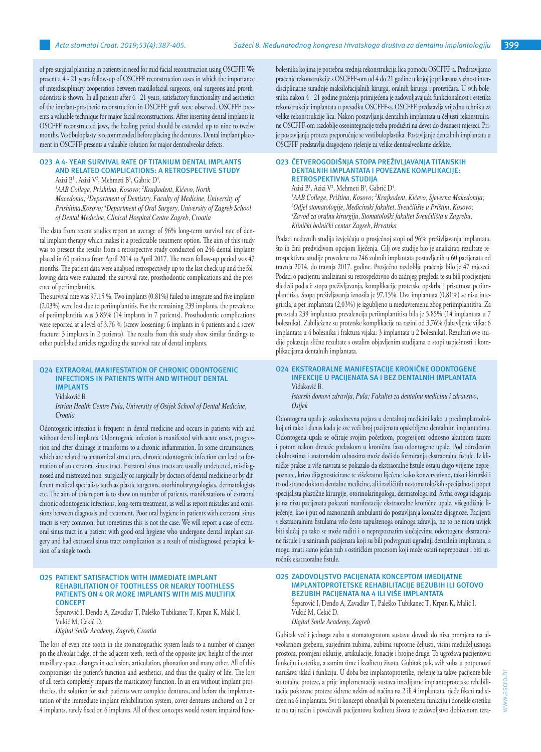of pre-surgical planning in patients in need for mid-facial reconstruction using OSCFFF. We present a 4 - 21 years follow-up of OSCFFF reconstruction cases in which the importance of interdisciplinary cooperation between maxillofacial surgeons, oral surgeons and prosthodontists is shown. In all patients after 4 - 21 years, satisfactory functionality and aesthetics of the implant-prosthetic reconstruction in OSCFFF graft were observed. OSCFFF presents a valuable technique for major facial reconstructions. After inserting dental implants in OSCFFF reconstructed jaws, the healing period should be extended up to nine to twelve months. Vestibuloplasty is recommended before placing the dentures. Dental implant placement in OSCFFF presents a valuable solution for major dentoalveolar defects.

## **O23 A 4- YEAR SURVIVAL RATE OF TITANIUM DENTAL IMPLANTS AND RELATED COMPLICATIONS: A RETROSPECTIVE STUDY**

Azizi B<sup>1,</sup>, Azizi V<sup>2</sup>, Mehmeti B<sup>3</sup>, Gabric D<sup>4</sup>.

*1 AAB College, Prishtina, Kosovo; <sup>2</sup> Krajkodent, Kićevo, North Macedonia; <sup>3</sup> Department of Dentistry, Faculty of Medicine, University of Prishitina,Kosovo; <sup>4</sup> Department of Oral Surgery, University of Zagreb School of Dental Medicine, Clinical Hospital Centre Zagreb, Croatia*

The data from recent studies report an average of 96% long-term survival rate of dental implant therapy which makes it a predictable treatment option. The aim of this study was to present the results from a retrospective study conducted on 246 dental implants placed in 60 patients from April 2014 to April 2017. The mean follow-up period was 47 months. The patient data were analysed retrospectively up to the last check up and the following data were evaluated: the survival rate, prosthodontic complications and the presence of periimplantitis.

The survival rate was 97.15 %. Two implants (0.81%) failed to integrate and five implants (2.03%) were lost due to periimplantitis. For the remaining 239 implants, the prevalence of periimplantitis was 5.85% (14 implants in 7 patients). Prosthodontic complications were reported at a level of 3.76 % (screw loosening: 6 implants in 4 patients and a screw fracture: 3 implants in 2 patients). The results from this study show similar findings to other published articles regarding the survival rate of dental implants.

#### **O24 EXTRAORAL MANIFESTATION OF CHRONIC ODONTOGENIC INFECTIONS IN PATIENTS WITH AND WITHOUT DENTAL IMPLANTS** Vidaković B.

*Istrian Health Centre Pula, University of Osijek School of Dental Medicine, Croatia*

Odontogenic infection is frequent in dental medicine and occurs in patients with and without dental implants. Odontogenic infection is manifested with acute onset, progression and after drainage it transforms to a chronic inflammation. In some circumstances, which are related to anatomical structures, chronic odontogenic infection can lead to formation of an extraoral sinus tract. Extraoral sinus tracts are usually undetected, misdiagnosed and mistreated non- surgically or surgically by doctors of dental medicine or by different medical specialists such as plastic surgeons, otorhinolaryngologists, dermatologists etc. The aim of this report is to show on number of patients, manifestations of extraoral chronic odontogenic infections, long-term treatment, as well as report mistakes and omissions between diagnosis and treatment. Poor oral hygiene in patients with extraoral sinus tracts is very common, but sometimes this is not the case. We will report a case of extraoral sinus tract in a patient with good oral hygiene who undergone dental implant surgery and had extraoral sinus tract complication as a result of misdiagnosed periapical lesion of a single tooth.

#### **O25 PATIENT SATISFACTION WITH IMMEDIATE IMPLANT REHABILITATION OF TOOTHLESS OR NEARLY TOOTHLESS PATIENTS ON 4 OR MORE IMPLANTS WITH MIS MULTIFIX CONCEPT**

# Šeparović I, Đenđo A, Zavadlav T, Paleško Tubikanec T, Krpan K, Malić I, Vukić M, Cekić D.

*Digital Smile Academy, Zagreb, Croatia*

The loss of even one tooth in the stomatognathic system leads to a number of changes pn the alveolar ridge, of the adjacent teeth, teeth of the opposite jaw, height of the intermaxillary space, changes in occlusion, articulation, phonation and many other. All of this compromises the patient's function and aesthetics, and thus the quality of life. The loss of all teeth completely impairs the masticatory function. In an era without implant prosthetics, the solution for such patients were complete dentures, and before the implementation of the immediate implant rehabilitation system, cover dentures anchored on 2 or 4 implants, rarely fixed on 6 implants. All of these concepts would restore impaired funcbolesnika kojima je potrebna srednja rekonstrukcija lica pomoću OSCFFF-a. Predstavljamo praćenje rekonstrukcije s OSCFFF-om od 4 do 21 godine u kojoj je prikazana važnost interdisciplinarne suradnje maksilofacijalnih kirurga, oralnih kirurga i protetičara. U svih bolesnika nakon 4 - 21 godine praćenja primijećena je zadovoljavajuća funkcionalnost i estetika rekonstrukcije implantata u presadku OSCFFF-a. OSCFFF predstavlja vrijednu tehniku za velike rekonstrukcije lica. Nakon postavljanja dentalnih implantata u čeljusti rekonstruirane OSCFFF-om razdoblje oseointegracije treba produžiti na devet do dvanaest mjeseci. Prije postavljanja proteza preporučuje se vestibuloplastika. Postavljanje dentalnih implantata u OSCFFF predstavlja dragocjeno rješenje za velike dentoalveolarne defekte.

#### **O23 ČETVEROGODIŠNJA STOPA PREŽIVLJAVANJA TITANSKIH DENTALNIH IMPLANTATA I POVEZANE KOMPLIKACIJE: RETROSPEKTIVNA STUDIJA**

Azizi B<sup>1</sup>, Azizi V<sup>2</sup>, Mehmeti B<sup>3</sup>, Gabrić D<sup>4</sup>.

 *AAB College, Priština, Kosovo; <sup>2</sup> Krajkodent, Kićevo, Sjeverna Makedonija; Odjel stomatologije, Medicinski fakultet, Sveučilište u Prištini, Kosovo; Zavod za oralnu kirurgiju, Stomatološki fakultet Sveučilišta u Zagrebu, Klinički bolnički centar Zagreb, Hrvatska*

Podaci nedavnih studija izvješćuju o prosječnoj stopi od 96% preživljavanja implantata, što ih čini predvidivom opcijom liječenja. Cilj ove studije bio je analizirati rezultate retrospektivne studije provedene na 246 zubnih implantata postavljenih u 60 pacijenata od travnja 2014. do travnja 2017. godine. Prosječno razdoblje praćenja bilo je 47 mjeseci. Podaci o pacijentu analizirani su retrospektivno do zadnjeg pregleda te su bili procijenjeni sljedeći podaci: stopa preživljavanja, komplikacije protetske opskrbe i prisutnost periimplantitisa. Stopa preživljavanja iznosila je 97,15%. Dva implantata (0,81%) se nisu integrirala, a pet implantata (2,03%) je izgubljeno u međuvremenu zbog periimplantitisa. Za preostala 239 implantata prevalencija periimplantitisa bila je 5,85% (14 implantata u 7 bolesnika). Zabilježene su protetske komplikacije na razini od 3,76% (labavljenje vijka: 6 implantata u 4 bolesnika i fraktura vijaka: 3 implantata u 2 bolesnika). Rezultati ove studije pokazuju slične rezultate s ostalim objavljenim studijama o stopi uspješnosti i komplikacijama dentalnih implantata.

#### **O24 EKSTRAORALNE MANIFESTACIJE KRONIČNE ODONTOGENE INFEKCIJE U PACIJENATA SA I BEZ DENTALNIH IMPLANTATA**  Vidaković B.

*Istarski domovi zdravlja, Pula; Fakultet za dentalnu medicinu i zdravstvo, Osijek*

Odontogena upala je svakodnevna pojava u dentalnoj medicini kako u predimplantološkoj eri tako i danas kada je sve veći broj pacijenata opskrbljeno dentalnim implantatima. Odontogena upala se očituje svojim početkom, progresijom odnosno akutnom fazom i potom nakon drenaže prelaskom u kroničnu fazu odontogene upale. Pod određenim okolnostima i anatomskim odnosima može doći do formiranja ekstraoralne fistule. Iz kliničke prakse u više navrata se pokazalo da ekstraoralne fistule ostaju dugo vrijeme neprepoznate, krivo dijagnosticirane te višekratno liječene kako konzervativno, tako i kirurški i to od strane doktora dentalne medicine, ali i različitih nestomatoloških specijalnosti poput specijalista plastične kirurgije, otorinolaringologa, dermatologa itd. Svrha ovoga izlaganja je na nizu pacijenata pokazati manifestacije ekstraoralne kronične upale, višegodišnje liječenje, kao i put od raznoraznih ambulanti do postavljanja konačne dijagnoze. Pacijenti s ekstraoralnim fistulama vrlo često zapuštenoga oralnoga zdravlja, no to ne mora uvijek biti slučaj pa tako se može raditi i o neprepoznatim slučajevima odontogene ekstraoralne fistule i u saniranih pacijenata koji su bili podvrgnuti ugradnji dentalnih implantata, a mogu imati samo jedan zub s ostitičkim procesom koji može ostati neprepoznat i biti uzročnik ekstraoralne fistule.

# **O25 ZADOVOLJSTVO PACIJENATA KONCEPTOM IMEDIJATNE IMPLANTOPROTETSKE REHABILITACIJE BEZUBIH ILI GOTOVO BEZUBIH PACIJENATA NA 4 ILI VIŠE IMPLANTATA** Šeparović I, Đenđo A, Zavadlav T, Paleško Tubikanec T, Krpan K, Malić I, Vukić M, Cekić D.

*Digital Smile Academy, Zagreb*

Gubitak već i jednoga zuba u stomatognatom sustavu dovodi do niza promjena na alveolarnom grebenu, susjednim zubima, zubima suprotne čeljusti, visini međučeljusnoga prostora, promjeni okluzije, artikulacije, fonacije i brojne druge. To ugrožava pacijentovu funkciju i estetiku, a samim time i kvalitetu života. Gubitak pak, svih zuba u potpunosti narušava sklad i funkciju. U doba bez implantoprotetike, rješenje za takve pacijente bile su totalne proteze, a prije implementacije sustava imedijatne implantoprotetske rehabilitacije pokrovne proteze sidrene nekim od načina na 2 ili 4 implantata, rjeđe fiksni rad sidren na 6 implantata. Svi ti koncepti obnavljali bi poremećenu funkciju i donekle estetiku te na taj način i povećavali pacijentovu kvalitetu života te zadovoljstvo dobivenom tera-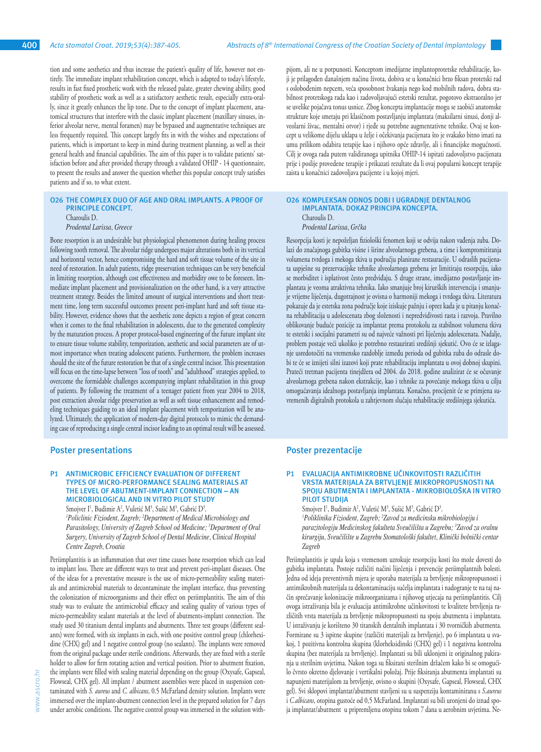tion and some aesthetics and thus increase the patient's quality of life, however not entirely. The immediate implant rehabilitation concept, which is adapted to today's lifestyle, results in fast fixed prosthetic work with the released palate, greater chewing ability, good stability of prosthetic work as well as a satisfactory aesthetic result, especially extra-orally, since it greatly enhances the lip tone. Due to the concept of implant placement, anatomical structures that interfere with the classic implant placement (maxillary sinuses, inferior alveolar nerve, mental foramen) may be bypassed and augmentative techniques are less frequently required. This concept largely fits in with the wishes and expectations of patients, which is important to keep in mind during treatment planning, as well as their general health and financial capabilities. The aim of this paper is to validate patients' satisfaction before and after provided therapy through a validated OHIP - 14 questionnaire, to present the results and answer the question whether this popular concept truly satisfies patients and if so, to what extent.

# **O26 THE COMPLEX DUO OF AGE AND ORAL IMPLANTS. A PROOF OF PRINCIPLE CONCEPT.**

Charoulis D. *Prodental Larissa, Greece*

Bone resorption is an undesirable but physiological phenomenon during healing process following tooth removal. The alveolar ridge undergoes major alterations both in its vertical and horizontal vector, hence compromising the hard and soft tissue volume of the site in need of restoration. In adult patients, ridge preservation techniques can be very beneficial in limiting resorption, although cost effectiveness and morbidity owe to be foreseen. Immediate implant placement and provisionalization on the other hand, is a very attractive treatment strategy. Besides the limited amount of surgical interventions and short treatment time, long term successful outcomes present peri-implant hard and soft tissue stability. However, evidence shows that the aesthetic zone depicts a region of great concern when it comes to the final rehabilitation in adolescents, due to the generated complexity by the maturation process. A proper protocol-based engineering of the future implant site to ensure tissue volume stability, temporization, aesthetic and social parameters are of utmost importance when treating adolescent patients. Furthermore, the problem increases should the site of the future restoration be that of a single central incisor. This presentation will focus on the time-lapse between "loss of tooth" and "adulthood" strategies applied, to overcome the formidable challenges accompanying implant rehabilitation in this group of patients. By following the treatment of a teenager patient from year 2004 to 2018, post extraction alveolar ridge preservation as well as soft tissue enhancement and remodeling techniques guiding to an ideal implant placement with temporization will be analyzed. Ultimately, the application of modern-day digital protocols to mimic the demanding case of reproducing a single central incisor leading to an optimal result will be assessed.

#### **Poster presentations**

# **P1 ANTIMICROBIC EFFICIENCY EVALUATION OF DIFFERENT TYPES OF MICRO-PERFORMANCE SEALING MATERIALS AT THE LEVEL OF ABUTMENT-IMPLANT CONNECTION – AN MICROBIOLOGICAL AND IN VITRO PILOT STUDY**

Smojver I<sup>1</sup>, Budimir A<sup>2</sup>, Vuletić M<sup>3</sup>, Sušić M<sup>3</sup>, Gabrić D<sup>3</sup>. *1 Policlinic Fiziodent, Zagreb; <sup>2</sup> Department of Medical Microbiology and Parasitology, University of Zagreb School od Medicine; <sup>3</sup> Department of Oral Surgery, University of Zagreb School of Dental Medicine, Clinical Hospital Centre Zagreb, Croatia* 

Periimplantitis is an inflammation that over time causes bone resorption which can lead to implant loss. There are different ways to treat and prevent peri-implant diseases. One of the ideas for a preventative measure is the use of micro-permeability sealing materials and antimicrobial materials to decontaminate the implant interface, thus preventing the colonization of microorganisms and their effect on periimplantitis. The aim of this study was to evaluate the antimicrobial efficacy and sealing quality of various types of micro-permeability sealant materials at the level of abutments-implant connection. The study used 30 titanium dental implants and abutments. Three test groups (different sealants) were formed, with six implants in each, with one positive control group (chlorhexidine (CHX) gel) and 1 negative control group (no sealants). The implants were removed from the original package under sterile conditions. Afterwards, they are fixed with a sterile holder to allow for firm rotating action and vertical position. Prior to abutment fixation, the implants were filled with sealing material depending on the group (Oxysafe, Gapseal, Flowseal, CHX gel). All implant / abutment assemblies were placed in suspension contaminated with *S. aureus* and *C. albicans*, 0.5 McFarland density solution. Implants were immersed over the implant-abutment connection level in the prepared solution for 7 days under aerobic conditions. The negative control group was immersed in the solution with-

pijom, ali ne u potpunosti. Konceptom imedijatne implantoprotetske rehabilitacije, koji je prilagođen današnjem načinu života, dobiva se u konačnici brzo fiksan protetski rad s oslobođenim nepcem, veća sposobnost žvakanja nego kod mobilnih radova, dobra stabilnost protetskoga rada kao i zadovoljavajući estetski rezultat, pogotovo ekstraoralno jer se uvelike pojačava tonus usnice. Zbog koncepta implantacije mogu se zaobići anatomske strukture koje smetaju pri klasičnom postavljanju implantata (maksilarni sinusi, donji alveolarni živac, mentalni otvor) i rjeđe su potrebne augmentativne tehnike. Ovaj se koncept u velikome dijelu uklapa u želje i očekivanja pacijenata što je svakako bitno imati na umu prilikom odabira terapije kao i njihovo opće zdravlje, ali i financijske mogućnosti. Cilj je ovoga rada putem validiranoga upitnika OHIP-14 ispitati zadovoljstvo pacijenata prije i poslije provedene terapije i prikazati rezultate da li ovaj popularni koncept terapije zaista u konačnici zadovoljava pacijente i u kojoj mjeri.

#### **O26 KOMPLEKSAN ODNOS DOBI I UGRADNJE DENTALNOG IMPLANTATA. DOKAZ PRINCIPA KONCEPTA.** Charoulis D.

*Prodental Larissa, Grčka*

Resorpcija kosti je nepoželjan fiziološki fenomen koji se odvija nakon vađenja zuba. Dolazi do značajnoga gubitka visine i širine alveolarnoga grebena, a time i kompromitiranja volumena tvrdoga i mekoga tkiva u području planirane restauracije. U odraslih pacijenata uspješne su prezervacijske tehnike alveolarnoga grebena jer limitiraju resorpciju, iako se morbiditet i isplativost često predviđaju. S druge strane, imedijatno postavljanje implantata je veoma atraktivna tehnika. Iako smanjuje broj kirurških intervencija i smanjuje vrijeme liječenja, dugotrajnost je ovisna o harmoniji mekoga i tvrdoga tkiva. Literatura pokazuje da je estetska zona područje koje iziskuje pažnju i oprez kada je u pitanju konačna rehabilitacija u adolescenata zbog složenosti i nepredvidivosti rasta i razvoja. Pravilno oblikovanje buduće pozicije za implantat prema protokolu za stabilnost volumena tkiva te estetski i socijalni parametri su od najveće važnosti pri liječenju adolescenata. Nadalje, problem postaje veći ukoliko je potrebno restaurirati središnji sjekutić. Ovo će se izlaganje usredotočiti na vremensko razdoblje između perioda od gubitka zuba do odrasle dobi te će se iznijeti silni izazovi koji prate rehabilitaciju implantata u ovoj dobnoj skupini. Prateći tretman pacijenta tinejdžera od 2004. do 2018. godine analizirat će se očuvanje alveolarnoga grebena nakon ekstrakcije, kao i tehnike za povećanje mekoga tkiva u cilju omogućavanja idealnoga postavljanja implantata. Konačno, procijenit će se primjena suvremenih digitalnih protokola u zahtjevnom slučaju rehabilitacije središnjega sjekutića.

# **Poster prezentacije**

#### **P1 EVALUACIJA ANTIMIKROBNE UČINKOVITOSTI RAZLIČITIH VRSTA MATERIJALA ZA BRTVLJENJE MIKROPROPUSNOSTI NA SPOJU ABUTMENTA I IMPLANTATA - MIKROBIOLOŠKA IN VITRO PILOT STUDIJA**

Smojver I<sup>1</sup>, Budimir A<sup>2</sup>, Vuletić M<sup>3</sup>, Sušić M<sup>3</sup>, Gabrić D<sup>3</sup>. *1 Poliklinika Fiziodent, Zagreb; <sup>2</sup> Zavod za medicinsku mikrobiologiju i parazitologiju Medicinskog fakulteta Sveučilišta u Zagrebu; <sup>3</sup> Zavod za oralnu kirurgiju, Sveučilište u Zagrebu Stomatološki fakultet, Klinički bolnički centar Zagreb* 

Periimplantitis je upala koja s vremenom uzrokuje resorpciju kosti što može dovesti do gubitka implantata. Postoje različiti načini liječenja i prevencije periimplantnih bolesti. Jedna od ideja preventivnih mjera je uporaba materijala za brtvljenje mikropropusnosti i antimikrobnih materijala za dekontaminaciju sučelja implantata i nadogranje te na taj način sprečavanje kolonizacije mikroorganizama i njihovog utjecaja na periimplantitis. Cilj ovoga istraživanja bila je evaluacija antimikrobne učinkovitosti te kvalitete brtvljenja različitih vrsta materijala za brtvljenje mikropropusnosti na spoju abutmenta i implantata. U istraživanju je korišteno 30 titanskih dentalnih implantata i 30 tvorničkih abutmenta. Formirane su 3 ispitne skupine (različiti materijali za brtvljenje), po 6 implantata u svakoj, 1 pozitivna kontrolna skupina (klorheksidinski (CHX) gel) i 1 negativna kontrolna skupina (bez materijala za brtvljenje). Implantati su bili uklonjeni iz originalnog pakiranja u sterilnim uvjetima. Nakon toga su fiksirani sterilnim držačem kako bi se omogućilo čvrsto okretno djelovanje i vertikalni položaj. Prije fiksiranja abutmenta implantati su napunjeni materijalom za brtvljenje, ovisno o skupini (Oxysafe, Gapseal, Flowseal, CHX gel). Svi sklopovi implantat/abutment stavljeni su u suspenziju kontaminiranu s *S.aureus* i *C.albicans*, otopina gustoće od 0,5 McFarland. Implantati su bili uronjeni do iznad spoja implantat/abutment u pripremljenu otopinu tokom 7 dana u aerobnim uvjetima. Ne-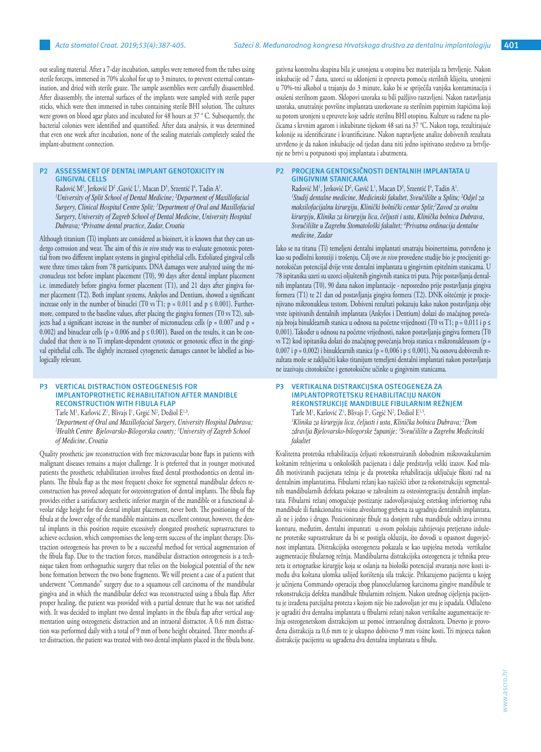out sealing material. After a 7-day incubation, samples were removed from the tubes using sterile forceps, immersed in 70% alcohol for up to 3 minutes, to prevent external contamination, and dried with sterile gauze. The sample assemblies were carefully disassembled. After disassembly, the internal surfaces of the implants were sampled with sterile paper sticks, which were then immersed in tubes containing sterile BHI solution. The cultures were grown on blood agar plates and incubated for 48 hours at 37 ° C. Subsequently, the bacterial colonies were identified and quantified. After data analysis, it was determined that even one week after incubation, none of the sealing materials completely sealed the implant-abutment connection.

#### **P2 ASSESSMENT OF DENTAL IMPLANT GENOTOXICITY IN GINGIVAL CELLS**

Radović M<sup>1</sup>, Jerković D<sup>2</sup> ,Gavić L<sup>1</sup>, Macan D<sup>3</sup>, Srzentić I<sup>4</sup>, Tadin A<sup>1</sup>. *1 University of Split School of Dental Medicine; <sup>2</sup> Department of Maxillofacial Surgery, Clinical Hospital Centre Split; <sup>3</sup> Department of Oral and Maxillofacial Surgery, University of Zagreb School of Dental Medicine, University Hospital Dubrava; <sup>4</sup> Privatne dental practice, Zadar, Croatia*

Although titanium (Ti) implants are considered as bioinert, it is known that they can undergo corrosion and wear. The aim of this *in vivo* study was to evaluate genotoxic potential from two different implant systems in gingival epithelial cells. Exfoliated gingival cells were three times taken from 78 participants. DNA damages were analyzed using the micronucleus test before implant placement (T0), 90 days after dental implant placement i.e. immediately before gingiva former placement (T1), and 21 days after gingiva former placement (T2). Both implant systems, Ankylos and Dentium, showed a significant increase only in the number of binuclei (T0 vs T1;  $p = 0.011$  and  $p \le 0.001$ ). Furthermore, compared to the baseline values, after placing the gingiva formers (T0 vs T2), subjects had a significant increase in the number of micronucleus cells ( $p = 0.007$  and  $p =$ 0.002) and binuclear cells (p = 0.006 and p  $\leq$  0.001). Based on the results, it can be concluded that there is no Ti implant-dependent cytotoxic or genotoxic effect in the gingival epithelial cells. The slightly increased cytogenetic damages cannot be labelled as biologically relevant.

#### **P3 VERTICAL DISTRACTION OSTEOGENESIS FOR IMPLANTOPROTHETIC REHABILITATION AFTER MANDIBLE RECONSTRUCTION WITH FIBULA FLAP**

Tarle M<sup>1</sup>, Karlović Z<sup>1</sup>, Blivajs I<sup>1</sup>, Grgić N<sup>2</sup>, Dediol E<sup>1,3</sup>.

*1 Department of Oral and Maxillofacial Surgery, University Hospital Dubrava; 2 Health Centre Bjelovarsko-Bilogorska county; <sup>3</sup> University of Zagreb School of Medicine, Croatia*

Quality prosthetic jaw reconstruction with free microvascular bone flaps in patients with malignant diseases remains a major challenge. It is preferred that in younger motivated patients the prosthetic rehabilitation involves fixed dental prosthodontics on dental implants. The fibula flap as the most frequent choice for segmental mandibular defects reconstruction has proved adequate for osteointegration of dental implants. The fibula flap provides either a satisfactory aesthetic inferior margin of the mandible or a functional alveolar ridge height for the dental implant placement, never both. The positioning of the fibula at the lower edge of the mandible maintains an excellent contour, however, the dental implants in this position require excessively elongated prosthetic suprastructures to achieve occlusion, which compromises the long-term success of the implant therapy. Distraction osteogenesis has proven to be a successful method for vertical augmentation of the fibula flap. Due to the traction forces, mandibular distraction osteogenesis is a technique taken from orthognathic surgery that relies on the biological potential of the new bone formation between the two bone fragments. We will present a case of a patient that underwent "Commando" surgery due to a squamous cell carcinoma of the mandibular gingiva and in which the mandibular defect was reconstructed using a fibula flap. After proper healing, the patient was provided with a partial denture that he was not satisfied with. It was decided to implant two dental implants in the fibula flap after vertical augmentation using osteogenetic distraction and an intraoral distractor. A 0.6 mm distraction was performed daily with a total of 9 mm of bone height obtained. Three months after distraction, the patient was treated with two dental implants placed in the fibula bone.

gativna kontrolna skupina bila je uronjena u otopinu bez materijala za brtvljenje. Nakon inkubacije od 7 dana, uzorci su uklonjeni iz epruveta pomoću sterilnih kliješta, uronjeni u 70%-tni alkohol u trajanju do 3 minute, kako bi se spriječila vanjska kontaminacija i osušeni sterilnom gazom. Sklopovi uzoraka su bili pažljivo rastavljeni. Nakon rastavljanja uzoraka, unutrašnje površine implantata uzorkovane su sterilnim papirnim štapićima koji su potom uronjeni u epruvete koje sadrže sterilnu BHI otopinu. Kulture su rađene na pločicama s krvnim agarom i inkubirane tijekom 48 sati na 37 °C. Nakon toga, rezultirajuće kolonije su identificirane i kvantificirane. Nakon napravljene analize dobivenih rezultata utvrđeno je da nakon inkubacije od tjedan dana niti jedno ispitivano sredstvo za brtvljenje ne brtvi u potpunosti spoj implantata i abutmenta.

#### **P2 PROCJENA GENTOKSIČNOSTI DENTALNIH IMPLANTATA U GINGIVNIM STANICAMA**

Radović M<sup>1</sup>, Jerković D<sup>2</sup>, Gavić L<sup>1</sup>, Macan D<sup>3</sup>, Srzentić I<sup>4</sup>, Tadin A<sup>1</sup>. <sup>1</sup> Studij dentalne medicine, Medicinski fakultet, Sveučilište u Splitu; <sup>2</sup>Odjel za *maksilofacijalnu kirurgiju, Klinički bolnički centar Split;<sup>3</sup> Zavod za oralnu kirurgiju, Klinika za kirurgiju lica, čeljusti i usta, Klinička bolnica Dubrava, Sveučilište u Zagrebu Stomatološki fakultet; <sup>4</sup> Privatna ordinacija dentalne medicine, Zadar*

Iako se na titanu (Ti) temeljeni dentalni implantati smatraju bioinertnima, potvrđeno je kao su podložni koroziji i trošenju. Cilj ove *in vivo* provedene studije bio je procijeniti genotoksičan potencijal dvije vrste dentalni implantata u gingivnim epitelnim stanicama. U 78 ispitanika uzeti su uzorci oljuštenih gingivnih stanica tri puta. Prije postavljanja dentalnih implantata (T0), 90 dana nakon implantacije - neposredno prije postavljanja gingiva formera (T1) te 21 dan od postavljanja gingiva formera (T2). DNK oštećenje je procjenjivano mikronukleus testom. Dobiveni rezultati pokazuju kako nakon postavljanja obje vrste ispitivanih dentalnih implantata (Ankylos i Dentium) dolazi do značajnog povećanja broja binuklearnih stanica u odnosu na početne vrijednosti (T0 vs T1; p = 0,011 i p ≤ 0,001). Također u odnosu na početne vrijednosti, nakon postavljanja gingiva formera (T0 vs T2) kod ispitanika dolazi do značajnog povećanja broja stanica s mikronukleusom (p = 0,007 i p = 0,002) i binuklearnih stanica (p = 0,006 i p  $\leq$  0,001). Na osnovu dobivenih rezultata može se zaključiti kako titanijum temeljeni dentalni implantati nakon postavljanja ne izazivaju citotoksične i genotoksične učinke u gingivnim stanicama.

#### **P3 VERTIKALNA DISTRAKCIJSKA OSTEOGENEZA ZA IMPLANTOPROTETSKU REHABILITACIJU NAKON REKONSTRUKCIJE MANDIBULE FIBULARNIM REŽNJEM**

Tarle M<sup>1</sup>, Karlović Z<sup>1</sup>, Blivajs I<sup>1</sup>, Grgić N<sup>2</sup>, Dediol E<sup>1,3</sup>. *1 Klinika za kirurgiju lica, čeljusti i usta, Klinička bolnica Dubrava; <sup>2</sup> Dom zdravlja Bjelovarsko-bilogorske županije; <sup>3</sup> Sveučilište u Zagrebu Medicinski fakultet* 

Kvalitetna protetska rehabilitacija čeljusti rekonstruiranih slobodnim mikrovaskularnim koštanim režnjevima u onkoloških pacijenata i dalje predstavlja veliki izazov. Kod mlađih motiviranih pacijenata težnja je da protetska rehabilitacija uključuje fiksni rad na dentalnim implantatima. Fibularni režanj kao najčešći izbor za rekonstrukciju segmentalnih mandibularnih defekata pokazao se zahvalnim za osteointegraciju dentalnih implantata. Fibularni režanj omogućuje postizanje zadovoljavajućeg estetskog inferiornog ruba mandibule ili funkcionalnu visinu alveolarnog grebena za ugradnju dentalnih implantata, ali ne i jedno i drugo. Pozicioniranje fibule na donjem rubu mandibule održava izvrsnu konturu, međutim, dentalni impantati u ovom položaju zahtijevaju pretjerano izdužene protetske suprastrukture da bi se postigla okluzija, što dovodi u opasnost dugovječnost implantata. Distrakcijska osteogeneza pokazala se kao uspješna metoda vertikalne augmentacije fibularnog režnja. Mandibularna distrakcijska osteogeneza je tehnika preuzeta iz ortognatkse kirurgije koja se oslanja na biološki potencijal stvaranja nove kosti između dva koštana ulomka uslijed korištenja sila trakcije. Prikazujemo pacijenta u kojeg je učinjena Commando operacija zbog planocelularnog karcinoma gingive mandibule te rekonstrukcija defekta mandibule fibularnim režnjem. Nakon urednog cijeljenja pacijentu je izrađena parcijalna proteza s kojom nije bio zadovoljan jer mu je ispadala. Odlučeno je ugraditi dva dentalna implantata u fibularni režanj nakon vertikalne augumentacije režnja osteogenetskom distrakcijom uz pomoć intraoralnog distraktora. Dnevno je provođena distrakcija za 0,6 mm te je ukupno dobiveno 9 mm visine kosti. Tri mjeseca nakon distrakcije pacijentu su ugrađena dva dentalna implantata u fibulu.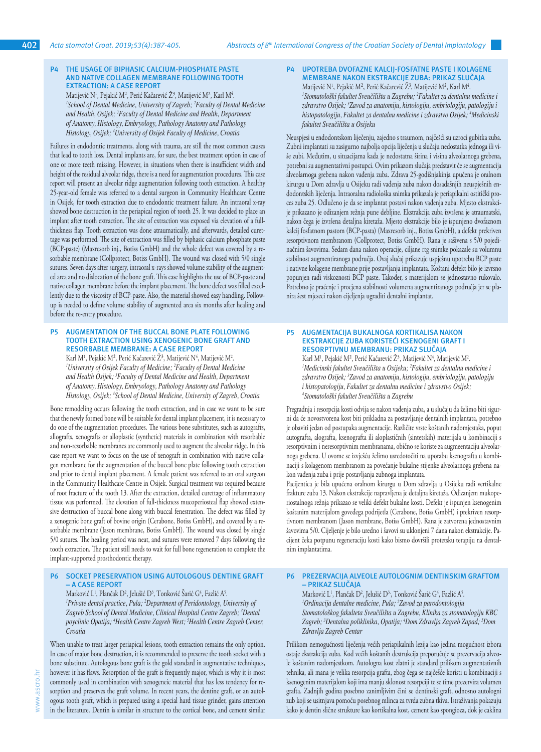*fakultet Sveučilišta u Osijeku*

# **P4 THE USAGE OF BIPHASIC CALCIUM-PHOSPHATE PASTE AND NATIVE COLLAGEN MEMBRANE FOLLOWING TOOTH EXTRACTION: A CASE REPORT**

Matijević N<sup>1</sup>, Pejakić M<sup>2</sup>, Perić Kačarević Z<sup>3</sup>, Matijević M<sup>2</sup>, Karl M<sup>4</sup>. *1 School of Dental Medicine, University of Zagreb; <sup>2</sup> Faculty of Dental Medicine and Health, Osijek; <sup>3</sup> Faculty of Dental Medicine and Health, Department of Anatomy, Histology, Embryology, Pathology Anatomy and Pathology Histology, Osijek; <sup>4</sup> University of Osijek Faculty of Medicine, Croatia*

Failures in endodontic treatments, along with trauma, are still the most common causes that lead to tooth loss. Dental implants are, for sure, the best treatment option in case of one or more teeth missing. However, in situations when there is insufficient width and height of the residual alveolar ridge, there is a need for augmentation procedures. This case report will present an alveolar ridge augmentation following tooth extraction. A healthy 25-year-old female was referred to a dental surgeon in Community Healthcare Centre in Osijek, for tooth extraction due to endodontic treatment failure. An intraoral x-ray showed bone destruction in the periapical region of tooth 25. It was decided to place an implant after tooth extraction. The site of extraction was exposed via elevation of a fullthickness flap. Tooth extraction was done atraumatically, and afterwards, detailed curettage was performed. The site of extraction was filled by biphasic calcium phosphate paste (BCP-paste) (Maxresorb inj., Botiss GmbH) and the whole defect was covered by a resorbable membrane (Collprotect, Botiss GmbH). The wound was closed with 5/0 single sutures. Seven days after surgery, intraoral x-rays showed volume stability of the augmented area and no dislocation of the bone graft. This case highlights the use of BCP-paste and native collagen membrane before the implant placement. The bone defect was filled excellently due to the viscosity of BCP-paste. Also, the material showed easy handling. Followup is needed to define volume stability of augmented area six months after healing and before the re-entry procedure.

#### **P5 AUGMENTATION OF THE BUCCAL BONE PLATE FOLLOWING TOOTH EXTRACTION USING XENOGENIC BONE GRAFT AND RESORBABLE MEMBRANE: A CASE REPORT**

Karl M<sup>1</sup>, Pejakić M<sup>2</sup>, Perić Kačarević Z<sup>3</sup>, Matijević N<sup>4</sup>, Matijević M<sup>2</sup>. *1 University of Osijek Faculty of Medicine; <sup>2</sup> Faculty of Dental Medicine and Health Osijek; <sup>3</sup> Faculty of Dental Medicine and Health, Department of Anatomy, Histology, Embryology, Pathology Anatomy and Pathology Histology, Osijek; <sup>4</sup> School of Dental Medicine, University of Zagreb, Croatia*

Bone remodeling occurs following the tooth extraction, and in case we want to be sure that the newly formed bone will be suitable for dental implant placement, it is necessary to do one of the augmentation procedures. The various bone substitutes, such as autografts, allografts, xenografts or alloplastic (synthetic) materials in combination with resorbable and non-resorbable membranes are commonly used to augment the alveolar ridge. In this case report we want to focus on the use of xenograft in combination with native collagen membrane for the augmentation of the buccal bone plate following tooth extraction and prior to dental implant placement. A female patient was referred to an oral surgeon in the Community Healthcare Centre in Osijek. Surgical treatment was required because of root fracture of the tooth 13. After the extraction, detailed curettage of inflammatory tissue was performed. The elevation of full-thickness mucoperiosteal flap showed extensive destruction of buccal bone along with buccal fenestration. The defect was filled by a xenogenic bone graft of bovine origin (Cerabone, Botiss GmbH), and covered by a resorbable membrane (Jason membrane, Botiss GmbH). The wound was closed by single 5/0 sutures. The healing period was neat, and sutures were removed 7 days following the tooth extraction. The patient still needs to wait for full bone regeneration to complete the implant-supported prosthodontic therapy.

# **P6 SOCKET PRESERVATION USING AUTOLOGOUS DENTINE GRAFT – A CASE REPORT**

Marković L<sup>1</sup>, Plančak D<sup>2</sup>, Jelušić D<sup>3</sup>, Tonković Sarić G<sup>4</sup>, Fazlić A<sup>5</sup>. *1 Private dental practice, Pula; <sup>2</sup> Department of Peridontology, University of Zagreb School of Dental Medicine, Clinical Hospital Centre Zagreb; <sup>3</sup> Dental poyclinic Opatija; <sup>4</sup> Health Centre Zagreb West; <sup>5</sup> Health Centre Zagreb Center, Croatia*

When unable to treat larger periapical lesions, tooth extraction remains the only option. In case of major bone destruction, it is recommended to preserve the tooth socket with a bone substitute. Autologous bone graft is the gold standard in augmentative techniques, however it has flaws. Resorption of the graft is frequently major, which is why it is most commonly used in combination with xenogeneic material that has less tendency for resorption and preserves the graft volume. In recent years, the dentine graft, or an autologous tooth graft, which is prepared using a special hard tissue grinder, gains attention in the literature. Dentin is similar in structure to the cortical bone, and cement similar

#### **P4 UPOTREBA DVOFAZNE KALCIJ-FOSFATNE PASTE I KOLAGENE MEMBRANE NAKON EKSTRAKCIJE ZUBA: PRIKAZ SLUČAJA** Matijević N<sup>1</sup>, Pejakić M<sup>2</sup>, Perić Kačarević Z<sup>3</sup>, Matijević M<sup>2</sup>, Karl M<sup>4</sup>. *1 Stomatološki fakultet Sveučilišta u Zagrebu; <sup>2</sup> Fakultet za dentalnu medicine i zdravstvo Osijek; <sup>3</sup> Zavod za anatomiju, histologiju, embriologiju, patologiju i histopatologiju, Fakultet za dentalnu medicine i zdravstvo Osijek; <sup>4</sup> Medicinski*

Neuspjesi u endodontskom liječenju, zajedno s traumom, najčešći su uzroci gubitka zuba. Zubni implantati su zasigurno najbolja opcija liječenja u slučaju nedostatka jednoga ili više zubi. Međutim, u situacijama kada je nedostatna širina i visina alveolarnoga grebena, potrebni su augmentativni postupci. Ovim prikazom slučaja predstavit će se augmentacija alveolarnoga grebena nakon vađenja zuba. Zdrava 25-godišnjakinja upućena je oralnom kirurgu u Dom zdravlja u Osijeku radi vađenja zuba nakon dosadašnjih neuspješnih endodontskih liječenja. Intraoralna radiološka snimka prikazala je periapikalni ostitički proces zuba 25. Odlučeno je da se implantat postavi nakon vađenja zuba. Mjesto ekstrakcije prikazano je odizanjem režnja pune debljine. Ekstrakcija zuba izvršena je atraumatski, nakon čega je izvršena detaljna kiretaža. Mjesto ekstrakcije bilo je ispunjeno dvofaznom kalcij fosfatnom pastom (BCP-pasta) (Maxresorb inj., Botiss GmbH), a defekt prekriven resorptivnom membranom (Collprotect, Botiss GmbH). Rana je sašivena s 5/0 pojedinačnim šavovima. Sedam dana nakon operacije, ciljane rtg snimke pokazale su volumnu stabilnost augmentiranoga područja. Ovaj slučaj prikazuje uspješnu upotrebu BCP paste i nativne kolagene membrane prije postavljanja implantata. Koštani defekt bilo je izvrsno popunjen radi viskoznosti BCP paste. Također, s materijalom se jednostavno rukovalo. Potrebno je praćenje i procjena stabilnosti volumena augmentiranoga područja jer se planira šest mjeseci nakon cijeljenja ugraditi dentalni implantat.

#### **P5 AUGMENTACIJA BUKALNOGA KORTIKALISA NAKON EKSTRAKCIJE ZUBA KORISTEĆI KSENOGENI GRAFT I RESORPTIVNU MEMBRANU: PRIKAZ SLUČAJA**

Karl M<sup>1</sup>, Pejakić M<sup>2</sup>, Perić Kačarević Z<sup>3</sup>, Matijević N<sup>4</sup>, Matijević M<sup>2</sup>. *1 Medicinski fakultet Sveučilišta u Osijeku; <sup>2</sup> Fakultet za dentalnu medicine i zdravstvo Osijek; <sup>3</sup> Zavod za anatomiju, histologiju, embriologiju, patologiju i histopatologiju, Fakultet za dentalnu medicine i zdravstvo Osijek; 4 Stomatološki fakultet Sveučilišta u Zagrebu*

Pregradnja i resorpcija kosti odvija se nakon vađenja zuba, a u slučaju da želimo biti sigurni da će novostvorena kost biti prikladna za postavljanje dentalnih implantata, potrebno je obaviti jedan od postupaka augmentacije. Različite vrste koštanih nadomjestaka, poput autografta, alografta, ksenografta ili aloplastičnih (sintetskih) materijala u kombinaciji s resorptivnim i neresorptivnim membranama, obično se koriste za augmeentaciju alveolarnoga grebena. U ovome se izvješću želimo usredotočiti na uporabu ksenografta u kombinaciji s kolagenom membranom za povećanje bukalne stijenke alveolarnoga grebena nakon vađenja zuba i prije postavljanja zubnoga implantata.

Pacijentica je bila upućena oralnom kirurgu u Dom zdravlja u Osijeku radi vertikalne frakture zuba 13. Nakon ekstrakcije napravljena je detaljna kiretaža. Odizanjem mukoperiostalnoga režnja prikazao se veliki defekt bukalne kosti. Defekt je ispunjen ksenogenim koštanim materijalom goveđega podrijetla (Cerabone, Botiss GmbH) i prekriven resorptivnom membranom (Jason membrane, Botiss GmbH). Rana je zatvorena jednostavnim šavovima 5/0. Cijeljenje je bilo uredno i šavovi su uklonjeni 7 dana nakon ekstrakcije. Pacijent čeka potpunu regeneraciju kosti kako bismo dovršili protetsku terapiju na dentalnim implantatima.

#### **P6 PREZERVACIJA ALVEOLE AUTOLOGNIM DENTINSKIM GRAFTOM – PRIKAZ SLUČAJA**

Marković L<sup>1</sup>, Plančak D<sup>2</sup>, Jelušić D<sup>3,</sup>, Tonković Sarić G<sup>4</sup>, Fazlić A<sup>5</sup>. *1 Ordinacija dentalne medicine, Pula; <sup>2</sup> Zavod za parodontologiju Stomatološkog fakulteta Sveučilišta u Zagrebu, Klinika za stomatologiju KBC Zagreb; <sup>3</sup> Dentalna poliklinika, Opatija; <sup>4</sup> Dom Zdravlja Zagreb Zapad; <sup>5</sup> Dom Zdravlja Zagreb Centar*

Prilikom nemogućnosti liječenja većih periapikalnih lezija kao jedina mogućnost izbora ostaje ekstrakcija zuba. Kod većih koštanih destrukcija preporučuje se prezervacija alveole koštanim nadomjestkom. Autologna kost zlatni je standard prilikom augmentativnih tehnika, ali mana je velika resorpcija grafta, zbog čega se najčešće koristi u kombinaciji s ksenogenim materijalom koji ima manju sklonost resorpciji te se time prezervira volumen grafta. Zadnjih godina posebno zanimljivim čini se dentinski graft, odnosno autologni zub koji se usitnjava pomoću posebnog mlinca za tvrda zubna tkiva. Istraživanja pokazuju kako je dentin slične strukture kao kortikalna kost, cement kao spongioza, dok je caklina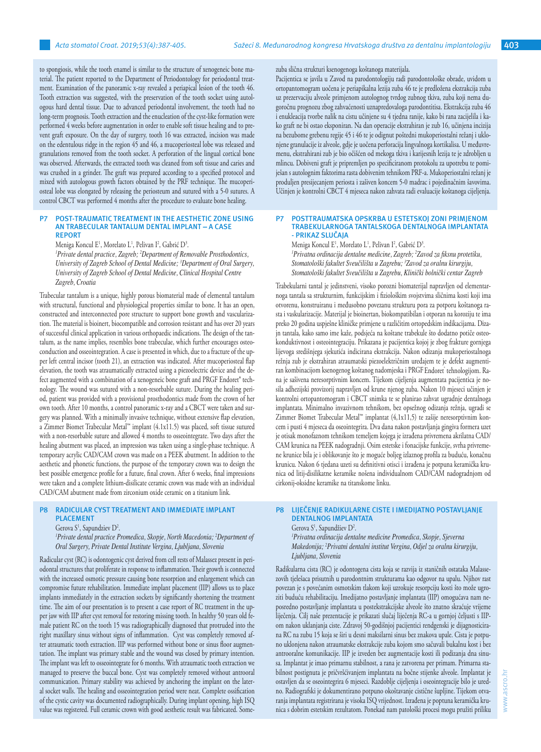to spongiosis, while the tooth enamel is similar to the structure of xenogeneic bone material. The patient reported to the Department of Periodontology for periodontal treatment. Examination of the panoramic x-ray revealed a periapical lesion of the tooth 46. Tooth extraction was suggested, with the preservation of the tooth socket using autologous hard dental tissue. Due to advanced periodontal involvement, the tooth had no long-term prognosis. Tooth extraction and the enucleation of the cyst-like formation were performed 4 weeks before augmentation in order to enable soft tissue healing and to prevent graft exposure. On the day of surgery, tooth 16 was extracted, incision was made on the edentulous ridge in the region 45 and 46, a mucoperiosteal lobe was released and granulations removed from the tooth socket. A perforation of the lingual cortical bone was observed. Afterwards, the extracted tooth was cleaned from soft tissue and caries and was crushed in a grinder. The graft was prepared according to a specified protocol and mixed with autologous growth factors obtained by the PRF technique. The mucoperiosteal lobe was elongated by releasing the periosteum and sutured with a 5-0 sutures. A control CBCT was performed 4 months after the procedure to evaluate bone healing.

#### **P7 POST-TRAUMATIC TREATMENT IN THE AESTHETIC ZONE USING AN TRABECULAR TANTALUM DENTAL IMPLANT – A CASE REPORT**

Meniga Koncul E<sup>1</sup>, Morelato L<sup>1</sup>, Pelivan I<sup>2</sup>, Gabrić D<sup>3</sup>.

*1 Private dental practice, Zagreb; <sup>2</sup> Department of Removable Prosthodontics, University of Zagreb School of Dental Medicine; <sup>3</sup> Department of Oral Surgery, University of Zagreb School of Dental Medicine, Clinical Hospital Centre Zagreb, Croatia*

Trabecular tantalum is a unique, highly porous biomaterial made of elemental tantalum with structural, functional and physiological properties similar to bone. It has an open, constructed and interconnected pore structure to support bone growth and vascularization. The material is bioinert, biocompatible and corrosion resistant and has over 20 years of successful clinical application in various orthopaedic indications. The design of the tantalum, as the name implies, resembles bone trabeculae, which further encourages osteoconduction and osseointegration. A case is presented in which, due to a fracture of the upper left central incisor (tooth 21), an extraction was indicated. After mucoperiosteal flap elevation, the tooth was atraumatically extracted using a piezoelectric device and the defect augmented with a combination of a xenogeneic bone graft and PRGF Endoret® technology. The wound was sutured with a non-resorbable suture. During the healing period, patient was provided with a provisional prosthodontics made from the crown of her own tooth. After 10 months, a control panoramic x-ray and a CBCT were taken and surgery was planned. With a minimally invasive technique, without extensive flap elevation, a Zimmer Biomet Trabecular Metal™ implant (4.1x11.5) was placed, soft tissue sutured with a non-resorbable suture and allowed 4 months to osseointegrate. Two days after the healing abutment was placed, an impression was taken using a single-phase technique. A temporary acrylic CAD/CAM crown was made on a PEEK abutment. In addition to the aesthetic and phonetic functions, the purpose of the temporary crown was to design the best possible emergence profile for a future, final crown. After 6 weeks, final impressions were taken and a complete lithium-disilicate ceramic crown was made with an individual CAD/CAM abutment made from zirconium oxide ceramic on a titanium link.

#### **P8 RADICULAR CYST TREATMENT AND IMMEDIATE IMPLANT PLACEMENT**

#### Gerova  $S^1$ , Sapundziev  $D^2$ .

*1 Private dental practice Promedica, Skopje, North Macedonia; <sup>2</sup> Department of Oral Surgery, Private Dental Institute Vergina, Ljubljana, Slovenia*

Radicular cyst (RC) is odontogenic cyst derived from cell rests of Malassez present in periodontal structures that proliferate in response to inflammation. Their growth is connected with the increased osmotic pressure causing bone resorption and enlargement which can compromise future rehabilitation. Immediate implant placement (IIP) allows us to place implants immediately in the extraction sockets by significantly shortening the treatment time. The aim of our presentation is to present a case report of RC treatment in the upper jaw with IIP after cyst removal for restoring missing tooth. In healthy 50 years old female patient RC on the tooth 15 was radiographically diagnosed that protruded into the right maxillary sinus without signs of inflammation. Cyst was completely removed after atraumatic tooth extraction. IIP was performed without bone or sinus floor augmentation. The implant was primary stable and the wound was closed by primary intention. The implant was left to osseointegrate for 6 months. With atraumatic tooth extraction we managed to preserve the buccal bone. Cyst was completely removed without antrooral communication. Primary stability was achieved by anchoring the implant on the lateral socket walls. The healing and osseointegration period were neat. Complete ossification of the cystic cavity was documented radiographically. During implant opening, high ISQ value was registered. Full ceramic crown with good aesthetic result was fabricated. Somezuba slična strukturi ksenogenoga koštanoga materijala.

Pacijentica se javila u Zavod na parodontologiju radi parodontološke obrade, uvidom u ortopantomogram uočena je periapikalna lezija zuba 46 te je predložena ekstrakcija zuba uz prezervaciju alveole primjenom autolognog tvrdog zubnog tkiva, zuba koji nema dugoročnu prognozu zbog zahvaćenosti uznapredovaloga parodontitisa. Ekstrakcija zuba 46 i enukleacija tvorbe nalik na cistu učinjene su 4 tjedna ranije, kako bi rana zacijelila i kako graft ne bi ostao eksponiran. Na dan operacije ekstrahiran je zub 16, učinjena incizija na bezubome grebenu regije 45 i 46 te je odignut poštedni mukoperiostalni režanj i uklonjene granulacije iz alveole, gdje je uočena perforacija lingvalnoga kortikalisa. U međuvremenu, ekstrahirani zub je bio očišćen od mekoga tkiva i karijesnih lezija te je zdrobljen u mlincu. Dobiveni graft je pripremljen po specificiranom protokolu za upotrebu te pomiješan s autolognim faktorima rasta dobivenim tehnikom PRF-a. Mukoperiostalni režanj je produljen presijecanjem periosta i zašiven koncem 5-0 madrac i pojedinačnim šavovima. Učinjen je kontrolni CBCT 4 mjeseca nakon zahvata radi evaluacije koštanoga cijeljenja.

#### **P7 POSTTRAUMATSKA OPSKRBA U ESTETSKOJ ZONI PRIMJENOM TRABEKULARNOGA TANTALSKOGA DENTALNOGA IMPLANTATA - PRIKAZ SLUČAJA**

Meniga Koncul E<sup>1</sup>, Morelato L<sup>1</sup>, Pelivan I<sup>2</sup>, Gabrić D<sup>3</sup>. *1 Privatna ordinacija dentalne medicine, Zagreb; <sup>2</sup> Zavod za fiksnu protetiku, Stomatološki fakultet Sveučilišta u Zagrebu; <sup>3</sup> Zavod za oralnu kirurgiju, Stomatološki fakultet Sveučilišta u Zagrebu, Klinički bolnički centar Zagreb*

Trabekularni tantal je jedinstveni, visoko porozni biomaterijal napravljen od elementarnoga tantala sa strukturnim, funkcijskim i fiziološkim svojstvima sličnima kosti koji ima otvorenu, konstruiranu i međusobno povezanu strukturu pora za potporu koštanoga rasta i vaskularizacije. Materijal je bioinertan, biokompatibilan i otporan na koroziju te ima preko 20 godina uspješne kliničke primjene u različitim ortopedskim indikacijama. Dizajn tantala, kako samo ime kaže, podsjeća na koštane trabekule što dodatno potiče osteokonduktivnost i osteointegraciju. Prikazana je pacijentica kojoj je zbog frakture gornjega lijevoga središnjega sjekutića indicirana ekstrakcija. Nakon odizanja mukoperiostalnoga režnja zub je ekstrahiran atraumatski piezoelektričnim uređajem te je defekt augmentiran kombinacijom ksenogenog koštanog nadomjeska i PRGF Endoret tehnologijom. Rana je sašivena neresorptivnim koncem. Tijekom cijeljenja augmentata pacijentica je nosila adhezijski provizorij napravljen od krune njenog zuba. Nakon 10 mjeseci učinjen je kontrolni ortopantomogram i CBCT snimka te se planirao zahvat ugradnje dentalnoga implantata. Minimalno invazivnom tehnikom, bez opsežnog odizanja režnja, ugradi se Zimmer Biomet Trabecular Metal™ implantat (4,1x11,5) te zašije neresorptivnim koncem i pusti 4 mjeseca da oseointegrira. Dva dana nakon postavljanja gingiva formera uzet je otisak monofaznom tehnikom temeljem kojega je izrađena privremena akrilatna CAD/ CAM krunica na PEEK nadogradnji. Osim estetske i fonacijske funkcije, svrha privremene krunice bila je i oblikovanje što je moguće boljeg izlaznog profila za buduću, konačnu krunicu. Nakon 6 tjedana uzeti su definitivni otisci i izrađena je potpuna keramička krunica od litij-disilikatne keramike nošena individualnom CAD/CAM nadogradnjom od cirkonij-oksidne keramike na titanskome linku.

# **P8 LIJEČENJE RADIKULARNE CISTE I IMEDIJATNO POSTAVLJANJE DENTALNOG IMPLANTATA**

Gerova S<sup>1</sup>, Sapundžiev D<sup>2</sup>. *1 Privatna ordinacija dentalne medicine Promedica, Skopje, Sjeverna Makedonija; <sup>2</sup> Privatni dentalni institut Vergina, Odjel za oralnu kirurgiju, Ljubljana, Slovenia* 

Radikularna cista (RC) je odontogena cista koja se razvija iz staničnih ostataka Malassezovih tjelešaca prisutnih u parodontnim strukturama kao odgovor na upalu. Njihov rast povezan je s povećanim osmotskim tlakom koji uzrokuje resorpciju kosti što može ugroziti buduću rehabilitaciju. Imedijatno postavljanje implantata (IIP) omogućava nam neposredno postavljanje implantata u postekstrakcijske alveole što znatno skraćuje vrijeme liječenja. Cilj naše prezentacije je prikazati slučaj liječenja RC-a u gornjoj čeljusti s IIPom nakon uklanjanja ciste. Zdravoj 50-godišnjoj pacijentici rendgenski je dijagnosticirana RC na zubu 15 koja se širi u desni maksilarni sinus bez znakova upale. Cista je potpuno uklonjena nakon atraumatske ekstrakcije zuba kojom smo sačuvali bukalnu kost i bez antrooralne komunikacije. IIP je izveden bez augmentacije kosti ili podizanja dna sinusa. Implantat je imao primarnu stabilnost, a rana je zatvorena per primam. Primarna stabilnost postignuta je pričvršćivanjem implantata na bočne stijenke alveole. Implantat je ostavljen da se oseointegrira 6 mjeseci. Razdoblje cijeljenja i oseointegracije bilo je uredno. Radiografski je dokumentirano potpuno okoštavanje cistične šupljine. Tijekom otvaranja implantata registrirana je visoka ISQ vrijednost. Izrađena je poptuna keramička krunica s dobrim estetskim rezultatom. Ponekad nam patološki procesi mogu pružiti priliku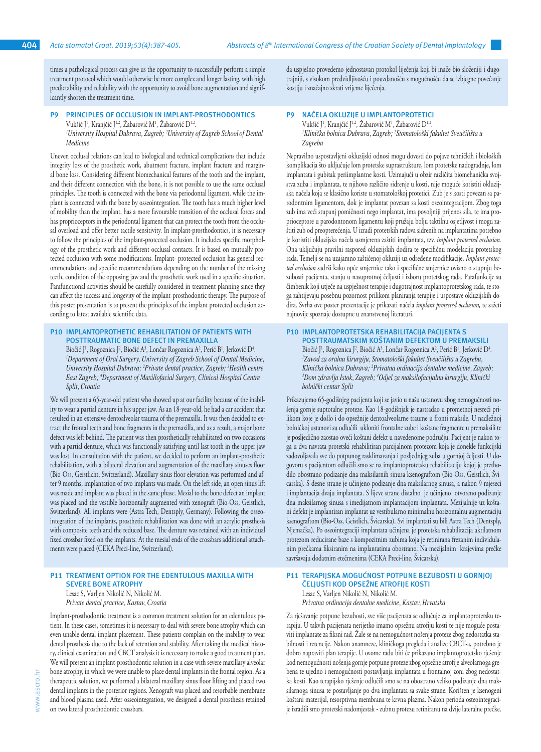times a pathological process can give us the opportunity to successfully perform a simple treatment protocol which would otherwise be more complex and longer lasting, with high predictability and reliability with the opportunity to avoid bone augmentation and significantly shorten the treatment time.

# **PRINCIPLES OF OCCLUSION IN IMPLANT-PROSTHODONTICS** Vukšić J<sup>1</sup>, Kranjčić J<sup>1,2</sup>, Zabarović M<sup>1</sup>, Zabarović D<sup>1,2</sup>.

*1 University Hospital Dubrava, Zagreb; <sup>2</sup> University of Zagreb School of Dental Medicine* 

Uneven occlusal relations can lead to biological and technical complications that include integrity loss of the prosthetic work, abutment fracture, implant fracture and marginal bone loss. Considering different biomechanical features of the tooth and the implant, and their different connection with the bone, it is not possible to use the same occlusal principles. The tooth is connected with the bone via periodontal ligament, while the implant is connected with the bone by osseointegration. The tooth has a much higher level of mobility than the implant, has a more favourable transition of the occlusal forces and has proprioceptors in the periodontal ligament that can protect the tooth from the occlusal overload and offer better tactile sensitivity. In implant-prosthodontics, it is necessary to follow the principles of the implant-protected occlusion. It includes specific morphology of the prosthetic work and different occlusal contacts. It is based on mutually protected occlusion with some modifications. Implant- protected occlusion has general recommendations and specific recommendations depending on the number of the missing teeth, condition of the opposing jaw and the prosthetic work used in a specific situation. Parafunctional activities should be carefully considered in treatment planning since they can affect the success and longevity of the implant-prosthodontic therapy. The purpose of this poster presentation is to present the principles of the implant protected occlusion according to latest available scientific data.

#### **P10 IMPLANTOPROTHETIC REHABILITATION OF PATIENTS WITH POSTTRAUMATIC BONE DEFECT IN PREMAXILLA**

Biočić J<sup>1</sup>, Rogoznica J<sup>2</sup>, Biočić A<sup>3</sup>, Lončar Rogoznica A<sup>2</sup>, Perić B<sup>1</sup>, Jerković D<sup>4</sup>. *1 Department of Oral Surgery, University of Zagreb School of Dental Medicine, University Hospital Dubrava; <sup>2</sup> Private dental practice, Zagreb; <sup>3</sup> Health centre East Zagreb; <sup>4</sup> Department of Maxillofacial Surgery, Clinical Hospital Centre Split, Croatia*

We will present a 65-year-old patient who showed up at our facility because of the inability to wear a partial denture in his upper jaw. As an 18-year-old, he had a car accident that resulted in an extensive dentoalveolar trauma of the premaxilla. It was then decided to extract the frontal teeth and bone fragments in the premaxilla, and as a result, a major bone defect was left behind. The patient was then prosthetically rehabilitated on two occasions with a partial denture, which was functionally satisfying until last tooth in the upper jaw was lost. In consultation with the patient, we decided to perform an implant-prosthetic rehabilitation, with a bilateral elevation and augmentation of the maxillary sinuses floor (Bio-Oss, Geistlicht, Switzerland). Maxillary sinus floor elevation was performed and after 9 months, implantation of two implants was made. On the left side, an open sinus lift was made and implant was placed in the same phase. Mesial to the bone defect an implant was placed and the vestible horizontally augmented with xenograft (Bio-Oss, Geistlich, Switzerland). All implants were (Astra Tech, Dentsply, Germany). Following the osseointegration of the implants, prosthetic rehabilitation was done with an acrylic prosthesis with composite teeth and the reduced base. The denture was retained with an individual fixed crossbar fixed on the implants. At the mesial ends of the crossbars additional attachments were placed (CEKA Preci-line, Switzerland).

#### **P11 TREATMENT OPTION FOR THE EDENTULOUS MAXILLA WITH SEVERE BONE ATROPHY**

Lesac S, Varljen Nikolić N, Nikolić M. *Private dental practice, Kastav, Croatia*

Implant-prosthodontic treatment is a common treatment solution for an edentulous patient. In these cases, sometimes it is necessary to deal with severe bone atrophy which can even unable dental implant placement. These patients complain on the inability to wear dental prosthesis due to the lack of retention and stability. After taking the medical history, clinical examination and CBCT analysis it is necessary to make a good treatment plan. We will present an implant-prosthodontic solution in a case with severe maxillary alveolar bone atrophy, in which we were unable to place dental implants in the frontal region. As a therapeutic solution, we performed a bilateral maxillary sinus floor lifting and placed two dental implants in the posterior regions. Xenograft was placed and resorbable membrane and blood plasma used. After osseointegration, we designed a dental prosthesis retained on two lateral prosthodontic crossbars.

da uspješno provedemo jednostavan protokol liječenja koji bi inače bio složeniji i dugotrajniji, s visokom predvidljivošću i pouzdanošću s mogućnošću da se izbjegne povećanje kostiju i značajno skrati vrijeme liječenja.

#### **P9 NAČELA OKLUZIJE U IMPLANTOPROTETICI**

Vukšić J<sup>1</sup>, Kranjčić J<sup>1,2</sup>, Zabarović M<sup>1</sup>, Zabarović D<sup>1,2</sup>. *1 Klinička bolnica Dubrava, Zagreb; <sup>2</sup> Stomatološki fakultet Sveučilišta u Zagrebu*

Nepravilno uspostavljeni okluzijski odnosi mogu dovesti do pojave tehničkih i bioloških komplikacija što uključuje lom protetske suprastrukture, lom protetske nadogradnje, lom implantata i gubitak periimplantne kosti. Uzimajući u obzir različita biomehanička svojstva zuba i implantata, te njihovo različito sidrenje u kosti, nije moguće koristiti okluzijska načela koja se klasično koriste u stomatološkoj protetici. Zub je s kosti povezan sa parodontnim ligamentom, dok je implantat povezan sa kosti oseointegracijom. Zbog toga zub ima veći stupanj pomičnosti nego implantat, ima povoljniji prijenos sila, te ima proprioceptore u parodontonom ligamentu koji pružaju bolju taktilnu osjetljvost i mogu zaštiti zub od preopterećenja. U izradi protetskih radova sidrenih na implantatima potrebno je koristiti okluzijska načela usmjerena zaštiti implantata, tzv. *implant protected occlusion.*  Ona uključuju pravilni raspored okluzijskih dodira te specifičnu modelaciju protetskog rada. Temelji se na uzajamno zaštićenoj okluziji uz određene modifikacije. *Implant protected occlusion* sadrži kako opće smjernice tako i specifične smjernice ovisno o stupnju bezubosti pacijenta, stanju u nasuprotnoj čeljusti i izboru protetskog rada. Parafunkcije su čimbenik koji utječe na uspješnost terapije i dugotrajnost implantoprotetskog rada, te stoga zahtijevaju posebnu pozornost prilikom planiranja terapije i uspostave okluzijskih dodira. Svrha ove poster prezentacije je prikazati načela *implant protected occlusion,* te sažeti najnovije spoznaje dostupne u znanstvenoj literaturi.

# **P10 IMPLANTOPROTETSKA REHABILITACIJA PACIJENTA S**

**POSTTRAUMATSKIM KOŠTANIM DEFEKTOM U PREMAKSILI** Biočić J<sup>1</sup>, Rogoznica J<sup>2</sup>, Biočić A<sup>3</sup>, Lončar Rogoznica A<sup>2</sup>, Perić B<sup>1</sup>, Jerković D<sup>4</sup>. *1 Zavod za oralnu kirurgiju, Stomatološki fakultet Sveučilišta u Zagrebu, Klinička bolnica Dubrava; <sup>2</sup> Privatna ordinacija dentalne medicine, Zagreb; 3 Dom zdravlja Istok, Zagreb; <sup>4</sup> Odjel za maksilofacijalnu kirurgiju, Klinički bolnički centar Split*

Prikazujemo 65-godišnjeg pacijenta koji se javio u našu ustanovu zbog nemogućnosti nošenja gornje suptotalne proteze. Kao 18-godišnjak je nastradao u prometnoj nesreći prilikom koje je došlo i do opsežnije dentoalveolarne traume u fronti maksile. U nadležnoj bolničkoj ustanovi su odlučili ukloniti frontalne zube i koštane fragmente u premaksili te je posljedično zaostao oveći koštani defekt u navedenome području. Pacijent je nakon toga u dva navrata protetski rehabilitiran parcijalnom protezom koja je donekle funkcijski zadovoljavala sve do potpunog rasklimavanja i posljednjeg zuba u gornjoj čeljusti. U dogovoru s pacijentom odlučili smo se na implantoprotetsku rehabilitaciju kojoj je prethodilo obostrano podizanje dna maksilarnih sinusa ksenograftom (Bio-Oss, Geistlich, Švicarska). S desne strane je učinjeno podizanje dna maksilarnog sinusa, a nakon 9 mjeseci i implantacija dvaju implantata. S lijeve strane distalno je učinjeno otvoreno podizanje dna maksilarnog sinusa s imedijatnom implantacijom implantata. Mezijalnije uz koštani defekt je implantiran implantat uz vestibularno minimalnu horizontalnu augmentaciju ksenograftom (Bio-Oss, Geistlich, Švicarska). Svi implantati su bili Astra Tech (Dentsply, Njemačka). Po oseointegraciji implantata učinjena je protetska rehabilitacija akrilatnom protezom reducirane baze s kompozitnim zubima koja je retinirana frezanim individulanim prečkama fiksiranim na implantatima obostrano. Na mezijalnim krajevima prečke završavaju dodatnim etečmenima (CEKA Preci-line, Švicarska).

# **P11 TERAPIJSKA MOGUĆNOST POTPUNE BEZUBOSTI U GORNJOJ ČELJUSTI KOD OPSEŽNE ATROFIJE KOSTI**

Lesac S, Varljen Nikolić N, Nikolić M. *Privatna ordinacija dentalne medicine, Kastav, Hrvatska*

Za rješavanje potpune bezubosti, sve više pacijenata se odlučuje za implantoprotetsku terapiju. U takvih pacijenata nerijetko imamo opsežnu atrofiju kosti te nije moguće postaviti implantate za fiksni rad. Žale se na nemogućnost nošenja proteze zbog nedostatka stabilnosti i retencije. Nakon anamneze, kliničkoga pregleda i analize CBCT-a, potrebno je dobro napraviti plan terapije. U ovome radu biti će prikazano implantoprotetsko rješenje kod nemogućnosti nošenja gornje potpune proteze zbog opsežne atrofije alveolarnoga grebena te ujedno i nemogućnosti postavljanja implantata u frontalnoj zoni zbog nedostatka kosti. Kao terapijsko rješenje odlučili smo se na obostrano veliko podizanje dna maksilarnoga sinusa te postavljanje po dva implantata sa svake strane. Korišten je ksenogeni koštani materijal, resorptivna membrana te krvna plazma. Nakon perioda osteointegracije izradili smo protetski nadomjestak - zubnu protezu retiniranu na dvije lateralne prečke.